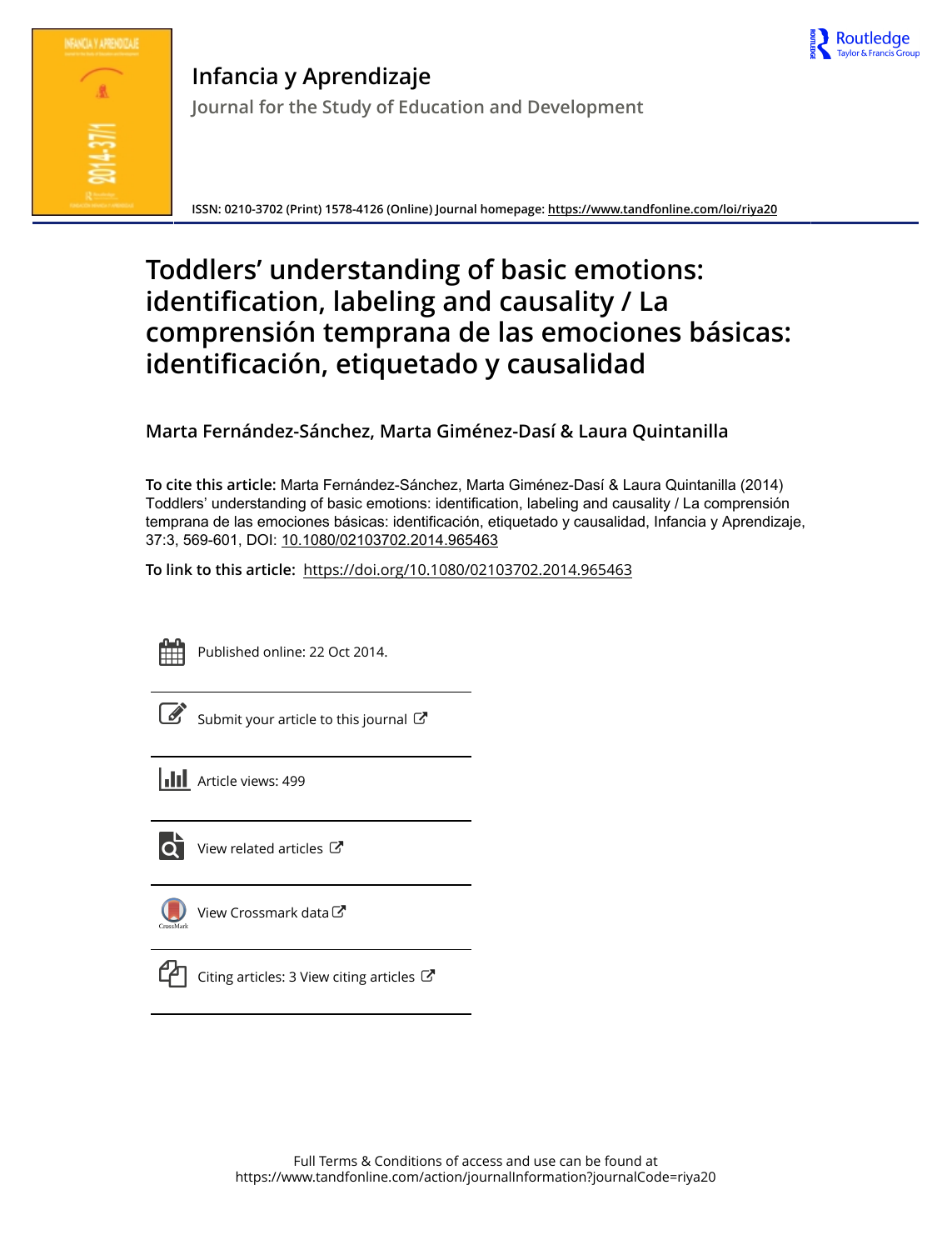



**Infancia y Aprendizaje Journal for the Study of Education and Development**

**ISSN: 0210-3702 (Print) 1578-4126 (Online) Journal homepage:<https://www.tandfonline.com/loi/riya20>**

# **Toddlers' understanding of basic emotions: identification, labeling and causality / La comprensión temprana de las emociones básicas: identificación, etiquetado y causalidad**

## **Marta Fernández-Sánchez, Marta Giménez-Dasí & Laura Quintanilla**

**To cite this article:** Marta Fernández-Sánchez, Marta Giménez-Dasí & Laura Quintanilla (2014) Toddlers' understanding of basic emotions: identification, labeling and causality / La comprensión temprana de las emociones básicas: identificación, etiquetado y causalidad, Infancia y Aprendizaje, 37:3, 569-601, DOI: [10.1080/02103702.2014.965463](https://www.tandfonline.com/action/showCitFormats?doi=10.1080/02103702.2014.965463)

**To link to this article:** <https://doi.org/10.1080/02103702.2014.965463>



Published online: 22 Oct 2014.

|--|

[Submit your article to this journal](https://www.tandfonline.com/action/authorSubmission?journalCode=riya20&show=instructions)  $\mathbb{Z}$ 

| <b>III</b> Article views: 499 |
|-------------------------------|
|                               |

 $\overrightarrow{Q}$  [View related articles](https://www.tandfonline.com/doi/mlt/10.1080/02103702.2014.965463)  $\overrightarrow{C}$ 



[View Crossmark data](http://crossmark.crossref.org/dialog/?doi=10.1080/02103702.2014.965463&domain=pdf&date_stamp=2014-10-22)<sup>C</sup>



[Citing articles: 3 View citing articles](https://www.tandfonline.com/doi/citedby/10.1080/02103702.2014.965463#tabModule)  $\mathbb{Z}$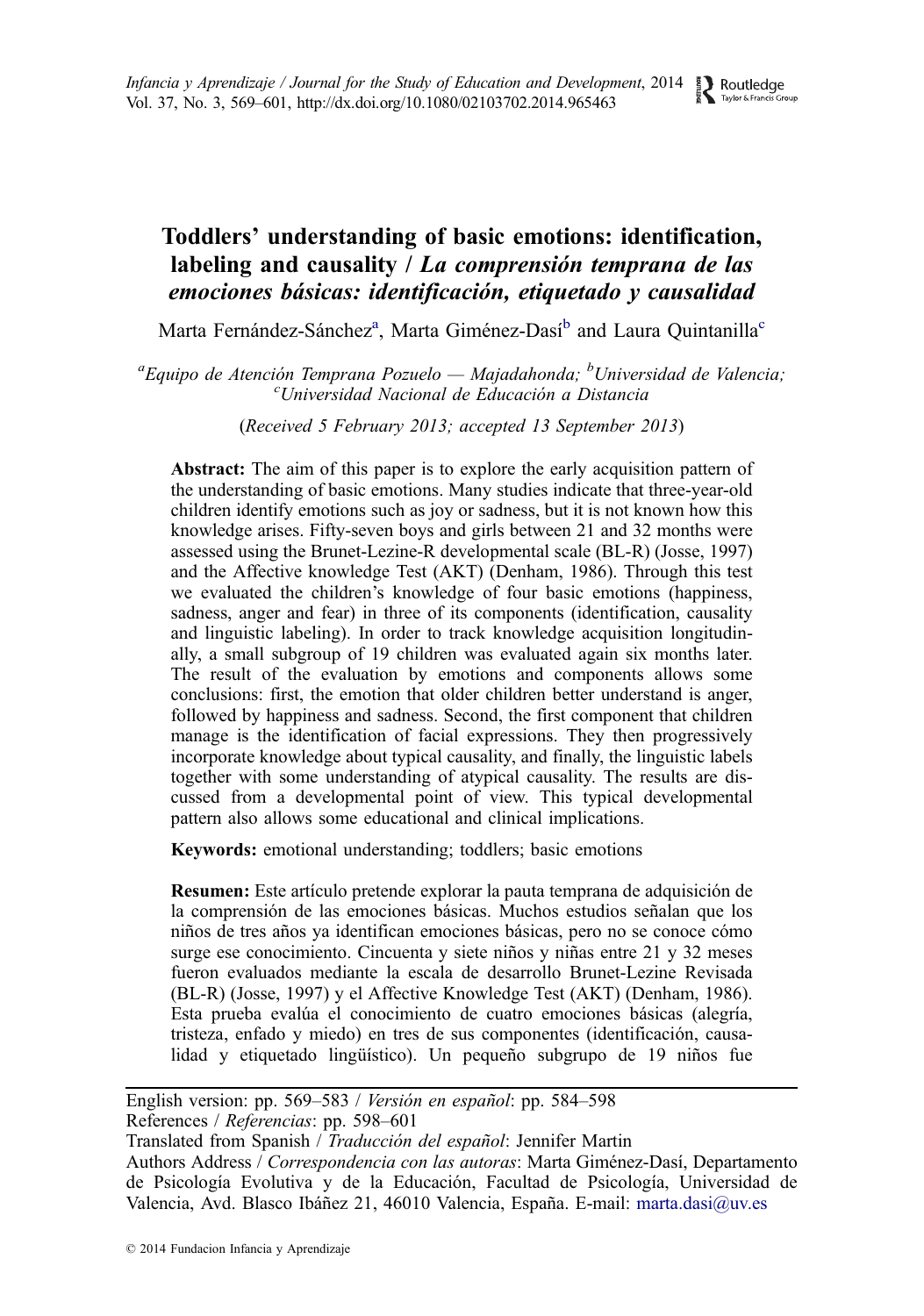### Toddlers' understanding of basic emotions: identification, labeling and causality  $/$  *La comprensión temprana de las* emociones básicas: identificación, etiquetado y causalidad

Marta Fernández-Sánchez<sup>a</sup>, Marta Giménez-Dasí<sup>b</sup> and Laura Quintanilla<sup>c</sup>

<sup>a</sup> Equipo de Atención Temprana Pozuelo — Majadahonda; <sup>b</sup>Universidad de Valencia;<br><sup>c</sup>Universidad Nacional de Educación a Distancia Universidad Nacional de Educación a Distancia

(Received 5 February 2013; accepted 13 September 2013)

Abstract: The aim of this paper is to explore the early acquisition pattern of the understanding of basic emotions. Many studies indicate that three-year-old children identify emotions such as joy or sadness, but it is not known how this knowledge arises. Fifty-seven boys and girls between 21 and 32 months were assessed using the Brunet-Lezine-R developmental scale (BL-R) (Josse, 1997) and the Affective knowledge Test (AKT) (Denham, 1986). Through this test we evaluated the children's knowledge of four basic emotions (happiness, sadness, anger and fear) in three of its components (identification, causality and linguistic labeling). In order to track knowledge acquisition longitudinally, a small subgroup of 19 children was evaluated again six months later. The result of the evaluation by emotions and components allows some conclusions: first, the emotion that older children better understand is anger, followed by happiness and sadness. Second, the first component that children manage is the identification of facial expressions. They then progressively incorporate knowledge about typical causality, and finally, the linguistic labels together with some understanding of atypical causality. The results are discussed from a developmental point of view. This typical developmental pattern also allows some educational and clinical implications.

Keywords: emotional understanding; toddlers; basic emotions

Resumen: Este artículo pretende explorar la pauta temprana de adquisición de la comprensión de las emociones básicas. Muchos estudios señalan que los niños de tres años ya identifican emociones básicas, pero no se conoce cómo surge ese conocimiento. Cincuenta y siete niños y niñas entre 21 y 32 meses fueron evaluados mediante la escala de desarrollo Brunet-Lezine Revisada (BL-R) (Josse, 1997) y el Affective Knowledge Test (AKT) (Denham, 1986). Esta prueba evalúa el conocimiento de cuatro emociones básicas (alegría, tristeza, enfado y miedo) en tres de sus componentes (identificación, causalidad y etiquetado lingüístico). Un pequeño subgrupo de 19 niños fue

English version: pp. 569–583 / Versión en español: pp. 584–598 References / Referencias: pp. 598-601

Translated from Spanish / Traducción del español: Jennifer Martin Authors Address / Correspondencia con las autoras: Marta Giménez-Dasí, Departamento de Psicología Evolutiva y de la Educación, Facultad de Psicología, Universidad de Valencia, Avd. Blasco Ibáñez 21, 46010 Valencia, España. E-mail: marta.dasi@uv.es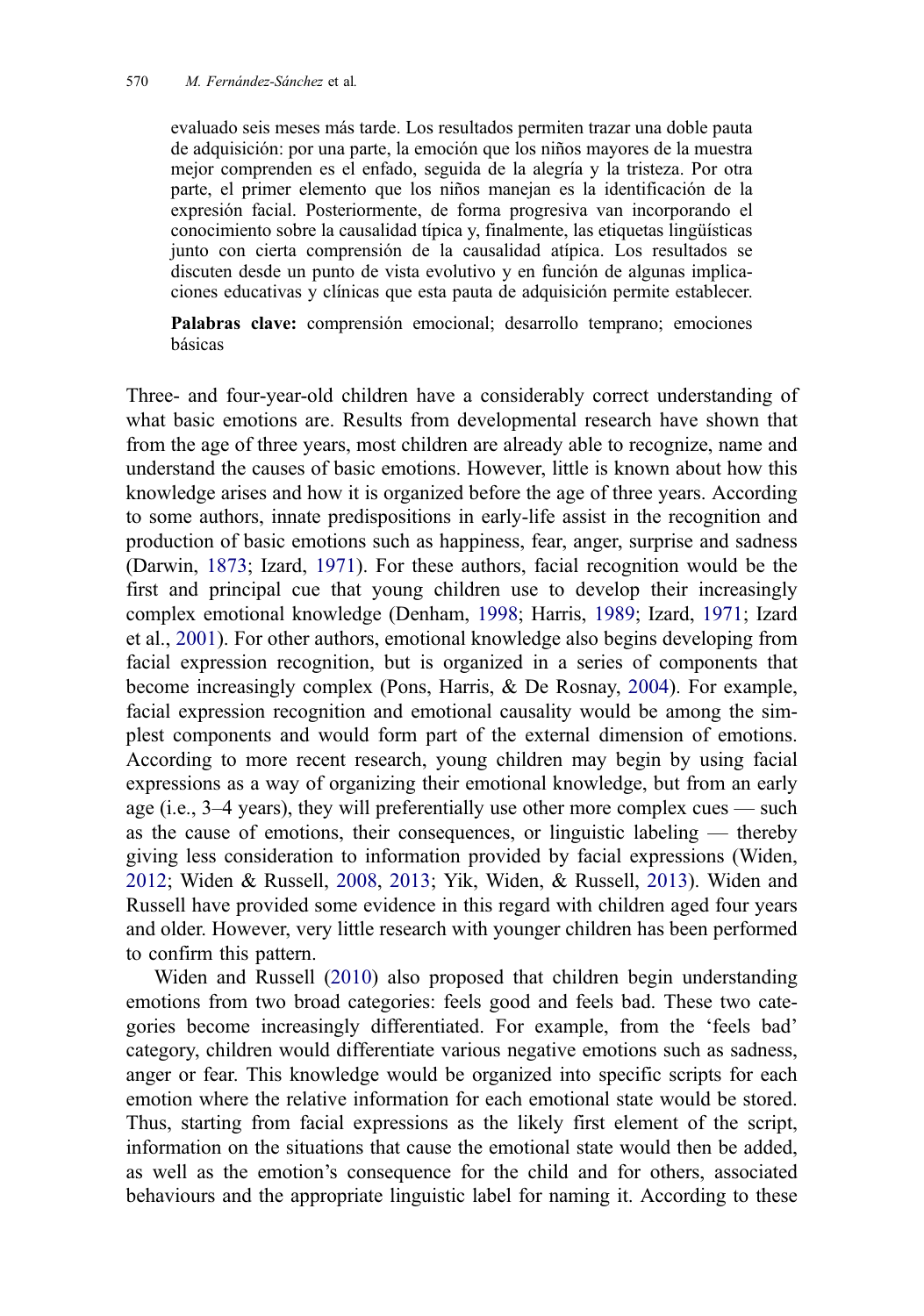evaluado seis meses más tarde. Los resultados permiten trazar una doble pauta de adquisición: por una parte, la emoción que los niños mayores de la muestra mejor comprenden es el enfado, seguida de la alegría y la tristeza. Por otra parte, el primer elemento que los niños manejan es la identificación de la expresión facial. Posteriormente, de forma progresiva van incorporando el conocimiento sobre la causalidad típica y, finalmente, las etiquetas lingüísticas junto con cierta comprensión de la causalidad atípica. Los resultados se discuten desde un punto de vista evolutivo y en función de algunas implicaciones educativas y clínicas que esta pauta de adquisición permite establecer.

Palabras clave: comprensión emocional; desarrollo temprano; emociones básicas

Three- and four-year-old children have a considerably correct understanding of what basic emotions are. Results from developmental research have shown that from the age of three years, most children are already able to recognize, name and understand the causes of basic emotions. However, little is known about how this knowledge arises and how it is organized before the age of three years. According to some authors, innate predispositions in early-life assist in the recognition and production of basic emotions such as happiness, fear, anger, surprise and sadness (Darwin, [1873](#page-31-0); Izard, [1971](#page-32-0)). For these authors, facial recognition would be the first and principal cue that young children use to develop their increasingly complex emotional knowledge (Denham, [1998;](#page-31-0) Harris, [1989](#page-31-0); Izard, [1971;](#page-32-0) Izard et al., [2001\)](#page-32-0). For other authors, emotional knowledge also begins developing from facial expression recognition, but is organized in a series of components that become increasingly complex (Pons, Harris, & De Rosnay, [2004](#page-32-0)). For example, facial expression recognition and emotional causality would be among the simplest components and would form part of the external dimension of emotions. According to more recent research, young children may begin by using facial expressions as a way of organizing their emotional knowledge, but from an early age (i.e., 3–4 years), they will preferentially use other more complex cues — such as the cause of emotions, their consequences, or linguistic labeling — thereby giving less consideration to information provided by facial expressions (Widen, [2012](#page-33-0); Widen & Russell, [2008](#page-33-0), [2013](#page-33-0); Yik, Widen, & Russell, [2013](#page-33-0)). Widen and Russell have provided some evidence in this regard with children aged four years and older. However, very little research with younger children has been performed to confirm this pattern.

Widen and Russell ([2010\)](#page-33-0) also proposed that children begin understanding emotions from two broad categories: feels good and feels bad. These two categories become increasingly differentiated. For example, from the 'feels bad' category, children would differentiate various negative emotions such as sadness, anger or fear. This knowledge would be organized into specific scripts for each emotion where the relative information for each emotional state would be stored. Thus, starting from facial expressions as the likely first element of the script, information on the situations that cause the emotional state would then be added, as well as the emotion's consequence for the child and for others, associated behaviours and the appropriate linguistic label for naming it. According to these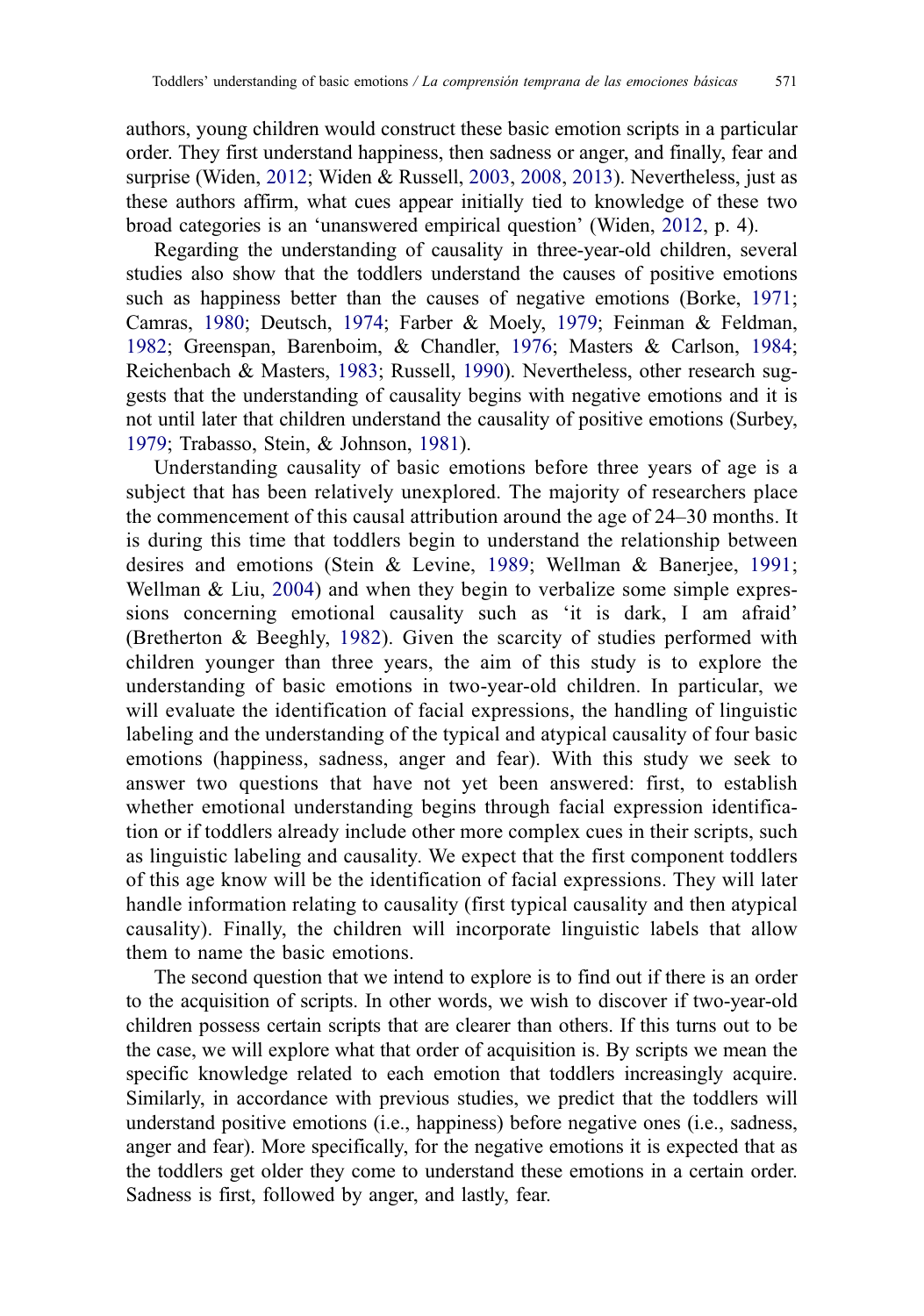authors, young children would construct these basic emotion scripts in a particular order. They first understand happiness, then sadness or anger, and finally, fear and surprise (Widen, [2012](#page-33-0); Widen & Russell, [2003](#page-33-0), [2008](#page-33-0), [2013\)](#page-33-0). Nevertheless, just as these authors affirm, what cues appear initially tied to knowledge of these two broad categories is an 'unanswered empirical question' (Widen, [2012](#page-33-0), p. 4).

Regarding the understanding of causality in three-year-old children, several studies also show that the toddlers understand the causes of positive emotions such as happiness better than the causes of negative emotions (Borke, [1971](#page-30-0); Camras, [1980;](#page-30-0) Deutsch, [1974;](#page-31-0) Farber & Moely, [1979](#page-31-0); Feinman & Feldman, [1982](#page-31-0); Greenspan, Barenboim, & Chandler, [1976;](#page-31-0) Masters & Carlson, [1984;](#page-32-0) Reichenbach & Masters, [1983](#page-32-0); Russell, [1990](#page-32-0)). Nevertheless, other research suggests that the understanding of causality begins with negative emotions and it is not until later that children understand the causality of positive emotions (Surbey, [1979](#page-33-0); Trabasso, Stein, & Johnson, [1981\)](#page-33-0).

Understanding causality of basic emotions before three years of age is a subject that has been relatively unexplored. The majority of researchers place the commencement of this causal attribution around the age of 24–30 months. It is during this time that toddlers begin to understand the relationship between desires and emotions (Stein & Levine, [1989;](#page-32-0) Wellman & Banerjee, [1991](#page-33-0); Wellman & Liu, [2004](#page-33-0)) and when they begin to verbalize some simple expressions concerning emotional causality such as 'it is dark, I am afraid' (Bretherton & Beeghly, [1982\)](#page-30-0). Given the scarcity of studies performed with children younger than three years, the aim of this study is to explore the understanding of basic emotions in two-year-old children. In particular, we will evaluate the identification of facial expressions, the handling of linguistic labeling and the understanding of the typical and atypical causality of four basic emotions (happiness, sadness, anger and fear). With this study we seek to answer two questions that have not yet been answered: first, to establish whether emotional understanding begins through facial expression identification or if toddlers already include other more complex cues in their scripts, such as linguistic labeling and causality. We expect that the first component toddlers of this age know will be the identification of facial expressions. They will later handle information relating to causality (first typical causality and then atypical causality). Finally, the children will incorporate linguistic labels that allow them to name the basic emotions.

The second question that we intend to explore is to find out if there is an order to the acquisition of scripts. In other words, we wish to discover if two-year-old children possess certain scripts that are clearer than others. If this turns out to be the case, we will explore what that order of acquisition is. By scripts we mean the specific knowledge related to each emotion that toddlers increasingly acquire. Similarly, in accordance with previous studies, we predict that the toddlers will understand positive emotions (i.e., happiness) before negative ones (i.e., sadness, anger and fear). More specifically, for the negative emotions it is expected that as the toddlers get older they come to understand these emotions in a certain order. Sadness is first, followed by anger, and lastly, fear.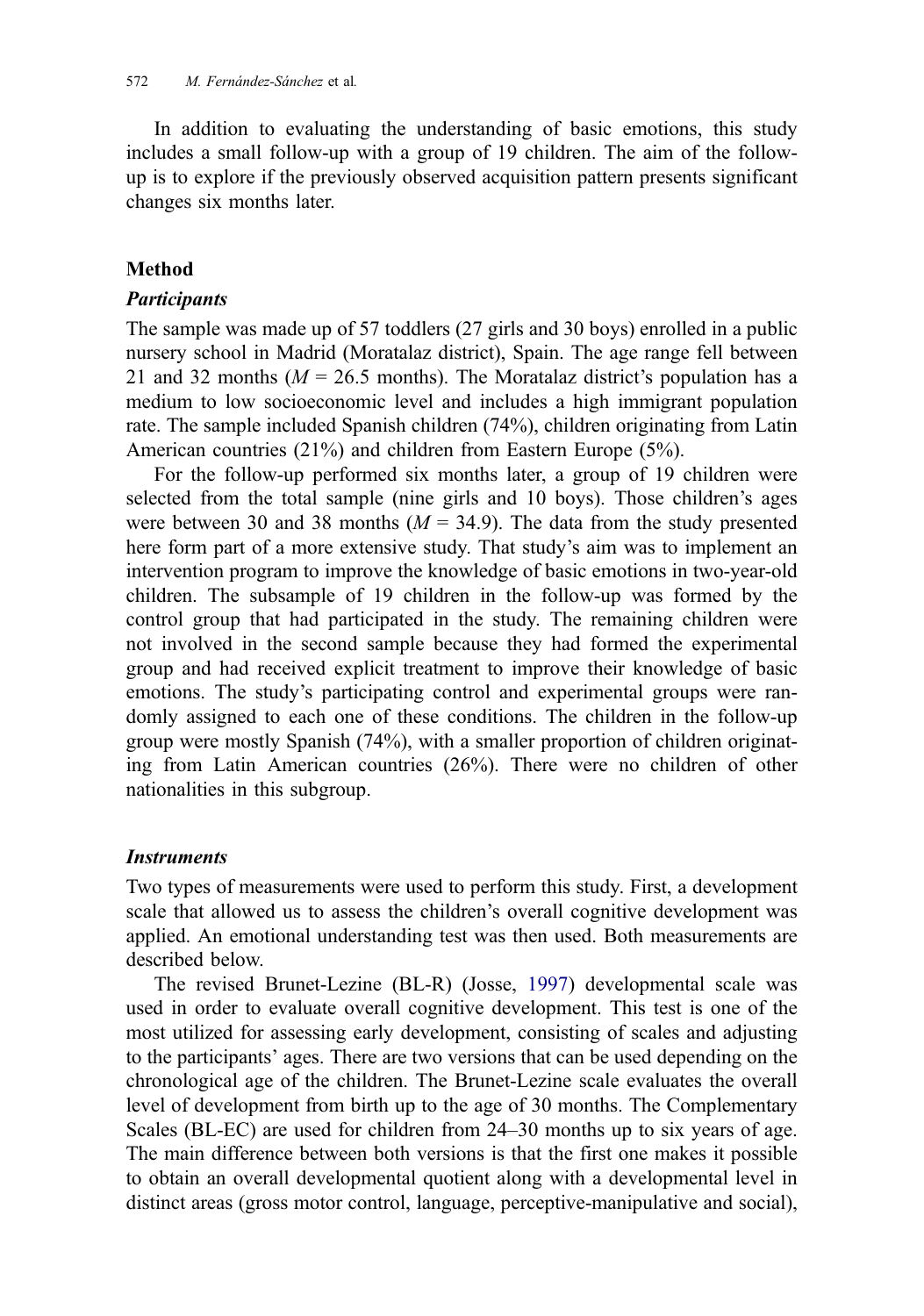In addition to evaluating the understanding of basic emotions, this study includes a small follow-up with a group of 19 children. The aim of the followup is to explore if the previously observed acquisition pattern presents significant changes six months later.

### **Method**

### **Participants**

The sample was made up of 57 toddlers (27 girls and 30 boys) enrolled in a public nursery school in Madrid (Moratalaz district), Spain. The age range fell between 21 and 32 months ( $M = 26.5$  months). The Moratalaz district's population has a medium to low socioeconomic level and includes a high immigrant population rate. The sample included Spanish children (74%), children originating from Latin American countries (21%) and children from Eastern Europe (5%).

For the follow-up performed six months later, a group of 19 children were selected from the total sample (nine girls and 10 boys). Those children's ages were between 30 and 38 months ( $M = 34.9$ ). The data from the study presented here form part of a more extensive study. That study's aim was to implement an intervention program to improve the knowledge of basic emotions in two-year-old children. The subsample of 19 children in the follow-up was formed by the control group that had participated in the study. The remaining children were not involved in the second sample because they had formed the experimental group and had received explicit treatment to improve their knowledge of basic emotions. The study's participating control and experimental groups were randomly assigned to each one of these conditions. The children in the follow-up group were mostly Spanish (74%), with a smaller proportion of children originating from Latin American countries (26%). There were no children of other nationalities in this subgroup.

### **Instruments**

Two types of measurements were used to perform this study. First, a development scale that allowed us to assess the children's overall cognitive development was applied. An emotional understanding test was then used. Both measurements are described below.

The revised Brunet-Lezine (BL-R) (Josse, [1997](#page-32-0)) developmental scale was used in order to evaluate overall cognitive development. This test is one of the most utilized for assessing early development, consisting of scales and adjusting to the participants' ages. There are two versions that can be used depending on the chronological age of the children. The Brunet-Lezine scale evaluates the overall level of development from birth up to the age of 30 months. The Complementary Scales (BL-EC) are used for children from 24–30 months up to six years of age. The main difference between both versions is that the first one makes it possible to obtain an overall developmental quotient along with a developmental level in distinct areas (gross motor control, language, perceptive-manipulative and social),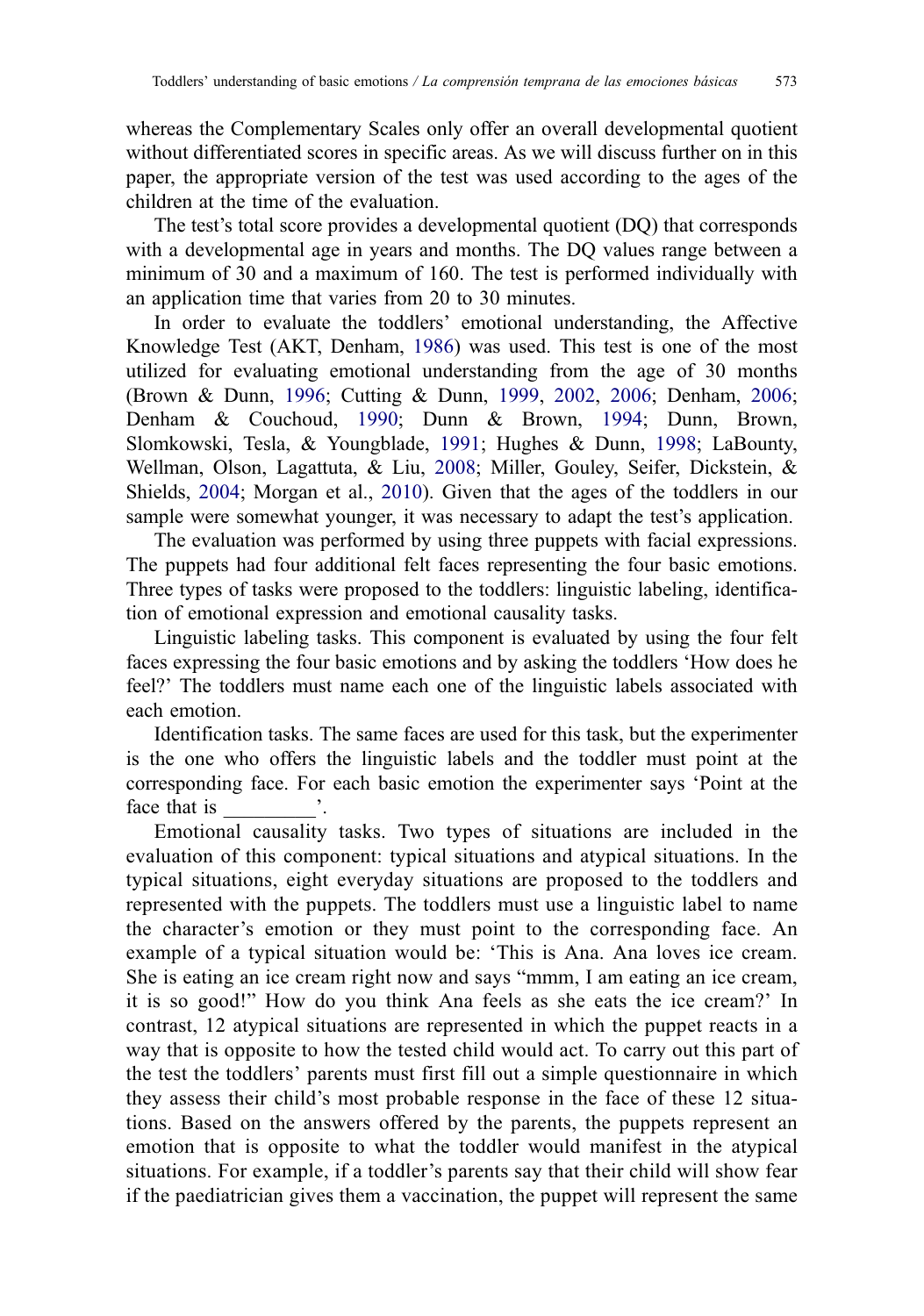whereas the Complementary Scales only offer an overall developmental quotient without differentiated scores in specific areas. As we will discuss further on in this paper, the appropriate version of the test was used according to the ages of the children at the time of the evaluation.

The test's total score provides a developmental quotient (DQ) that corresponds with a developmental age in years and months. The DQ values range between a minimum of 30 and a maximum of 160. The test is performed individually with an application time that varies from 20 to 30 minutes.

In order to evaluate the toddlers' emotional understanding, the Affective Knowledge Test (AKT, Denham, [1986](#page-31-0)) was used. This test is one of the most utilized for evaluating emotional understanding from the age of 30 months (Brown & Dunn, [1996;](#page-30-0) Cutting & Dunn, [1999,](#page-30-0) [2002,](#page-30-0) [2006;](#page-31-0) Denham, [2006;](#page-31-0) Denham & Couchoud, [1990;](#page-31-0) Dunn & Brown, [1994](#page-31-0); Dunn, Brown, Slomkowski, Tesla, & Youngblade, [1991;](#page-31-0) Hughes & Dunn, [1998;](#page-32-0) LaBounty, Wellman, Olson, Lagattuta, & Liu, [2008](#page-32-0); Miller, Gouley, Seifer, Dickstein, & Shields, [2004](#page-32-0); Morgan et al., [2010\)](#page-32-0). Given that the ages of the toddlers in our sample were somewhat younger, it was necessary to adapt the test's application.

The evaluation was performed by using three puppets with facial expressions. The puppets had four additional felt faces representing the four basic emotions. Three types of tasks were proposed to the toddlers: linguistic labeling, identification of emotional expression and emotional causality tasks.

Linguistic labeling tasks. This component is evaluated by using the four felt faces expressing the four basic emotions and by asking the toddlers 'How does he feel?' The toddlers must name each one of the linguistic labels associated with each emotion.

Identification tasks. The same faces are used for this task, but the experimenter is the one who offers the linguistic labels and the toddler must point at the corresponding face. For each basic emotion the experimenter says 'Point at the face that is

Emotional causality tasks. Two types of situations are included in the evaluation of this component: typical situations and atypical situations. In the typical situations, eight everyday situations are proposed to the toddlers and represented with the puppets. The toddlers must use a linguistic label to name the character's emotion or they must point to the corresponding face. An example of a typical situation would be: 'This is Ana. Ana loves ice cream. She is eating an ice cream right now and says "mmm, I am eating an ice cream, it is so good!" How do you think Ana feels as she eats the ice cream?' In contrast, 12 atypical situations are represented in which the puppet reacts in a way that is opposite to how the tested child would act. To carry out this part of the test the toddlers' parents must first fill out a simple questionnaire in which they assess their child's most probable response in the face of these 12 situations. Based on the answers offered by the parents, the puppets represent an emotion that is opposite to what the toddler would manifest in the atypical situations. For example, if a toddler's parents say that their child will show fear if the paediatrician gives them a vaccination, the puppet will represent the same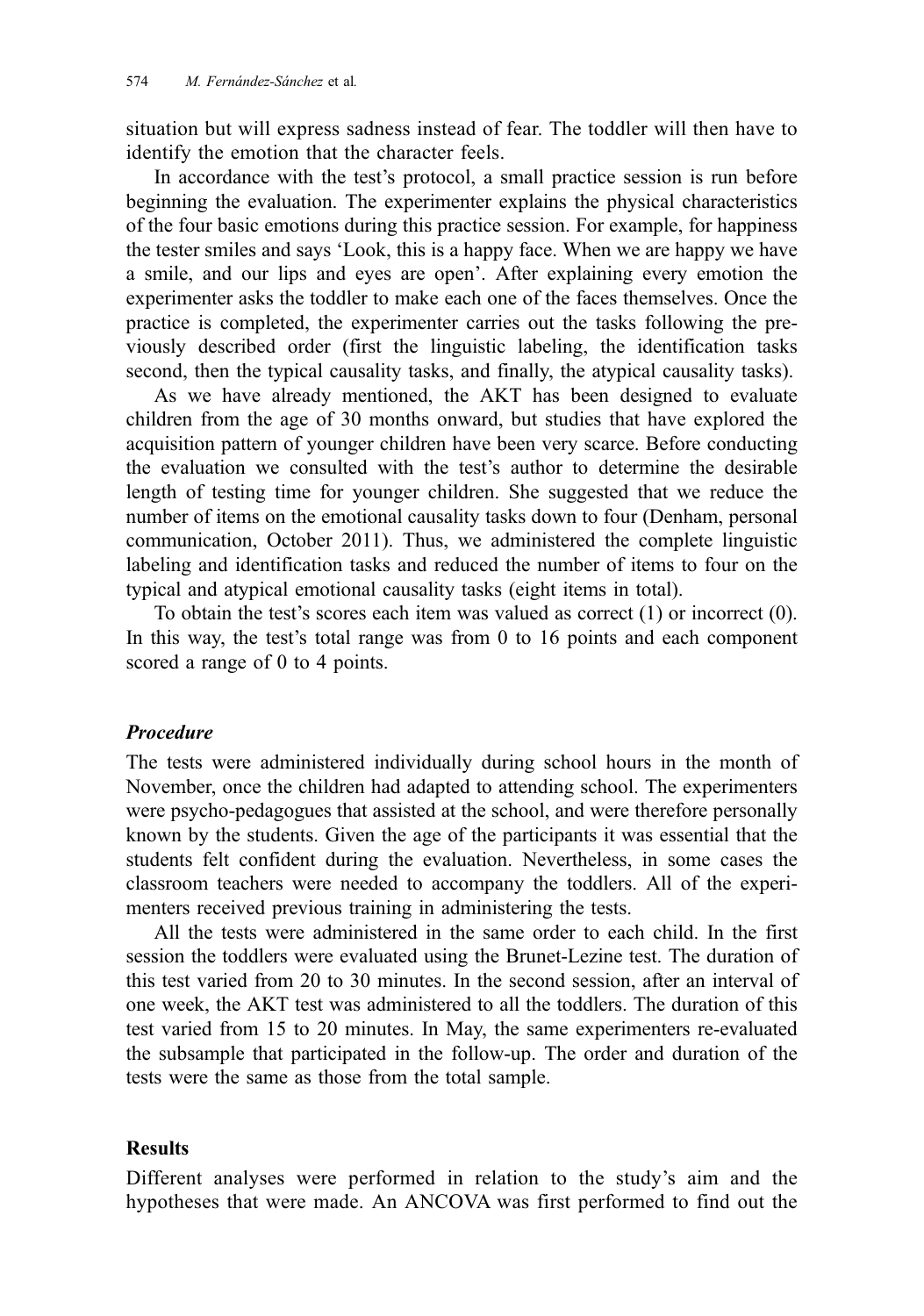situation but will express sadness instead of fear. The toddler will then have to identify the emotion that the character feels.

In accordance with the test's protocol, a small practice session is run before beginning the evaluation. The experimenter explains the physical characteristics of the four basic emotions during this practice session. For example, for happiness the tester smiles and says 'Look, this is a happy face. When we are happy we have a smile, and our lips and eyes are open'. After explaining every emotion the experimenter asks the toddler to make each one of the faces themselves. Once the practice is completed, the experimenter carries out the tasks following the previously described order (first the linguistic labeling, the identification tasks second, then the typical causality tasks, and finally, the atypical causality tasks).

As we have already mentioned, the AKT has been designed to evaluate children from the age of 30 months onward, but studies that have explored the acquisition pattern of younger children have been very scarce. Before conducting the evaluation we consulted with the test's author to determine the desirable length of testing time for younger children. She suggested that we reduce the number of items on the emotional causality tasks down to four (Denham, personal communication, October 2011). Thus, we administered the complete linguistic labeling and identification tasks and reduced the number of items to four on the typical and atypical emotional causality tasks (eight items in total).

To obtain the test's scores each item was valued as correct (1) or incorrect (0). In this way, the test's total range was from 0 to 16 points and each component scored a range of 0 to 4 points.

### Procedure

The tests were administered individually during school hours in the month of November, once the children had adapted to attending school. The experimenters were psycho-pedagogues that assisted at the school, and were therefore personally known by the students. Given the age of the participants it was essential that the students felt confident during the evaluation. Nevertheless, in some cases the classroom teachers were needed to accompany the toddlers. All of the experimenters received previous training in administering the tests.

All the tests were administered in the same order to each child. In the first session the toddlers were evaluated using the Brunet-Lezine test. The duration of this test varied from 20 to 30 minutes. In the second session, after an interval of one week, the AKT test was administered to all the toddlers. The duration of this test varied from 15 to 20 minutes. In May, the same experimenters re-evaluated the subsample that participated in the follow-up. The order and duration of the tests were the same as those from the total sample.

### **Results**

Different analyses were performed in relation to the study's aim and the hypotheses that were made. An ANCOVA was first performed to find out the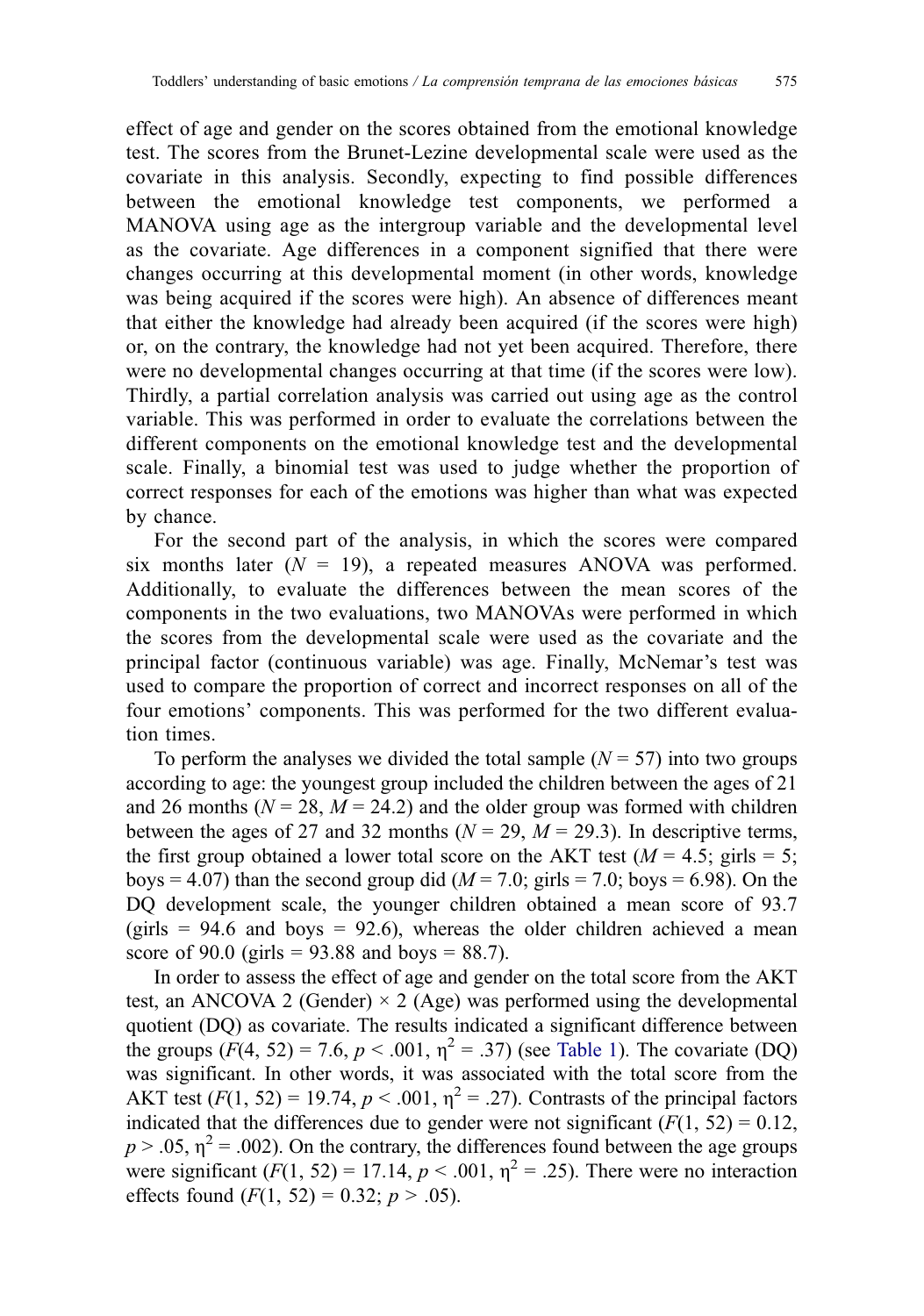effect of age and gender on the scores obtained from the emotional knowledge test. The scores from the Brunet-Lezine developmental scale were used as the covariate in this analysis. Secondly, expecting to find possible differences between the emotional knowledge test components, we performed a MANOVA using age as the intergroup variable and the developmental level as the covariate. Age differences in a component signified that there were changes occurring at this developmental moment (in other words, knowledge was being acquired if the scores were high). An absence of differences meant that either the knowledge had already been acquired (if the scores were high) or, on the contrary, the knowledge had not yet been acquired. Therefore, there were no developmental changes occurring at that time (if the scores were low). Thirdly, a partial correlation analysis was carried out using age as the control variable. This was performed in order to evaluate the correlations between the different components on the emotional knowledge test and the developmental scale. Finally, a binomial test was used to judge whether the proportion of correct responses for each of the emotions was higher than what was expected by chance.

For the second part of the analysis, in which the scores were compared six months later  $(N = 19)$ , a repeated measures ANOVA was performed. Additionally, to evaluate the differences between the mean scores of the components in the two evaluations, two MANOVAs were performed in which the scores from the developmental scale were used as the covariate and the principal factor (continuous variable) was age. Finally, McNemar's test was used to compare the proportion of correct and incorrect responses on all of the four emotions' components. This was performed for the two different evaluation times.

To perform the analyses we divided the total sample  $(N = 57)$  into two groups according to age: the youngest group included the children between the ages of 21 and 26 months ( $N = 28$ ,  $M = 24.2$ ) and the older group was formed with children between the ages of 27 and 32 months ( $N = 29$ ,  $M = 29.3$ ). In descriptive terms, the first group obtained a lower total score on the AKT test  $(M = 4.5; \text{ girls} = 5;$ boys  $= 4.07$ ) than the second group did ( $M = 7.0$ ; girls  $= 7.0$ ; boys  $= 6.98$ ). On the DQ development scale, the younger children obtained a mean score of 93.7 (girls =  $94.6$  and boys =  $92.6$ ), whereas the older children achieved a mean score of 90.0 (girls =  $93.88$  and boys =  $88.7$ ).

In order to assess the effect of age and gender on the total score from the AKT test, an ANCOVA 2 (Gender)  $\times$  2 (Age) was performed using the developmental quotient (DQ) as covariate. The results indicated a significant difference between the groups  $(F(4, 52) = 7.6, p < .001, \eta^2 = .37)$  (see [Table 1](#page-8-0)). The covariate (DQ) was significant. In other words, it was associated with the total score from the AKT test  $(F(1, 52) = 19.74, p < .001, \eta^2 = .27)$ . Contrasts of the principal factors indicated that the differences due to gender were not significant  $(F(1, 52) = 0.12,$  $p > 0.05$ ,  $\eta^2 = 0.002$ ). On the contrary, the differences found between the age groups were significant  $(F(1, 52) = 17.14, p < .001, \eta^2 = .25)$ . There were no interaction effects found  $(F(1, 52) = 0.32; p > .05)$ .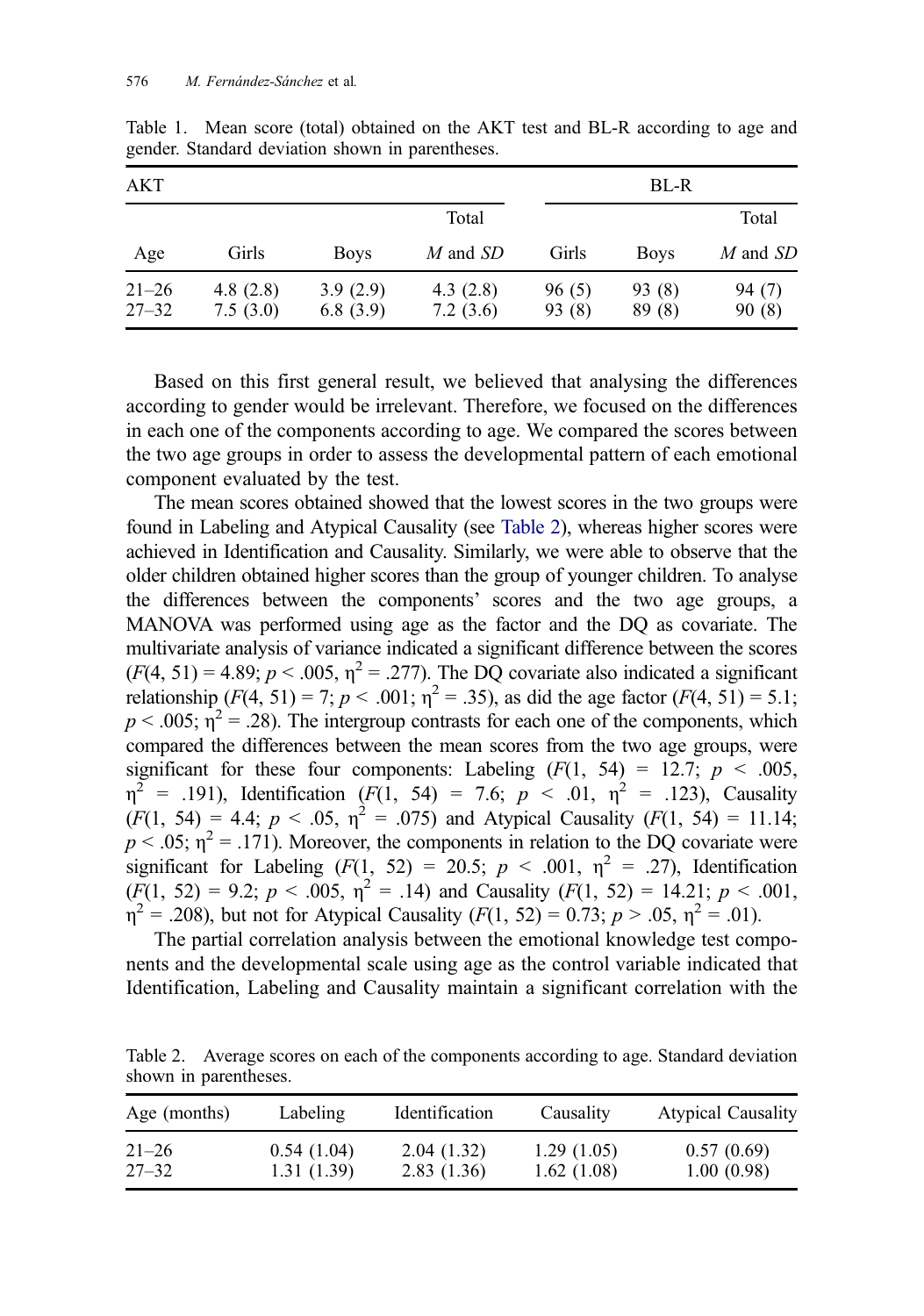| AKT                    |                         |                      |                         |                 | BL-R             |                 |
|------------------------|-------------------------|----------------------|-------------------------|-----------------|------------------|-----------------|
|                        |                         |                      | Total                   |                 |                  | Total           |
| Age                    | Girls                   | <b>Boys</b>          | M and SD                | Girls           | <b>Boys</b>      | M and SD        |
| $21 - 26$<br>$27 - 32$ | 4.8 $(2.8)$<br>7.5(3.0) | 3.9(2.9)<br>6.8(3.9) | 4.3 $(2.8)$<br>7.2(3.6) | 96(5)<br>93 (8) | 93 (8)<br>89 (8) | 94 (7)<br>90(8) |

<span id="page-8-0"></span>Table 1. Mean score (total) obtained on the AKT test and BL-R according to age and gender. Standard deviation shown in parentheses.

Based on this first general result, we believed that analysing the differences according to gender would be irrelevant. Therefore, we focused on the differences in each one of the components according to age. We compared the scores between the two age groups in order to assess the developmental pattern of each emotional component evaluated by the test.

The mean scores obtained showed that the lowest scores in the two groups were found in Labeling and Atypical Causality (see Table 2), whereas higher scores were achieved in Identification and Causality. Similarly, we were able to observe that the older children obtained higher scores than the group of younger children. To analyse the differences between the components' scores and the two age groups, a MANOVA was performed using age as the factor and the DQ as covariate. The multivariate analysis of variance indicated a significant difference between the scores  $(F(4, 51) = 4.89; p < .005, \eta^2 = .277)$ . The DQ covariate also indicated a significant relationship  $(F(4, 51) = 7; p < .001; \eta^2 = .35)$ , as did the age factor  $(F(4, 51) = 5.1;$  $p < .005$ ;  $\hat{n}^2 = .28$ ). The intergroup contrasts for each one of the components, which compared the differences between the mean scores from the two age groups, were significant for these four components: Labeling  $(F(1, 54) = 12.7; p < .005,$  $\eta^2$  = .191), Identification (F(1, 54) = 7.6; p < .01,  $\eta^2$  = .123), Causality  $(F(1, 54) = 4.4; p < .05, \eta^2 = .075)$  and Atypical Causality  $(F(1, 54) = 11.14;$  $p < .05$ ;  $\eta^2 = .171$ ). Moreover, the components in relation to the DQ covariate were significant for Labeling  $(F(1, 52) = 20.5; p < .001, \eta^2 = .27)$ , Identification  $(F(1, 52) = 9.2; p < .005, \eta^2 = .14)$  and Causality  $(F(1, 52) = 14.21; p < .001,$  $\eta^2$  = .208), but not for Atypical Causality ( $F(1, 52) = 0.73$ ;  $p > .05$ ,  $\eta^2 = .01$ ).

The partial correlation analysis between the emotional knowledge test components and the developmental scale using age as the control variable indicated that Identification, Labeling and Causality maintain a significant correlation with the

Table 2. Average scores on each of the components according to age. Standard deviation shown in parentheses.

| Age (months) | Labeling   | Identification | Causality  | <b>Atypical Causality</b> |
|--------------|------------|----------------|------------|---------------------------|
| $21 - 26$    | 0.54(1.04) | 2.04(1.32)     | 1.29(1.05) | 0.57(0.69)                |
| $27 - 32$    | 1.31(1.39) | 2.83(1.36)     | 1.62(1.08) | 1.00(0.98)                |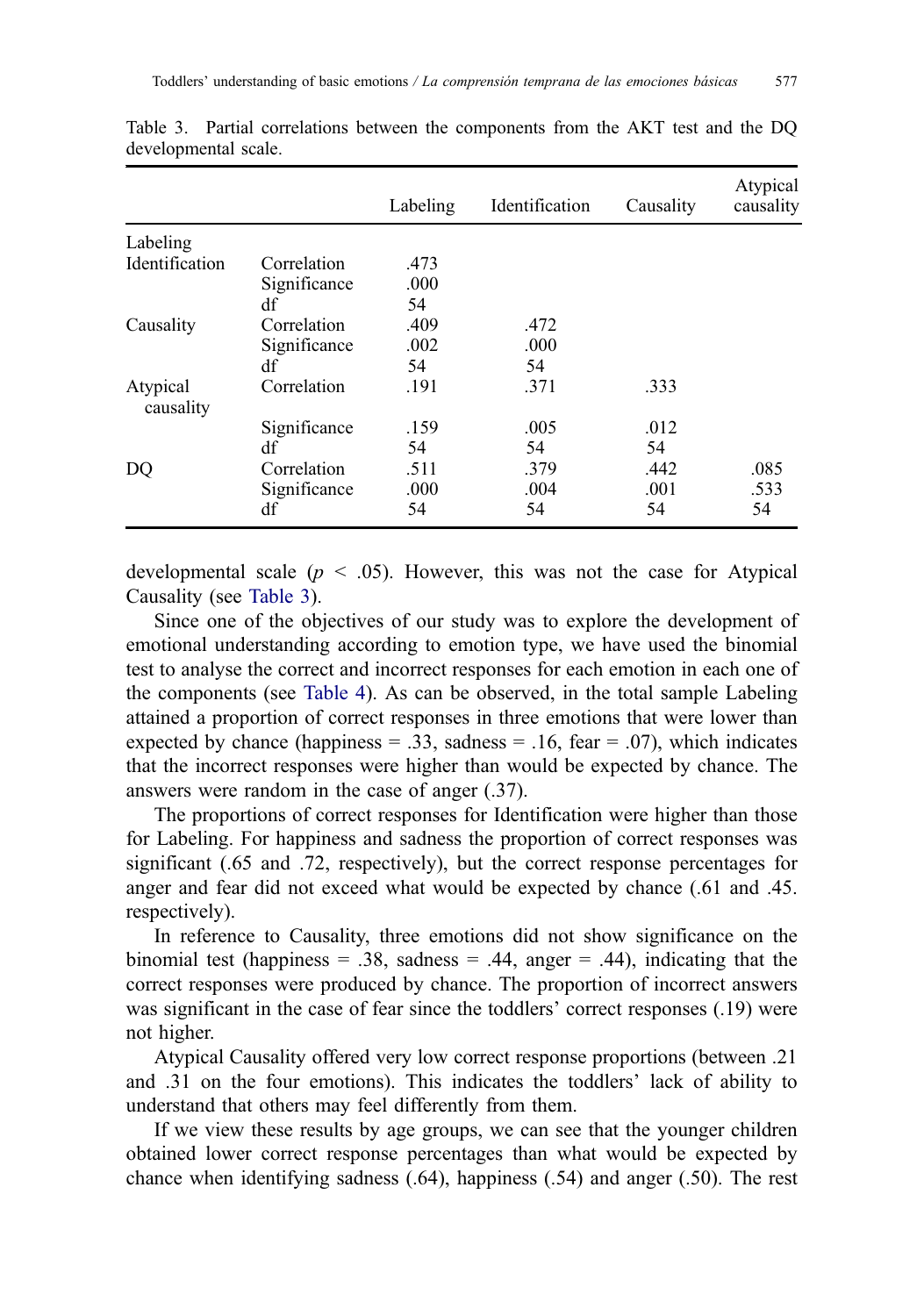|                       |                                   | Labeling           | Identification     | Causality          | Atypical<br>causality |
|-----------------------|-----------------------------------|--------------------|--------------------|--------------------|-----------------------|
| Labeling              |                                   |                    |                    |                    |                       |
| Identification        | Correlation<br>Significance<br>df | .473<br>.000<br>54 |                    |                    |                       |
| Causality             | Correlation<br>Significance<br>df | .409<br>.002<br>54 | .472<br>.000<br>54 |                    |                       |
| Atypical<br>causality | Correlation                       | .191               | .371               | .333               |                       |
|                       | Significance<br>df                | .159<br>54         | .005<br>54         | .012<br>54         |                       |
| DQ                    | Correlation<br>Significance<br>df | .511<br>.000<br>54 | .379<br>.004<br>54 | .442<br>.001<br>54 | .085<br>.533<br>54    |

Table 3. Partial correlations between the components from the AKT test and the DQ developmental scale.

developmental scale ( $p < .05$ ). However, this was not the case for Atypical Causality (see Table 3).

Since one of the objectives of our study was to explore the development of emotional understanding according to emotion type, we have used the binomial test to analyse the correct and incorrect responses for each emotion in each one of the components (see [Table 4](#page-10-0)). As can be observed, in the total sample Labeling attained a proportion of correct responses in three emotions that were lower than expected by chance (happiness = .33, sadness = .16, fear = .07), which indicates that the incorrect responses were higher than would be expected by chance. The answers were random in the case of anger (.37).

The proportions of correct responses for Identification were higher than those for Labeling. For happiness and sadness the proportion of correct responses was significant (.65 and .72, respectively), but the correct response percentages for anger and fear did not exceed what would be expected by chance (.61 and .45. respectively).

In reference to Causality, three emotions did not show significance on the binomial test (happiness  $= .38$ , sadness  $= .44$ , anger  $= .44$ ), indicating that the correct responses were produced by chance. The proportion of incorrect answers was significant in the case of fear since the toddlers' correct responses (.19) were not higher.

Atypical Causality offered very low correct response proportions (between .21 and .31 on the four emotions). This indicates the toddlers' lack of ability to understand that others may feel differently from them.

If we view these results by age groups, we can see that the younger children obtained lower correct response percentages than what would be expected by chance when identifying sadness (.64), happiness (.54) and anger (.50). The rest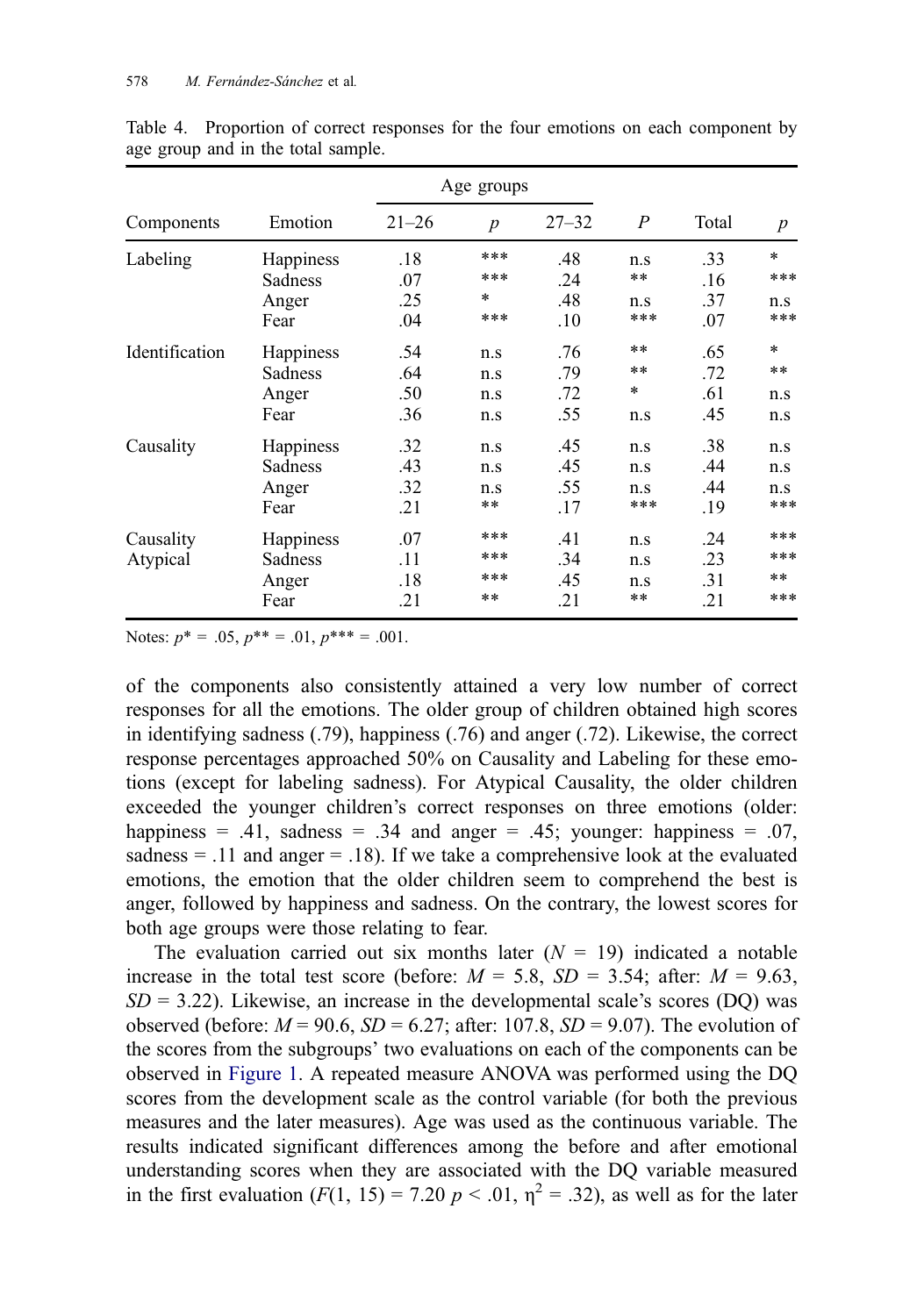|                       |                                              |                          | Age groups                 |                          |                         |                          |                         |
|-----------------------|----------------------------------------------|--------------------------|----------------------------|--------------------------|-------------------------|--------------------------|-------------------------|
| Components            | Emotion                                      | $21 - 26$                | $\boldsymbol{p}$           | $27 - 32$                | $\overline{P}$          | Total                    | $\boldsymbol{p}$        |
| Labeling              | <b>Happiness</b>                             | .18                      | ***                        | .48                      | n.s                     | .33                      | $\star$                 |
|                       | <b>Sadness</b>                               | .07                      | ***                        | .24                      | $* *$                   | .16                      | ***                     |
|                       | Anger                                        | .25                      | $\ast$                     | .48                      | n.s                     | .37                      | n.s                     |
|                       | Fear                                         | .04                      | ***                        | .10                      | ***                     | .07                      | ***                     |
| Identification        | <b>Happiness</b>                             | .54                      | n.s                        | .76                      | $* *$                   | .65                      | $\star$                 |
|                       | Sadness                                      | .64                      | n.s                        | .79                      | $* *$                   | .72                      | **                      |
|                       | Anger                                        | .50                      | n.s                        | .72                      | $\ast$                  | .61                      | n.s                     |
|                       | Fear                                         | .36                      | n.s                        | .55                      | n.s                     | .45                      | n.s                     |
| Causality             | <b>Happiness</b>                             | .32                      | n.s                        | .45                      | n.s                     | .38                      | n.s                     |
|                       | Sadness                                      | .43                      | n.s                        | .45                      | n.s                     | .44                      | n.s                     |
|                       | Anger                                        | .32                      | n.s                        | .55                      | n.s                     | .44                      | n.s                     |
|                       | Fear                                         | .21                      | **                         | .17                      | ***                     | .19                      | ***                     |
| Causality<br>Atypical | <b>Happiness</b><br>Sadness<br>Anger<br>Fear | .07<br>.11<br>.18<br>.21 | ***<br>***<br>***<br>$* *$ | .41<br>.34<br>.45<br>.21 | n.s<br>n.s<br>n.s<br>** | .24<br>.23<br>.31<br>.21 | ***<br>***<br>**<br>*** |

<span id="page-10-0"></span>Table 4. Proportion of correct responses for the four emotions on each component by age group and in the total sample.

Notes:  $p^* = .05$ ,  $p^{**} = .01$ ,  $p^{***} = .001$ .

of the components also consistently attained a very low number of correct responses for all the emotions. The older group of children obtained high scores in identifying sadness (.79), happiness (.76) and anger (.72). Likewise, the correct response percentages approached 50% on Causality and Labeling for these emotions (except for labeling sadness). For Atypical Causality, the older children exceeded the younger children's correct responses on three emotions (older: happiness = .41, sadness = .34 and anger = .45; younger: happiness = .07, sadness  $= .11$  and anger  $= .18$ ). If we take a comprehensive look at the evaluated emotions, the emotion that the older children seem to comprehend the best is anger, followed by happiness and sadness. On the contrary, the lowest scores for both age groups were those relating to fear.

The evaluation carried out six months later  $(N = 19)$  indicated a notable increase in the total test score (before:  $M = 5.8$ ,  $SD = 3.54$ ; after:  $M = 9.63$ ,  $SD = 3.22$ ). Likewise, an increase in the developmental scale's scores (DO) was observed (before:  $M = 90.6$ ,  $SD = 6.27$ ; after: 107.8,  $SD = 9.07$ ). The evolution of the scores from the subgroups' two evaluations on each of the components can be observed in [Figure 1](#page-11-0). A repeated measure ANOVA was performed using the DQ scores from the development scale as the control variable (for both the previous measures and the later measures). Age was used as the continuous variable. The results indicated significant differences among the before and after emotional understanding scores when they are associated with the DQ variable measured in the first evaluation  $(F(1, 15) = 7.20 p < .01, \eta^2 = .32)$ , as well as for the later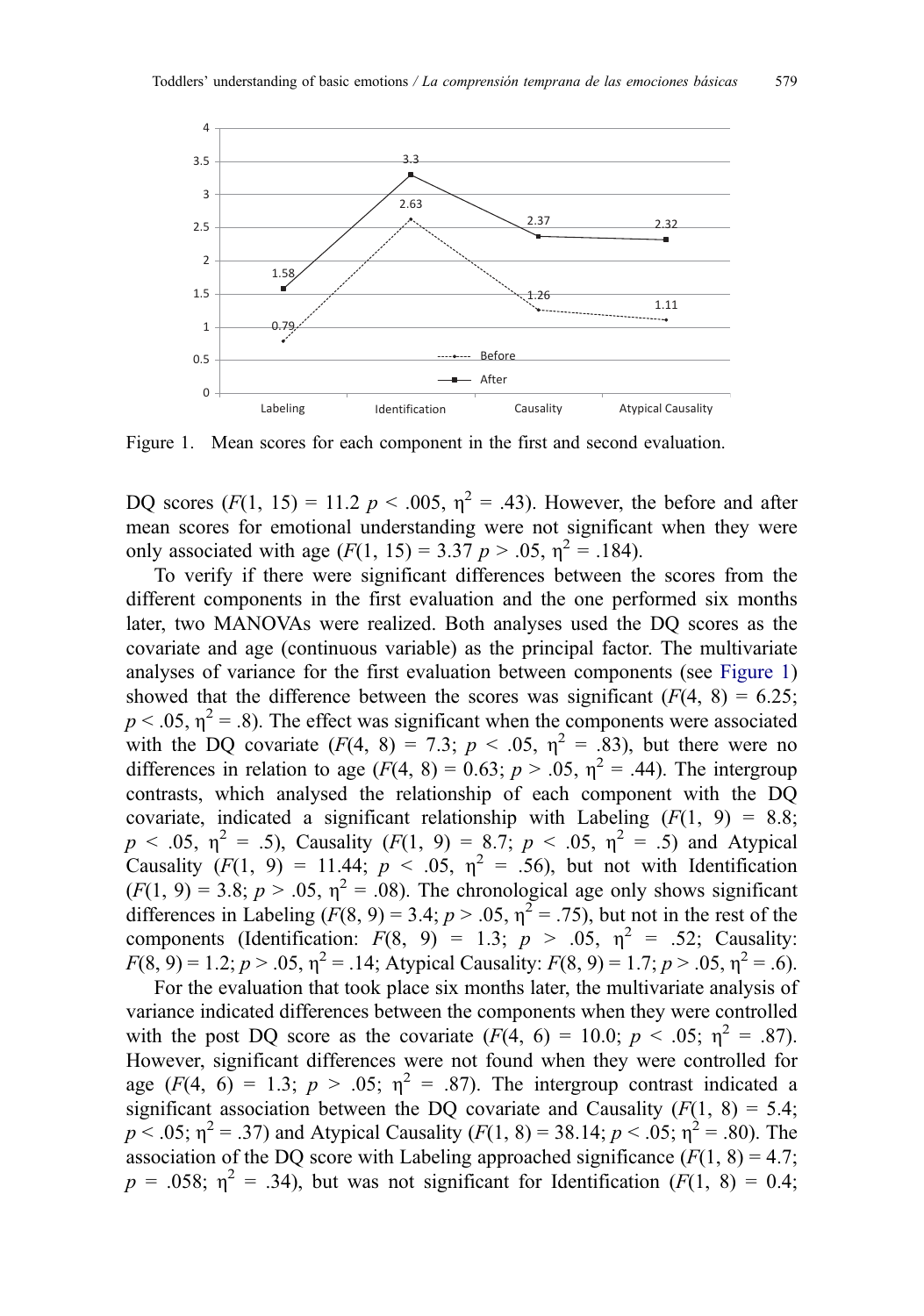<span id="page-11-0"></span>

Figure 1. Mean scores for each component in the first and second evaluation.

DQ scores  $(F(1, 15) = 11.2 p \le 0.005$ ,  $\eta^2 = .43$ ). However, the before and after mean scores for emotional understanding were not significant when they were only associated with age  $(F(1, 15) = 3.37 p > .05, \eta^2 = .184)$ .

To verify if there were significant differences between the scores from the different components in the first evaluation and the one performed six months later, two MANOVAs were realized. Both analyses used the DQ scores as the covariate and age (continuous variable) as the principal factor. The multivariate analyses of variance for the first evaluation between components (see Figure 1) showed that the difference between the scores was significant  $(F(4, 8) = 6.25)$ ;  $p < .05$ ,  $\eta^2 = .8$ ). The effect was significant when the components were associated with the DQ covariate  $(F(4, 8) = 7.3; p < .05, \eta^2 = .83)$ , but there were no differences in relation to age ( $F(4, 8) = 0.63$ ;  $p > .05$ ,  $p^2 = .44$ ). The intergroup contrasts, which analysed the relationship of each component with the DQ covariate, indicated a significant relationship with Labeling  $(F(1, 9) = 8.8;$  $p < .05$ ,  $\eta^2 = .5$ ), Causality ( $F(1, 9) = 8.7$ ;  $p < .05$ ,  $\eta^2 = .5$ ) and Atypical Causality  $(F(1, 9) = 11.44$ ;  $p < .05$ ,  $n^2 = .56$ ), but not with Identification  $(F(1, 9) = 3.8; p > .05, \eta^2 = .08)$ . The chronological age only shows significant differences in Labeling  $(F(8, 9) = 3.4; p > .05, \eta^2 = .75)$ , but not in the rest of the components (Identification:  $F(8, 9) = 1.3$ ;  $p > .05$ ,  $\eta^2 = .52$ ; Causality:  $F(8, 9) = 1.2$ ;  $p > .05$ ,  $n^2 = .14$ ; Atypical Causality:  $F(8, 9) = 1.7$ ;  $p > .05$ ,  $n^2 = .6$ ).

For the evaluation that took place six months later, the multivariate analysis of variance indicated differences between the components when they were controlled with the post DQ score as the covariate  $(F(4, 6) = 10.0; p < .05; \eta^2 = .87)$ . However, significant differences were not found when they were controlled for age  $(F(4, 6) = 1.3; p > .05; \eta^2 = .87)$ . The intergroup contrast indicated a significant association between the DQ covariate and Causality  $(F(1, 8) = 5.4;$  $p < .05$ ;  $\eta^2 = .37$ ) and Atypical Causality ( $F(1, 8) = 38.14$ ;  $p < .05$ ;  $\eta^2 = .80$ ). The association of the DQ score with Labeling approached significance  $(F(1, 8) = 4.7;$  $p = .058$ ;  $\eta^2 = .34$ ), but was not significant for Identification ( $F(1, 8) = 0.4$ ;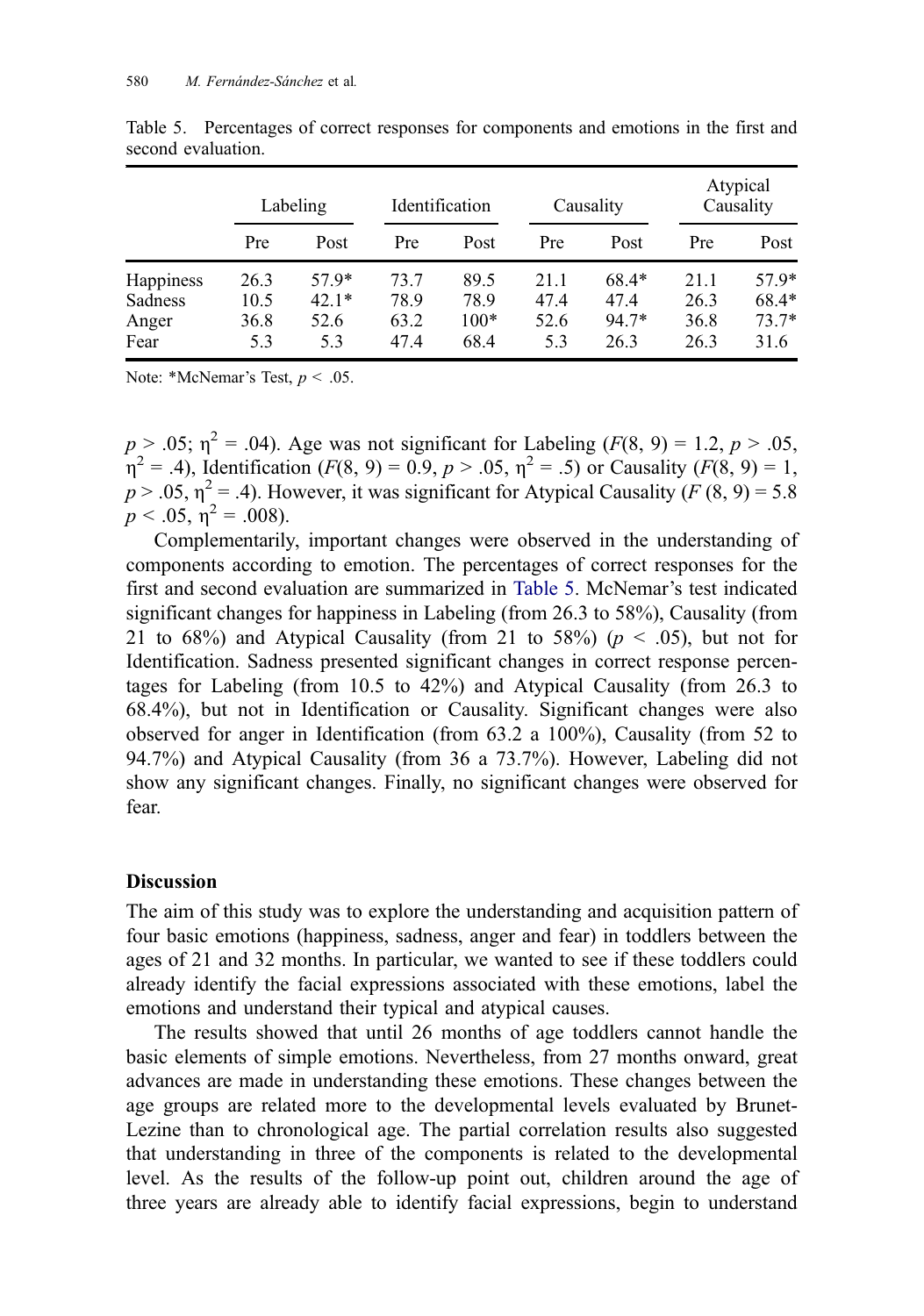|                                       | Labeling                    |                                 |                              | Identification                 |                             | Causality                      |                              | Atypical<br>Causality               |  |
|---------------------------------------|-----------------------------|---------------------------------|------------------------------|--------------------------------|-----------------------------|--------------------------------|------------------------------|-------------------------------------|--|
|                                       | Pre                         | Post                            | Pre                          | Post                           | Pre                         | Post                           | Pre                          | Post                                |  |
| Happiness<br>Sadness<br>Anger<br>Fear | 26.3<br>10.5<br>36.8<br>5.3 | 57.9*<br>$42.1*$<br>52.6<br>5.3 | 73.7<br>78.9<br>63.2<br>47.4 | 89.5<br>78.9<br>$100*$<br>68.4 | 21.1<br>47.4<br>52.6<br>5.3 | 68.4*<br>47.4<br>94.7*<br>26.3 | 21.1<br>26.3<br>36.8<br>26.3 | 57.9*<br>$68.4*$<br>$73.7*$<br>31.6 |  |

Table 5. Percentages of correct responses for components and emotions in the first and second evaluation.

Note: \*McNemar's Test,  $p < .05$ .

 $p > .05$ ;  $\eta^2 = .04$ ). Age was not significant for Labeling ( $F(8, 9) = 1.2, p > .05$ ,  $n^2 = .4$ ), Identification ( $F(8, 9) = 0.9$ ,  $p > .05$ ,  $n^2 = .5$ ) or Causality ( $F(8, 9) = 1$ ,  $p > .05$ ,  $p^2 = .4$ ). However, it was significant for Atypical Causality ( $F(8, 9) = 5.8$ )  $p < .05$ ,  $\eta^2 = .008$ ).

Complementarily, important changes were observed in the understanding of components according to emotion. The percentages of correct responses for the first and second evaluation are summarized in Table 5. McNemar's test indicated significant changes for happiness in Labeling (from 26.3 to 58%), Causality (from 21 to 68%) and Atypical Causality (from 21 to 58%) ( $p < .05$ ), but not for Identification. Sadness presented significant changes in correct response percentages for Labeling (from 10.5 to 42%) and Atypical Causality (from 26.3 to 68.4%), but not in Identification or Causality. Significant changes were also observed for anger in Identification (from 63.2 a 100%), Causality (from 52 to 94.7%) and Atypical Causality (from 36 a 73.7%). However, Labeling did not show any significant changes. Finally, no significant changes were observed for fear.

### **Discussion**

The aim of this study was to explore the understanding and acquisition pattern of four basic emotions (happiness, sadness, anger and fear) in toddlers between the ages of 21 and 32 months. In particular, we wanted to see if these toddlers could already identify the facial expressions associated with these emotions, label the emotions and understand their typical and atypical causes.

The results showed that until 26 months of age toddlers cannot handle the basic elements of simple emotions. Nevertheless, from 27 months onward, great advances are made in understanding these emotions. These changes between the age groups are related more to the developmental levels evaluated by Brunet-Lezine than to chronological age. The partial correlation results also suggested that understanding in three of the components is related to the developmental level. As the results of the follow-up point out, children around the age of three years are already able to identify facial expressions, begin to understand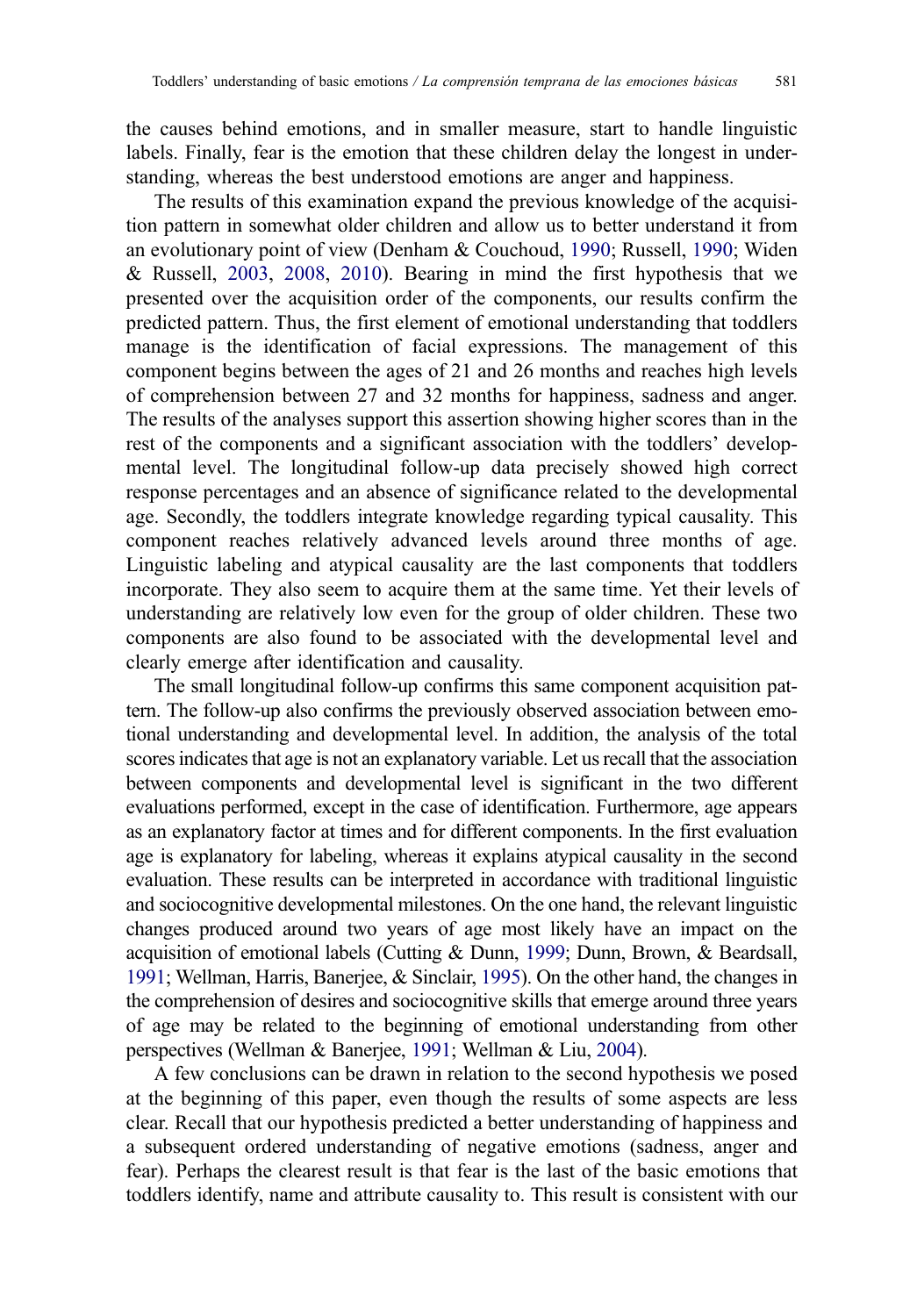the causes behind emotions, and in smaller measure, start to handle linguistic labels. Finally, fear is the emotion that these children delay the longest in understanding, whereas the best understood emotions are anger and happiness.

The results of this examination expand the previous knowledge of the acquisition pattern in somewhat older children and allow us to better understand it from an evolutionary point of view (Denham & Couchoud, [1990](#page-31-0); Russell, [1990](#page-32-0); Widen & Russell, [2003](#page-33-0), [2008,](#page-33-0) [2010\)](#page-33-0). Bearing in mind the first hypothesis that we presented over the acquisition order of the components, our results confirm the predicted pattern. Thus, the first element of emotional understanding that toddlers manage is the identification of facial expressions. The management of this component begins between the ages of 21 and 26 months and reaches high levels of comprehension between 27 and 32 months for happiness, sadness and anger. The results of the analyses support this assertion showing higher scores than in the rest of the components and a significant association with the toddlers' developmental level. The longitudinal follow-up data precisely showed high correct response percentages and an absence of significance related to the developmental age. Secondly, the toddlers integrate knowledge regarding typical causality. This component reaches relatively advanced levels around three months of age. Linguistic labeling and atypical causality are the last components that toddlers incorporate. They also seem to acquire them at the same time. Yet their levels of understanding are relatively low even for the group of older children. These two components are also found to be associated with the developmental level and clearly emerge after identification and causality.

The small longitudinal follow-up confirms this same component acquisition pattern. The follow-up also confirms the previously observed association between emotional understanding and developmental level. In addition, the analysis of the total scores indicates that age is not an explanatory variable. Let us recall that the association between components and developmental level is significant in the two different evaluations performed, except in the case of identification. Furthermore, age appears as an explanatory factor at times and for different components. In the first evaluation age is explanatory for labeling, whereas it explains atypical causality in the second evaluation. These results can be interpreted in accordance with traditional linguistic and sociocognitive developmental milestones. On the one hand, the relevant linguistic changes produced around two years of age most likely have an impact on the acquisition of emotional labels (Cutting & Dunn, [1999;](#page-30-0) Dunn, Brown, & Beardsall, [1991;](#page-31-0) Wellman, Harris, Banerjee, & Sinclair, [1995](#page-33-0)). On the other hand, the changes in the comprehension of desires and sociocognitive skills that emerge around three years of age may be related to the beginning of emotional understanding from other perspectives (Wellman & Banerjee, [1991;](#page-33-0) Wellman & Liu, [2004\)](#page-33-0).

A few conclusions can be drawn in relation to the second hypothesis we posed at the beginning of this paper, even though the results of some aspects are less clear. Recall that our hypothesis predicted a better understanding of happiness and a subsequent ordered understanding of negative emotions (sadness, anger and fear). Perhaps the clearest result is that fear is the last of the basic emotions that toddlers identify, name and attribute causality to. This result is consistent with our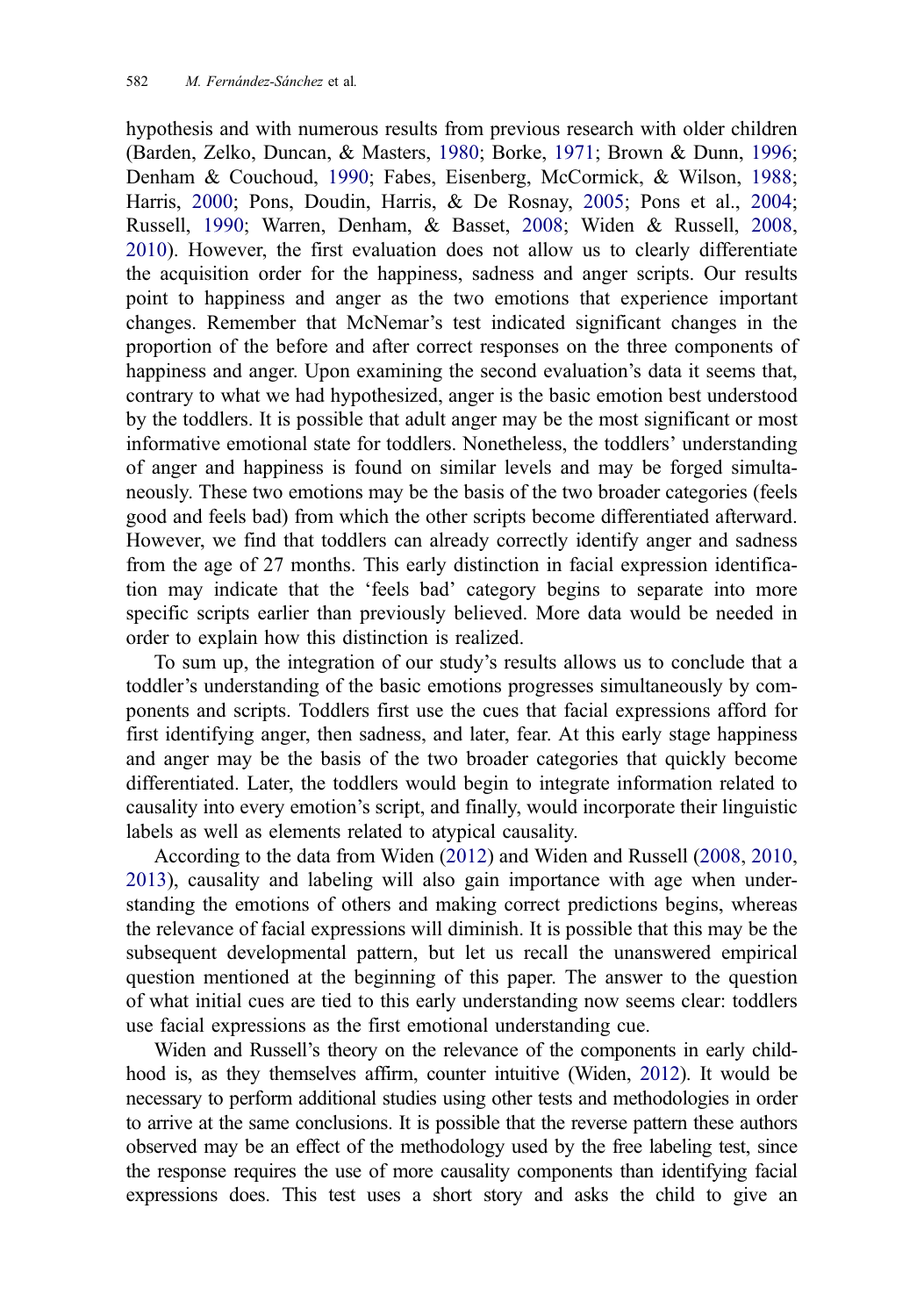hypothesis and with numerous results from previous research with older children (Barden, Zelko, Duncan, & Masters, [1980;](#page-30-0) Borke, [1971;](#page-30-0) Brown & Dunn, [1996;](#page-30-0) Denham & Couchoud, [1990](#page-31-0); Fabes, Eisenberg, McCormick, & Wilson, [1988;](#page-31-0) Harris, [2000](#page-32-0); Pons, Doudin, Harris, & De Rosnay, [2005](#page-32-0); Pons et al., [2004;](#page-32-0) Russell, [1990](#page-32-0); Warren, Denham, & Basset, [2008;](#page-33-0) Widen & Russell, [2008](#page-33-0), [2010](#page-33-0)). However, the first evaluation does not allow us to clearly differentiate the acquisition order for the happiness, sadness and anger scripts. Our results point to happiness and anger as the two emotions that experience important changes. Remember that McNemar's test indicated significant changes in the proportion of the before and after correct responses on the three components of happiness and anger. Upon examining the second evaluation's data it seems that, contrary to what we had hypothesized, anger is the basic emotion best understood by the toddlers. It is possible that adult anger may be the most significant or most informative emotional state for toddlers. Nonetheless, the toddlers' understanding of anger and happiness is found on similar levels and may be forged simultaneously. These two emotions may be the basis of the two broader categories (feels good and feels bad) from which the other scripts become differentiated afterward. However, we find that toddlers can already correctly identify anger and sadness from the age of 27 months. This early distinction in facial expression identification may indicate that the 'feels bad' category begins to separate into more specific scripts earlier than previously believed. More data would be needed in order to explain how this distinction is realized.

To sum up, the integration of our study's results allows us to conclude that a toddler's understanding of the basic emotions progresses simultaneously by components and scripts. Toddlers first use the cues that facial expressions afford for first identifying anger, then sadness, and later, fear. At this early stage happiness and anger may be the basis of the two broader categories that quickly become differentiated. Later, the toddlers would begin to integrate information related to causality into every emotion's script, and finally, would incorporate their linguistic labels as well as elements related to atypical causality.

According to the data from Widen [\(2012](#page-33-0)) and Widen and Russell ([2008,](#page-33-0) [2010](#page-33-0), [2013](#page-33-0)), causality and labeling will also gain importance with age when understanding the emotions of others and making correct predictions begins, whereas the relevance of facial expressions will diminish. It is possible that this may be the subsequent developmental pattern, but let us recall the unanswered empirical question mentioned at the beginning of this paper. The answer to the question of what initial cues are tied to this early understanding now seems clear: toddlers use facial expressions as the first emotional understanding cue.

Widen and Russell's theory on the relevance of the components in early childhood is, as they themselves affirm, counter intuitive (Widen, [2012](#page-33-0)). It would be necessary to perform additional studies using other tests and methodologies in order to arrive at the same conclusions. It is possible that the reverse pattern these authors observed may be an effect of the methodology used by the free labeling test, since the response requires the use of more causality components than identifying facial expressions does. This test uses a short story and asks the child to give an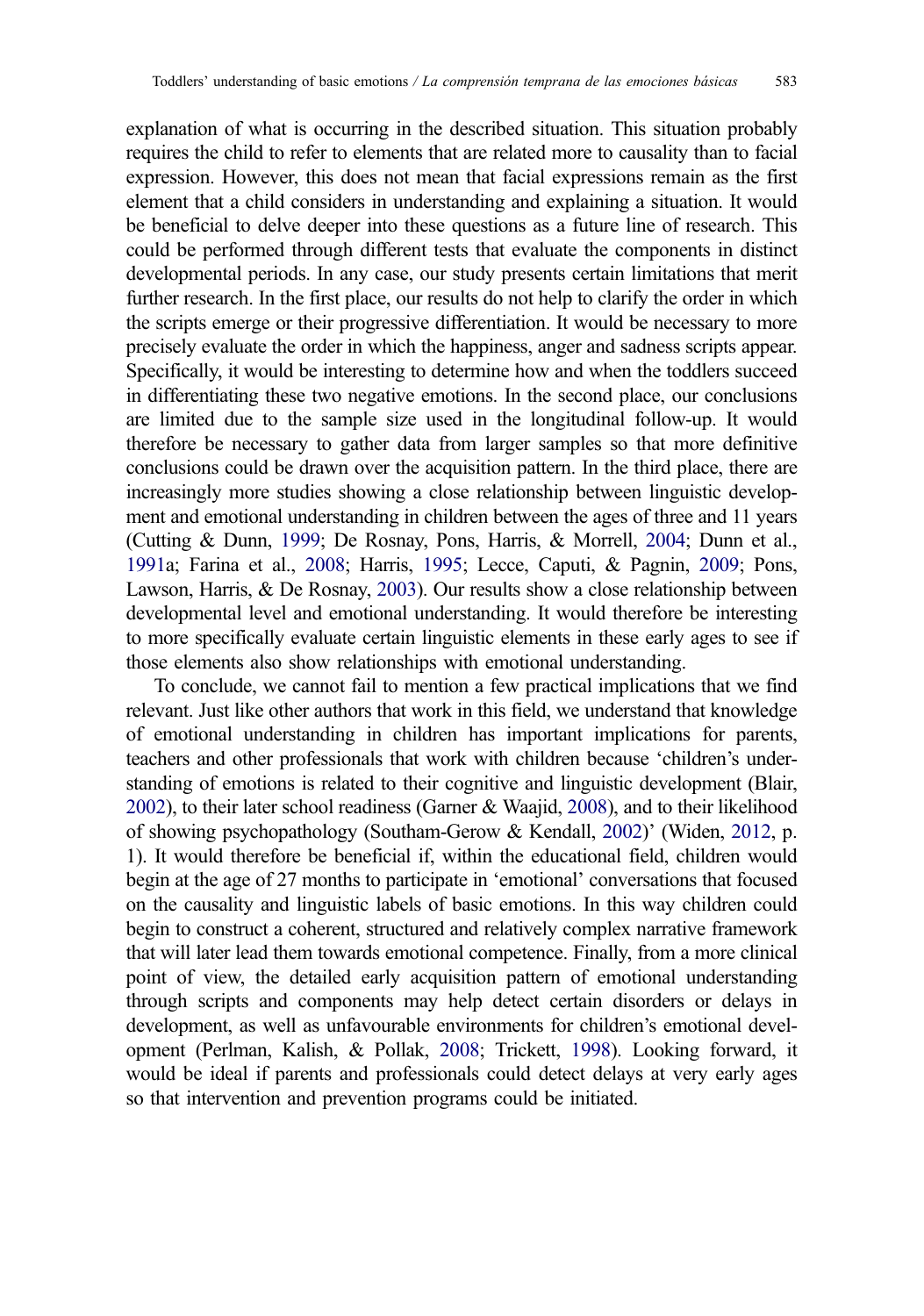explanation of what is occurring in the described situation. This situation probably requires the child to refer to elements that are related more to causality than to facial expression. However, this does not mean that facial expressions remain as the first element that a child considers in understanding and explaining a situation. It would be beneficial to delve deeper into these questions as a future line of research. This could be performed through different tests that evaluate the components in distinct developmental periods. In any case, our study presents certain limitations that merit further research. In the first place, our results do not help to clarify the order in which the scripts emerge or their progressive differentiation. It would be necessary to more precisely evaluate the order in which the happiness, anger and sadness scripts appear. Specifically, it would be interesting to determine how and when the toddlers succeed in differentiating these two negative emotions. In the second place, our conclusions are limited due to the sample size used in the longitudinal follow-up. It would therefore be necessary to gather data from larger samples so that more definitive conclusions could be drawn over the acquisition pattern. In the third place, there are increasingly more studies showing a close relationship between linguistic development and emotional understanding in children between the ages of three and 11 years (Cutting & Dunn, [1999](#page-30-0); De Rosnay, Pons, Harris, & Morrell, [2004](#page-31-0); Dunn et al., [1991a](#page-31-0); Farina et al., [2008](#page-31-0); Harris, [1995](#page-31-0); Lecce, Caputi, & Pagnin, [2009;](#page-32-0) Pons, Lawson, Harris, & De Rosnay, [2003\)](#page-32-0). Our results show a close relationship between developmental level and emotional understanding. It would therefore be interesting to more specifically evaluate certain linguistic elements in these early ages to see if those elements also show relationships with emotional understanding.

To conclude, we cannot fail to mention a few practical implications that we find relevant. Just like other authors that work in this field, we understand that knowledge of emotional understanding in children has important implications for parents, teachers and other professionals that work with children because 'children's understanding of emotions is related to their cognitive and linguistic development (Blair, [2002\)](#page-30-0), to their later school readiness (Garner & Waajid, [2008](#page-31-0)), and to their likelihood of showing psychopathology (Southam-Gerow & Kendall, [2002](#page-32-0))' (Widen, [2012,](#page-33-0) p. 1). It would therefore be beneficial if, within the educational field, children would begin at the age of 27 months to participate in 'emotional' conversations that focused on the causality and linguistic labels of basic emotions. In this way children could begin to construct a coherent, structured and relatively complex narrative framework that will later lead them towards emotional competence. Finally, from a more clinical point of view, the detailed early acquisition pattern of emotional understanding through scripts and components may help detect certain disorders or delays in development, as well as unfavourable environments for children's emotional development (Perlman, Kalish, & Pollak, [2008](#page-32-0); Trickett, [1998](#page-33-0)). Looking forward, it would be ideal if parents and professionals could detect delays at very early ages so that intervention and prevention programs could be initiated.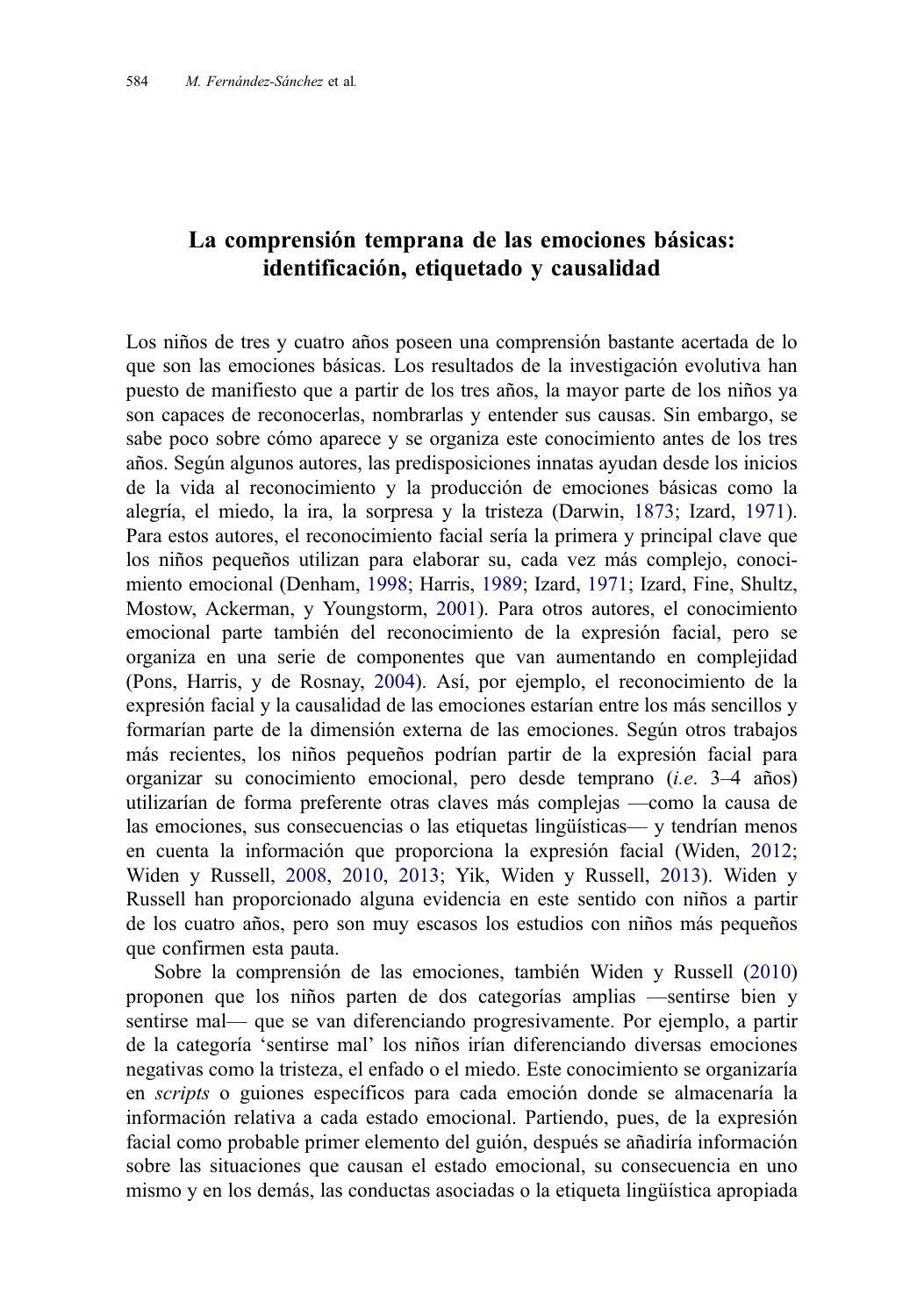### La comprensión temprana de las emociones básicas: identificación, etiquetado y causalidad

Los niños de tres y cuatro años poseen una comprensión bastante acertada de lo que son las emociones básicas. Los resultados de la investigación evolutiva han puesto de manifiesto que a partir de los tres años, la mayor parte de los niños ya son capaces de reconocerlas, nombrarlas y entender sus causas. Sin embargo, se sabe poco sobre cómo aparece y se organiza este conocimiento antes de los tres años. Según algunos autores, las predisposiciones innatas ayudan desde los inicios de la vida al reconocimiento y la producción de emociones básicas como la alegría, el miedo, la ira, la sorpresa y la tristeza (Darwin, [1873](#page-31-0); Izard, [1971\)](#page-32-0). Para estos autores, el reconocimiento facial sería la primera y principal clave que los niños pequeños utilizan para elaborar su, cada vez más complejo, conocimiento emocional (Denham, [1998;](#page-31-0) Harris, [1989](#page-31-0); Izard, [1971;](#page-32-0) Izard, Fine, Shultz, Mostow, Ackerman, y Youngstorm, [2001\)](#page-32-0). Para otros autores, el conocimiento emocional parte también del reconocimiento de la expresión facial, pero se organiza en una serie de componentes que van aumentando en complejidad (Pons, Harris, y de Rosnay, [2004\)](#page-32-0). Así, por ejemplo, el reconocimiento de la expresión facial y la causalidad de las emociones estarían entre los más sencillos y formarían parte de la dimensión externa de las emociones. Según otros trabajos más recientes, los niños pequeños podrían partir de la expresión facial para organizar su conocimiento emocional, pero desde temprano (i.e. 3–4 años) utilizarían de forma preferente otras claves más complejas —como la causa de las emociones, sus consecuencias o las etiquetas lingüísticas— y tendrían menos en cuenta la información que proporciona la expresión facial (Widen, [2012](#page-33-0); Widen y Russell, [2008,](#page-33-0) [2010,](#page-33-0) [2013;](#page-33-0) Yik, Widen y Russell, [2013\)](#page-33-0). Widen y Russell han proporcionado alguna evidencia en este sentido con niños a partir de los cuatro años, pero son muy escasos los estudios con niños más pequeños que confirmen esta pauta.

Sobre la comprensión de las emociones, también Widen y Russell ([2010](#page-33-0)) proponen que los niños parten de dos categorías amplias —sentirse bien y sentirse mal— que se van diferenciando progresivamente. Por ejemplo, a partir de la categoría 'sentirse mal' los niños irían diferenciando diversas emociones negativas como la tristeza, el enfado o el miedo. Este conocimiento se organizaría en scripts o guiones específicos para cada emoción donde se almacenaría la información relativa a cada estado emocional. Partiendo, pues, de la expresión facial como probable primer elemento del guión, después se añadiría información sobre las situaciones que causan el estado emocional, su consecuencia en uno mismo y en los demás, las conductas asociadas o la etiqueta lingüística apropiada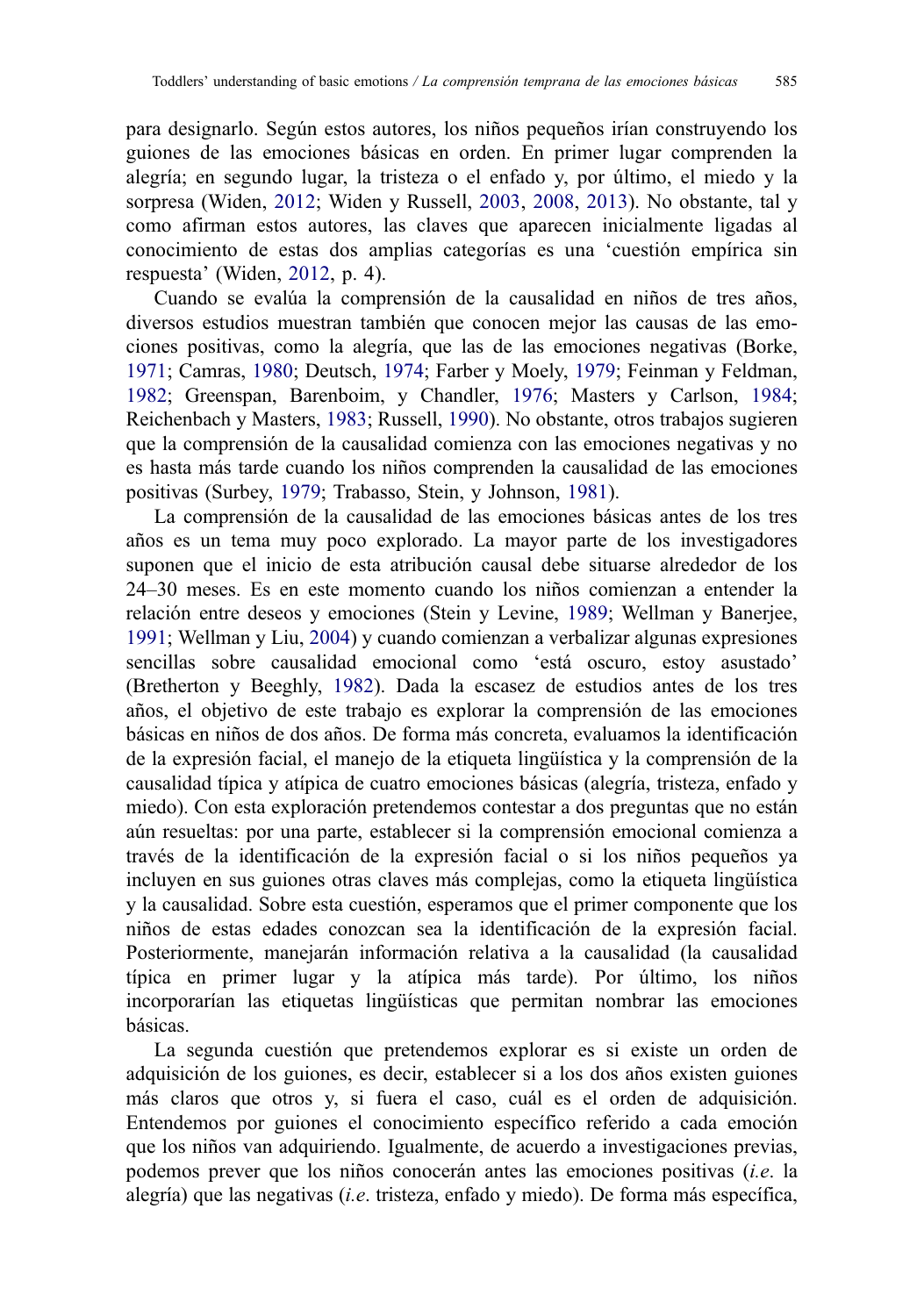para designarlo. Según estos autores, los niños pequeños irían construyendo los guiones de las emociones básicas en orden. En primer lugar comprenden la alegría; en segundo lugar, la tristeza o el enfado y, por último, el miedo y la sorpresa (Widen, [2012;](#page-33-0) Widen y Russell, [2003](#page-33-0), [2008,](#page-33-0) [2013](#page-33-0)). No obstante, tal y como afirman estos autores, las claves que aparecen inicialmente ligadas al conocimiento de estas dos amplias categorías es una 'cuestión empírica sin respuesta' (Widen, [2012](#page-33-0), p. 4).

Cuando se evalúa la comprensión de la causalidad en niños de tres años, diversos estudios muestran también que conocen mejor las causas de las emociones positivas, como la alegría, que las de las emociones negativas (Borke, [1971](#page-30-0); Camras, [1980;](#page-30-0) Deutsch, [1974](#page-31-0); Farber y Moely, [1979;](#page-31-0) Feinman y Feldman, [1982](#page-31-0); Greenspan, Barenboim, y Chandler, [1976](#page-31-0); Masters y Carlson, [1984](#page-32-0); Reichenbach y Masters, [1983](#page-32-0); Russell, [1990](#page-32-0)). No obstante, otros trabajos sugieren que la comprensión de la causalidad comienza con las emociones negativas y no es hasta más tarde cuando los niños comprenden la causalidad de las emociones positivas (Surbey, [1979](#page-33-0); Trabasso, Stein, y Johnson, [1981\)](#page-33-0).

La comprensión de la causalidad de las emociones básicas antes de los tres años es un tema muy poco explorado. La mayor parte de los investigadores suponen que el inicio de esta atribución causal debe situarse alrededor de los 24–30 meses. Es en este momento cuando los niños comienzan a entender la relación entre deseos y emociones (Stein y Levine, [1989;](#page-32-0) Wellman y Banerjee, [1991](#page-33-0); Wellman y Liu, [2004](#page-33-0)) y cuando comienzan a verbalizar algunas expresiones sencillas sobre causalidad emocional como 'está oscuro, estoy asustado' (Bretherton y Beeghly, [1982\)](#page-30-0). Dada la escasez de estudios antes de los tres años, el objetivo de este trabajo es explorar la comprensión de las emociones básicas en niños de dos años. De forma más concreta, evaluamos la identificación de la expresión facial, el manejo de la etiqueta lingüística y la comprensión de la causalidad típica y atípica de cuatro emociones básicas (alegría, tristeza, enfado y miedo). Con esta exploración pretendemos contestar a dos preguntas que no están aún resueltas: por una parte, establecer si la comprensión emocional comienza a través de la identificación de la expresión facial o si los niños pequeños ya incluyen en sus guiones otras claves más complejas, como la etiqueta lingüística y la causalidad. Sobre esta cuestión, esperamos que el primer componente que los niños de estas edades conozcan sea la identificación de la expresión facial. Posteriormente, manejarán información relativa a la causalidad (la causalidad típica en primer lugar y la atípica más tarde). Por último, los niños incorporarían las etiquetas lingüísticas que permitan nombrar las emociones básicas.

La segunda cuestión que pretendemos explorar es si existe un orden de adquisición de los guiones, es decir, establecer si a los dos años existen guiones más claros que otros y, si fuera el caso, cuál es el orden de adquisición. Entendemos por guiones el conocimiento específico referido a cada emoción que los niños van adquiriendo. Igualmente, de acuerdo a investigaciones previas, podemos prever que los niños conocerán antes las emociones positivas (i.e. la alegría) que las negativas (i.e. tristeza, enfado y miedo). De forma más específica,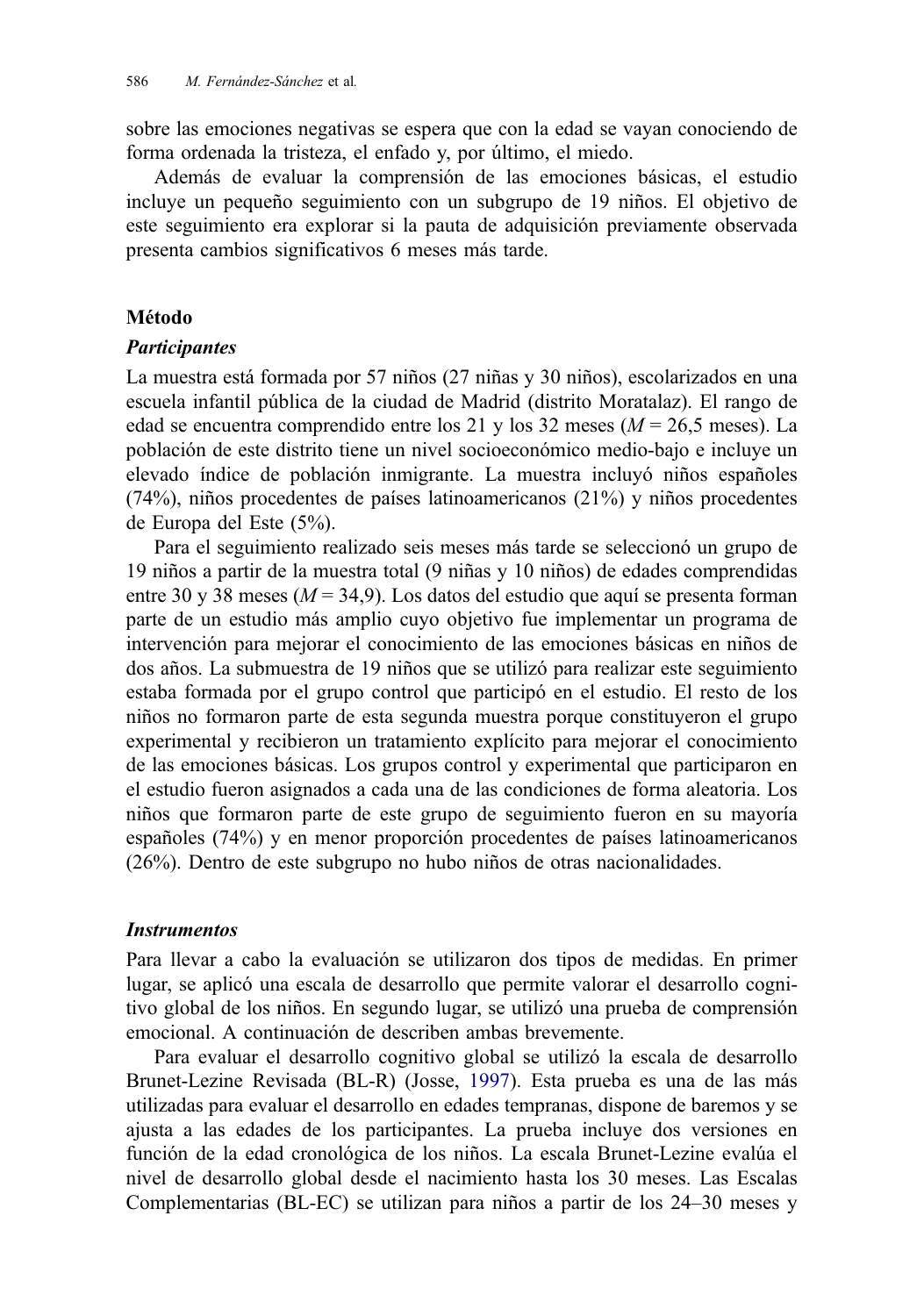sobre las emociones negativas se espera que con la edad se vayan conociendo de forma ordenada la tristeza, el enfado y, por último, el miedo.

Además de evaluar la comprensión de las emociones básicas, el estudio incluye un pequeño seguimiento con un subgrupo de 19 niños. El objetivo de este seguimiento era explorar si la pauta de adquisición previamente observada presenta cambios significativos 6 meses más tarde.

### Método

### **Participantes**

La muestra está formada por 57 niños (27 niñas y 30 niños), escolarizados en una escuela infantil pública de la ciudad de Madrid (distrito Moratalaz). El rango de edad se encuentra comprendido entre los 21 y los 32 meses ( $M = 26,5$  meses). La población de este distrito tiene un nivel socioeconómico medio-bajo e incluye un elevado índice de población inmigrante. La muestra incluyó niños españoles  $(74%)$ , niños procedentes de países latinoamericanos  $(21%)$  y niños procedentes de Europa del Este (5%).

Para el seguimiento realizado seis meses más tarde se seleccionó un grupo de 19 niños a partir de la muestra total (9 niñas y 10 niños) de edades comprendidas entre 30 y 38 meses ( $M = 34,9$ ). Los datos del estudio que aquí se presenta forman parte de un estudio más amplio cuyo objetivo fue implementar un programa de intervención para mejorar el conocimiento de las emociones básicas en niños de dos años. La submuestra de 19 niños que se utilizó para realizar este seguimiento estaba formada por el grupo control que participó en el estudio. El resto de los niños no formaron parte de esta segunda muestra porque constituyeron el grupo experimental y recibieron un tratamiento explícito para mejorar el conocimiento de las emociones básicas. Los grupos control y experimental que participaron en el estudio fueron asignados a cada una de las condiciones de forma aleatoria. Los niños que formaron parte de este grupo de seguimiento fueron en su mayoría españoles (74%) y en menor proporción procedentes de países latinoamericanos (26%). Dentro de este subgrupo no hubo niños de otras nacionalidades.

### **Instrumentos**

Para llevar a cabo la evaluación se utilizaron dos tipos de medidas. En primer lugar, se aplicó una escala de desarrollo que permite valorar el desarrollo cognitivo global de los niños. En segundo lugar, se utilizó una prueba de comprensión emocional. A continuación de describen ambas brevemente.

Para evaluar el desarrollo cognitivo global se utilizó la escala de desarrollo Brunet-Lezine Revisada (BL-R) (Josse, [1997](#page-32-0)). Esta prueba es una de las más utilizadas para evaluar el desarrollo en edades tempranas, dispone de baremos y se ajusta a las edades de los participantes. La prueba incluye dos versiones en función de la edad cronológica de los niños. La escala Brunet-Lezine evalúa el nivel de desarrollo global desde el nacimiento hasta los 30 meses. Las Escalas Complementarias (BL-EC) se utilizan para niños a partir de los 24–30 meses y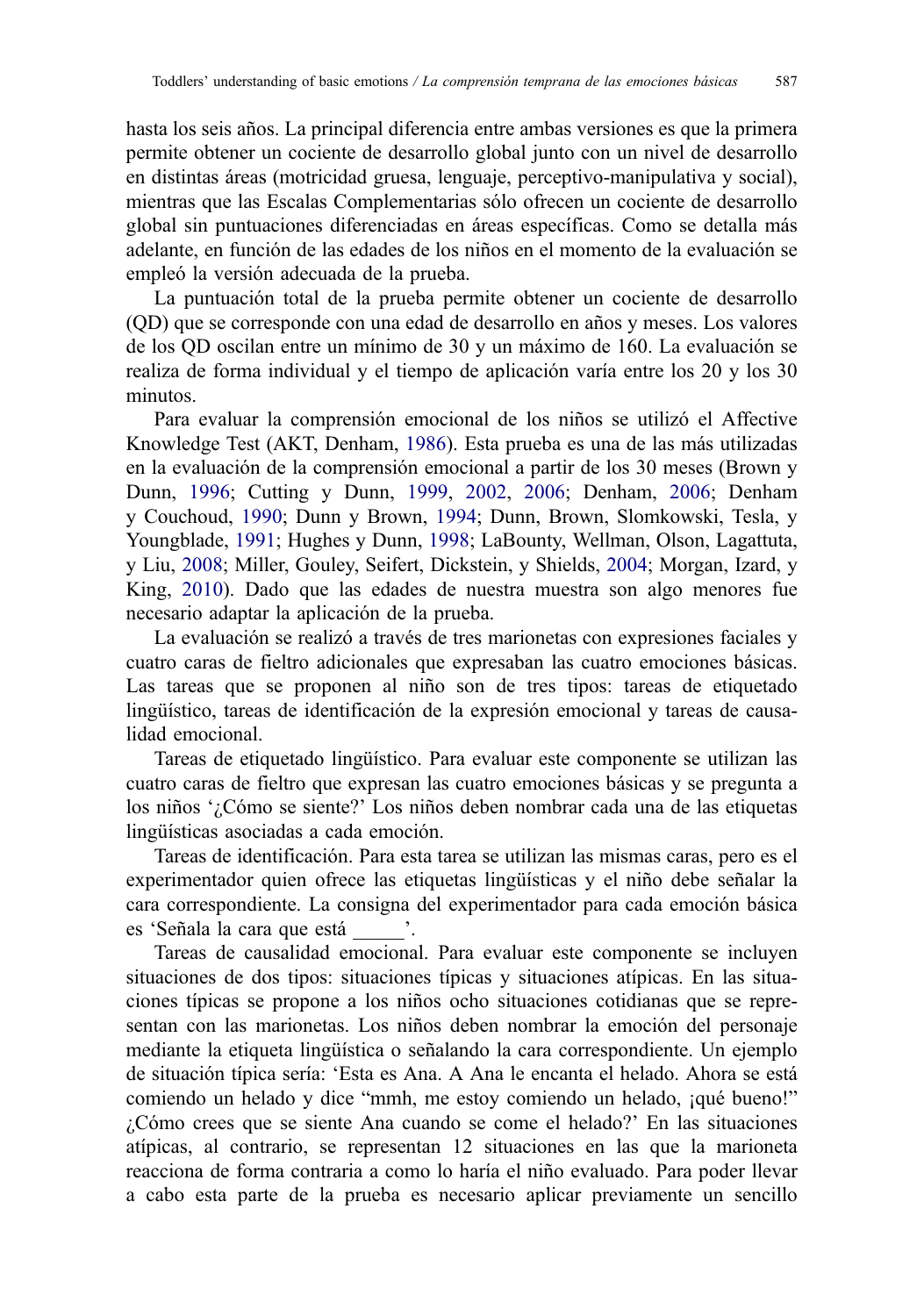hasta los seis años. La principal diferencia entre ambas versiones es que la primera permite obtener un cociente de desarrollo global junto con un nivel de desarrollo en distintas áreas (motricidad gruesa, lenguaje, perceptivo-manipulativa y social), mientras que las Escalas Complementarias sólo ofrecen un cociente de desarrollo global sin puntuaciones diferenciadas en áreas específicas. Como se detalla más adelante, en función de las edades de los niños en el momento de la evaluación se empleó la versión adecuada de la prueba.

La puntuación total de la prueba permite obtener un cociente de desarrollo (QD) que se corresponde con una edad de desarrollo en años y meses. Los valores de los QD oscilan entre un mínimo de 30 y un máximo de 160. La evaluación se realiza de forma individual y el tiempo de aplicación varía entre los 20 y los 30 minutos.

Para evaluar la comprensión emocional de los niños se utilizó el Affective Knowledge Test (AKT, Denham, [1986](#page-31-0)). Esta prueba es una de las más utilizadas en la evaluación de la comprensión emocional a partir de los 30 meses (Brown y Dunn, [1996;](#page-30-0) Cutting y Dunn, [1999](#page-30-0), [2002,](#page-30-0) [2006;](#page-31-0) Denham, [2006;](#page-31-0) Denham y Couchoud, [1990;](#page-31-0) Dunn y Brown, [1994;](#page-31-0) Dunn, Brown, Slomkowski, Tesla, y Youngblade, [1991](#page-31-0); Hughes y Dunn, [1998;](#page-32-0) LaBounty, Wellman, Olson, Lagattuta, y Liu, [2008](#page-32-0); Miller, Gouley, Seifert, Dickstein, y Shields, [2004;](#page-32-0) Morgan, Izard, y King, [2010](#page-32-0)). Dado que las edades de nuestra muestra son algo menores fue necesario adaptar la aplicación de la prueba.

La evaluación se realizó a través de tres marionetas con expresiones faciales y cuatro caras de fieltro adicionales que expresaban las cuatro emociones básicas. Las tareas que se proponen al niño son de tres tipos: tareas de etiquetado lingüístico, tareas de identificación de la expresión emocional y tareas de causalidad emocional.

Tareas de etiquetado lingüístico. Para evaluar este componente se utilizan las cuatro caras de fieltro que expresan las cuatro emociones básicas y se pregunta a los niños '¿Cómo se siente?' Los niños deben nombrar cada una de las etiquetas lingüísticas asociadas a cada emoción.

Tareas de identificación. Para esta tarea se utilizan las mismas caras, pero es el experimentador quien ofrece las etiquetas lingüísticas y el niño debe señalar la cara correspondiente. La consigna del experimentador para cada emoción básica es 'Señala la cara que está \_\_\_\_\_'.

Tareas de causalidad emocional. Para evaluar este componente se incluyen situaciones de dos tipos: situaciones típicas y situaciones atípicas. En las situaciones típicas se propone a los niños ocho situaciones cotidianas que se representan con las marionetas. Los niños deben nombrar la emoción del personaje mediante la etiqueta lingüística o señalando la cara correspondiente. Un ejemplo de situación típica sería: 'Esta es Ana. A Ana le encanta el helado. Ahora se está comiendo un helado y dice "mmh, me estoy comiendo un helado, ¡qué bueno!" ¿Cómo crees que se siente Ana cuando se come el helado?' En las situaciones atípicas, al contrario, se representan 12 situaciones en las que la marioneta reacciona de forma contraria a como lo haría el niño evaluado. Para poder llevar a cabo esta parte de la prueba es necesario aplicar previamente un sencillo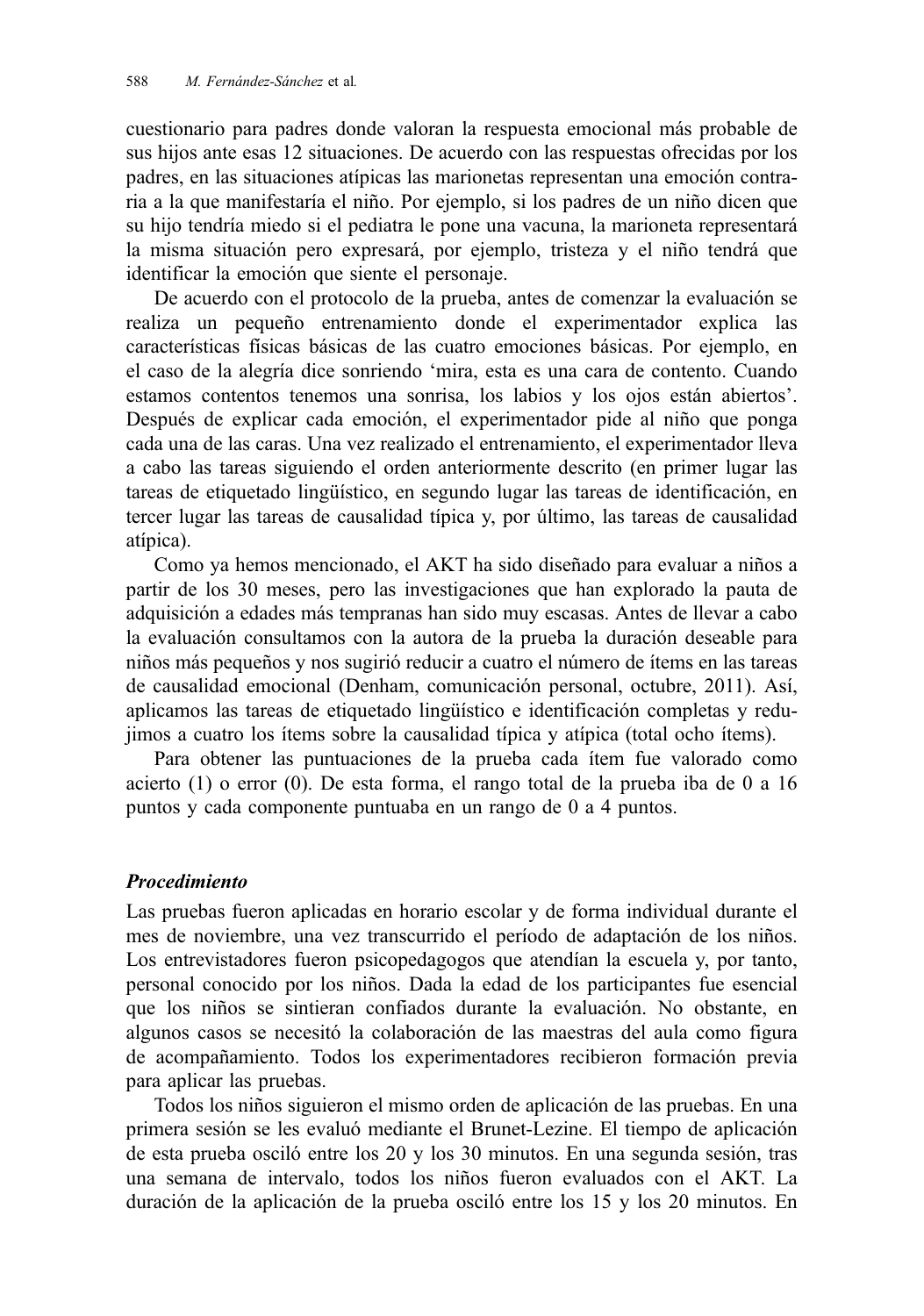cuestionario para padres donde valoran la respuesta emocional más probable de sus hijos ante esas 12 situaciones. De acuerdo con las respuestas ofrecidas por los padres, en las situaciones atípicas las marionetas representan una emoción contraria a la que manifestaría el niño. Por ejemplo, si los padres de un niño dicen que su hijo tendría miedo si el pediatra le pone una vacuna, la marioneta representará la misma situación pero expresará, por ejemplo, tristeza y el niño tendrá que identificar la emoción que siente el personaje.

De acuerdo con el protocolo de la prueba, antes de comenzar la evaluación se realiza un pequeño entrenamiento donde el experimentador explica las características físicas básicas de las cuatro emociones básicas. Por ejemplo, en el caso de la alegría dice sonriendo 'mira, esta es una cara de contento. Cuando estamos contentos tenemos una sonrisa, los labios y los ojos están abiertos'. Después de explicar cada emoción, el experimentador pide al niño que ponga cada una de las caras. Una vez realizado el entrenamiento, el experimentador lleva a cabo las tareas siguiendo el orden anteriormente descrito (en primer lugar las tareas de etiquetado lingüístico, en segundo lugar las tareas de identificación, en tercer lugar las tareas de causalidad típica y, por último, las tareas de causalidad atípica).

Como ya hemos mencionado, el AKT ha sido diseñado para evaluar a niños a partir de los 30 meses, pero las investigaciones que han explorado la pauta de adquisición a edades más tempranas han sido muy escasas. Antes de llevar a cabo la evaluación consultamos con la autora de la prueba la duración deseable para niños más pequeños y nos sugirió reducir a cuatro el número de ítems en las tareas de causalidad emocional (Denham, comunicación personal, octubre, 2011). Así, aplicamos las tareas de etiquetado lingüístico e identificación completas y redujimos a cuatro los ítems sobre la causalidad típica y atípica (total ocho ítems).

Para obtener las puntuaciones de la prueba cada ítem fue valorado como acierto (1) o error (0). De esta forma, el rango total de la prueba iba de 0 a 16 puntos y cada componente puntuaba en un rango de 0 a 4 puntos.

### Procedimiento

Las pruebas fueron aplicadas en horario escolar y de forma individual durante el mes de noviembre, una vez transcurrido el período de adaptación de los niños. Los entrevistadores fueron psicopedagogos que atendían la escuela y, por tanto, personal conocido por los niños. Dada la edad de los participantes fue esencial que los niños se sintieran confiados durante la evaluación. No obstante, en algunos casos se necesitó la colaboración de las maestras del aula como figura de acompañamiento. Todos los experimentadores recibieron formación previa para aplicar las pruebas.

Todos los niños siguieron el mismo orden de aplicación de las pruebas. En una primera sesión se les evaluó mediante el Brunet-Lezine. El tiempo de aplicación de esta prueba osciló entre los 20 y los 30 minutos. En una segunda sesión, tras una semana de intervalo, todos los niños fueron evaluados con el AKT. La duración de la aplicación de la prueba osciló entre los 15 y los 20 minutos. En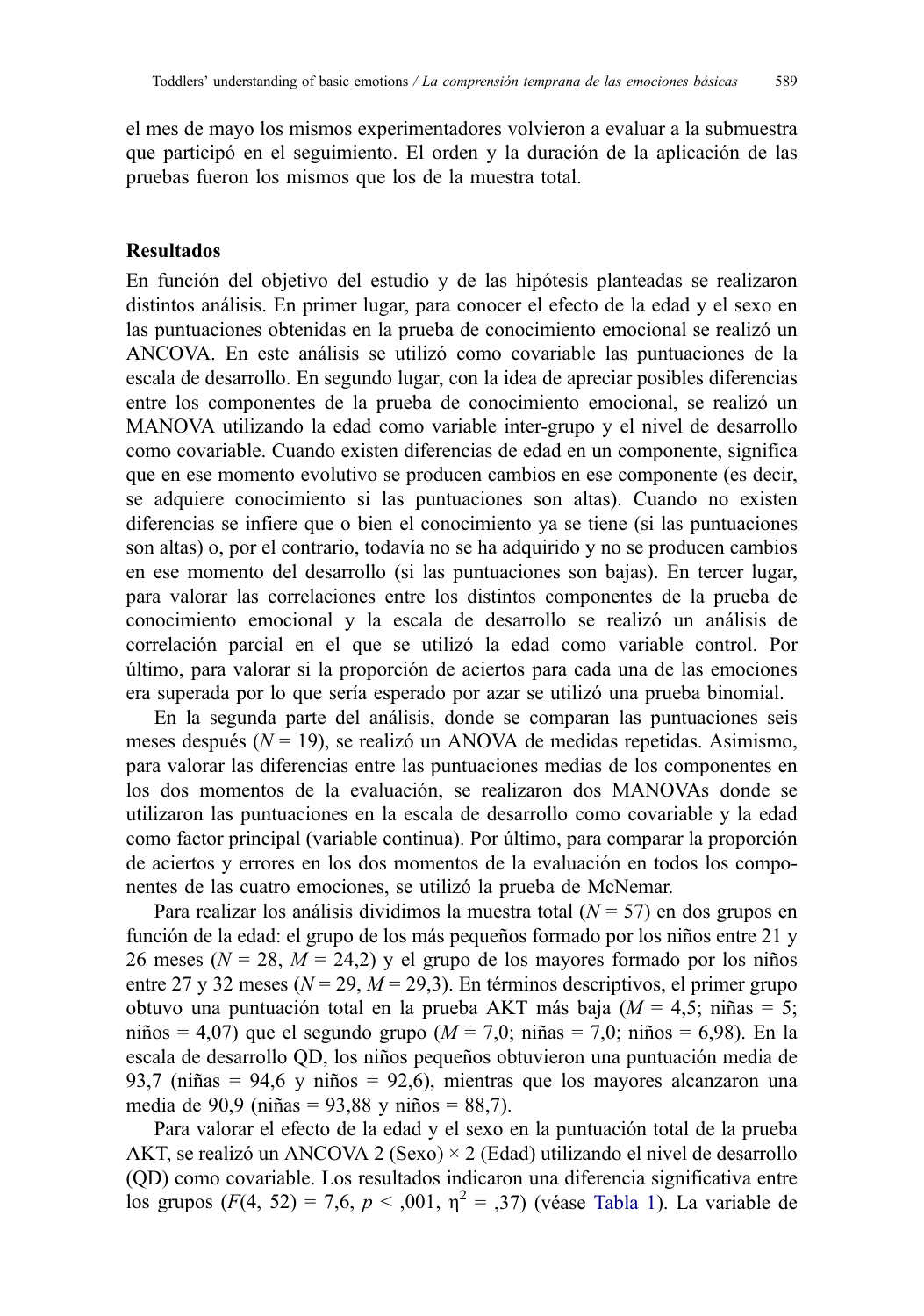el mes de mayo los mismos experimentadores volvieron a evaluar a la submuestra que participó en el seguimiento. El orden y la duración de la aplicación de las pruebas fueron los mismos que los de la muestra total.

### Resultados

En función del objetivo del estudio y de las hipótesis planteadas se realizaron distintos análisis. En primer lugar, para conocer el efecto de la edad y el sexo en las puntuaciones obtenidas en la prueba de conocimiento emocional se realizó un ANCOVA. En este análisis se utilizó como covariable las puntuaciones de la escala de desarrollo. En segundo lugar, con la idea de apreciar posibles diferencias entre los componentes de la prueba de conocimiento emocional, se realizó un MANOVA utilizando la edad como variable inter-grupo y el nivel de desarrollo como covariable. Cuando existen diferencias de edad en un componente, significa que en ese momento evolutivo se producen cambios en ese componente (es decir, se adquiere conocimiento si las puntuaciones son altas). Cuando no existen diferencias se infiere que o bien el conocimiento ya se tiene (si las puntuaciones son altas) o, por el contrario, todavía no se ha adquirido y no se producen cambios en ese momento del desarrollo (si las puntuaciones son bajas). En tercer lugar, para valorar las correlaciones entre los distintos componentes de la prueba de conocimiento emocional y la escala de desarrollo se realizó un análisis de correlación parcial en el que se utilizó la edad como variable control. Por último, para valorar si la proporción de aciertos para cada una de las emociones era superada por lo que sería esperado por azar se utilizó una prueba binomial.

En la segunda parte del análisis, donde se comparan las puntuaciones seis meses después ( $N = 19$ ), se realizó un ANOVA de medidas repetidas. Asimismo, para valorar las diferencias entre las puntuaciones medias de los componentes en los dos momentos de la evaluación, se realizaron dos MANOVAs donde se utilizaron las puntuaciones en la escala de desarrollo como covariable y la edad como factor principal (variable continua). Por último, para comparar la proporción de aciertos y errores en los dos momentos de la evaluación en todos los componentes de las cuatro emociones, se utilizó la prueba de McNemar.

Para realizar los análisis dividimos la muestra total  $(N = 57)$  en dos grupos en función de la edad: el grupo de los más pequeños formado por los niños entre 21 y 26 meses ( $N = 28$ ,  $M = 24.2$ ) y el grupo de los mayores formado por los niños entre 27 y 32 meses ( $N = 29$ ,  $M = 29,3$ ). En términos descriptivos, el primer grupo obtuvo una puntuación total en la prueba AKT más baja ( $M = 4.5$ ; niñas = 5; niños = 4,07) que el segundo grupo ( $M = 7.0$ ; niñas = 7,0; niños = 6,98). En la escala de desarrollo QD, los niños pequeños obtuvieron una puntuación media de 93,7 (niñas = 94,6 y niños = 92,6), mientras que los mayores alcanzaron una media de 90,9 (niñas = 93,88 y niños = 88,7).

Para valorar el efecto de la edad y el sexo en la puntuación total de la prueba AKT, se realizó un ANCOVA 2 (Sexo) × 2 (Edad) utilizando el nivel de desarrollo (QD) como covariable. Los resultados indicaron una diferencia significativa entre los grupos ( $F(4, 52) = 7,6, p < 0,001, \eta^2 = 0,37$ ) (véase [Tabla 1\)](#page-22-0). La variable de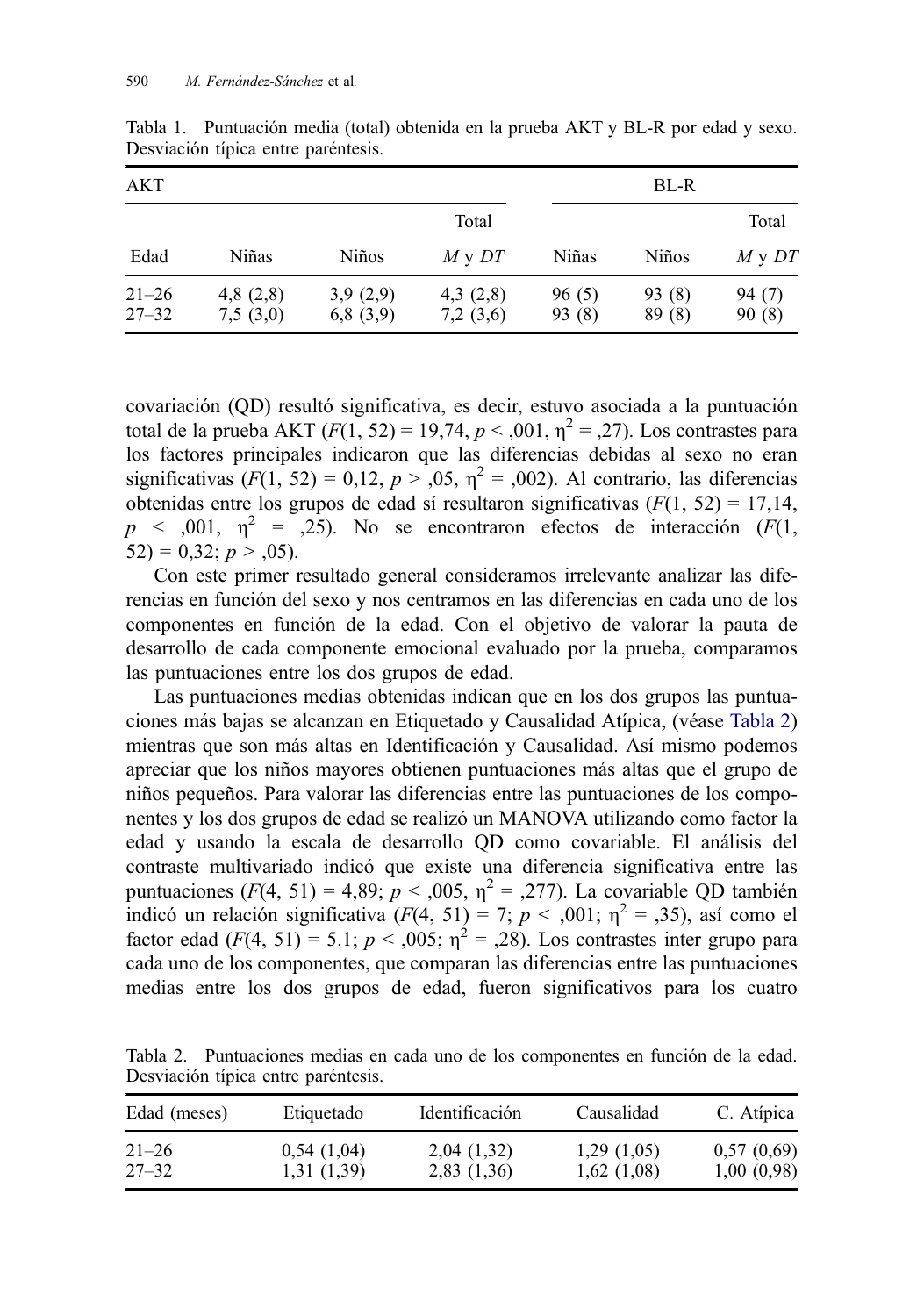| AKT                    |                      |                      |                      |                 |                  |                 |
|------------------------|----------------------|----------------------|----------------------|-----------------|------------------|-----------------|
|                        |                      |                      | Total                |                 |                  | Total           |
| Edad                   | Niñas                | Niños                | M y D T              | Niñas           | Niños            | $M \vee DT$     |
| $21 - 26$<br>$27 - 32$ | 4,8(2,8)<br>7,5(3,0) | 3,9(2,9)<br>6,8(3,9) | 4,3(2,8)<br>7,2(3,6) | 96(5)<br>93 (8) | 93 (8)<br>89 (8) | 94 (7)<br>90(8) |

<span id="page-22-0"></span>Tabla 1. Puntuación media (total) obtenida en la prueba AKT y BL-R por edad y sexo. Desviación típica entre paréntesis.

covariación (QD) resultó significativa, es decir, estuvo asociada a la puntuación total de la prueba AKT  $(F(1, 52) = 19,74, p < 0.001, \eta^2 = 0.27)$ . Los contrastes para los factores principales indicaron que las diferencias debidas al sexo no eran significativas  $(F(1, 52) = 0.12, p > 0.05, n^2 = 0.002)$ . Al contrario, las diferencias obtenidas entre los grupos de edad sí resultaron significativas  $(F(1, 52) = 17, 14,$  $p \leq 0.001$ ,  $\eta^2 = 0.25$ ). No se encontraron efectos de interacción (F(1,  $52$ ) = 0,32;  $p > 0.05$ ).

Con este primer resultado general consideramos irrelevante analizar las diferencias en función del sexo y nos centramos en las diferencias en cada uno de los componentes en función de la edad. Con el objetivo de valorar la pauta de desarrollo de cada componente emocional evaluado por la prueba, comparamos las puntuaciones entre los dos grupos de edad.

Las puntuaciones medias obtenidas indican que en los dos grupos las puntuaciones más bajas se alcanzan en Etiquetado y Causalidad Atípica, (véase Tabla 2) mientras que son más altas en Identificación y Causalidad. Así mismo podemos apreciar que los niños mayores obtienen puntuaciones más altas que el grupo de niños pequeños. Para valorar las diferencias entre las puntuaciones de los componentes y los dos grupos de edad se realizó un MANOVA utilizando como factor la edad y usando la escala de desarrollo QD como covariable. El análisis del contraste multivariado indicó que existe una diferencia significativa entre las puntuaciones ( $F(4, 51) = 4,89$ ;  $p < 0.005$ ,  $p<sup>2</sup> = 0.277$ ). La covariable QD también indicó un relación significativa  $(F(4, 51) = 7; p < 0.001; \eta^2 = 0.35)$ , así como el factor edad  $(F(4, 51) = 5.1; p < 0.005; \eta^2 = 0.28)$ . Los contrastes inter grupo para cada uno de los componentes, que comparan las diferencias entre las puntuaciones medias entre los dos grupos de edad, fueron significativos para los cuatro

Tabla 2. Puntuaciones medias en cada uno de los componentes en función de la edad. Desviación típica entre paréntesis.

| Edad (meses) | Etiquetado | Identificación | Causalidad | C. Atípica |
|--------------|------------|----------------|------------|------------|
| $21 - 26$    | 0.54(1.04) | 2,04(1,32)     | 1,29(1,05) | 0,57(0,69) |
| $27 - 32$    | 1,31(1,39) | 2,83(1,36)     | 1,62(1,08) | 1,00(0,98) |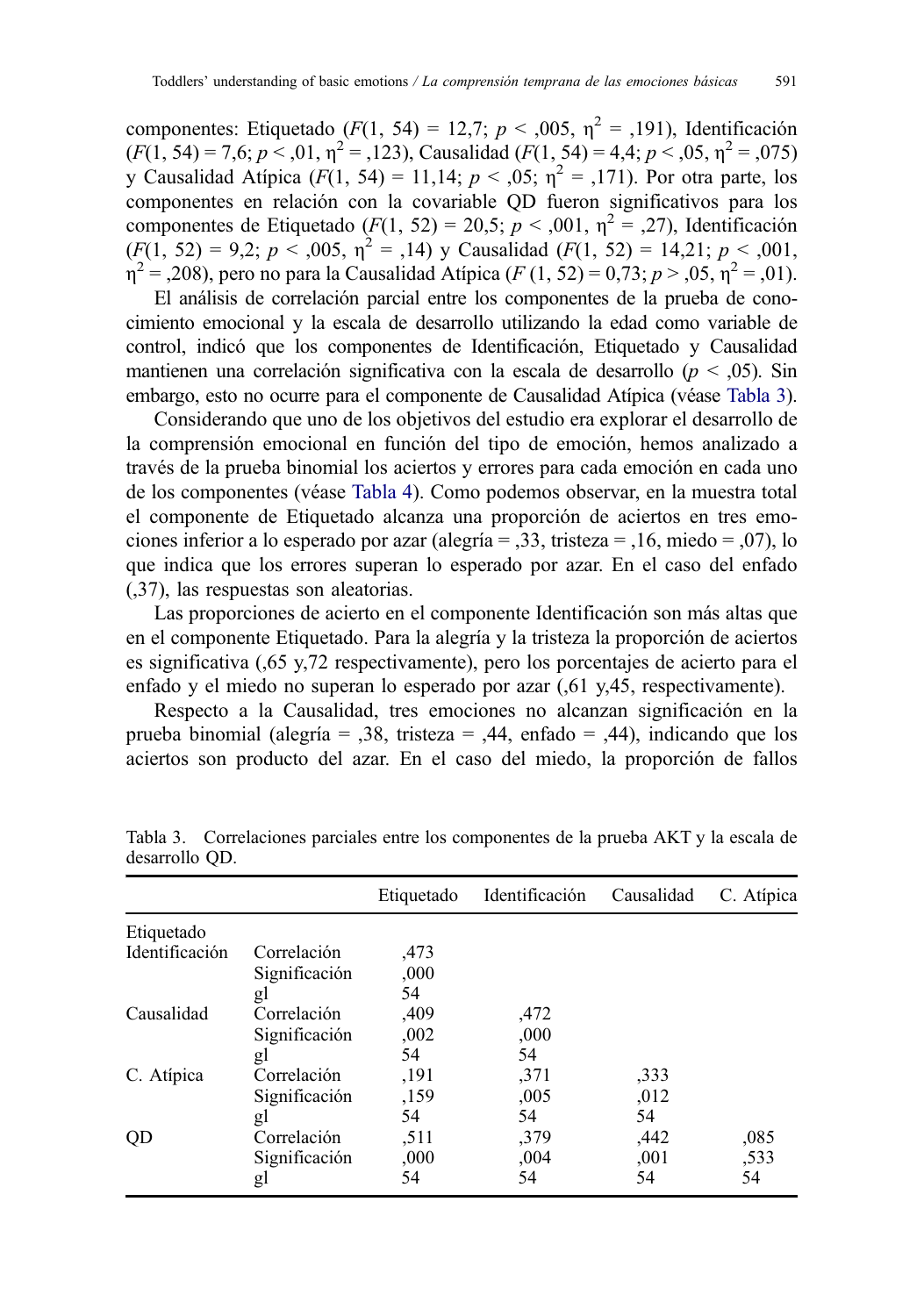componentes: Etiquetado ( $F(1, 54) = 12.7$ ;  $p < .005$ ,  $n^2 = .191$ ), Identificación  $(F(1, 54) = 7, 6; p < 0.01, \eta^2 = 123)$ , Causalidad  $(F(1, 54) = 4, 4; p < 0.05, \eta^2 = 0.075)$ y Causalidad Atípica  $(F(1, 54) = 11, 14; p < 0.05; \eta^2 = 0.171)$ . Por otra parte, los componentes en relación con la covariable QD fueron significativos para los componentes de Etiquetado ( $F(1, 52) = 20.5$ ;  $p < .001$ ,  $p^2 = .27$ ), Identificación  $(F(1, 52) = 9,2; p < 0.005, \eta^2 = 0.14)$  y Causalidad  $(F(1, 52) = 14,21; p < 0.001,$  $n^2 = 0.208$ , pero no para la Causalidad Atípica (F (1, 52) = 0.73; p > 0.05,  $n^2 = 0.01$ ).

El análisis de correlación parcial entre los componentes de la prueba de conocimiento emocional y la escala de desarrollo utilizando la edad como variable de control, indicó que los componentes de Identificación, Etiquetado y Causalidad mantienen una correlación significativa con la escala de desarrollo ( $p < 0.05$ ). Sin embargo, esto no ocurre para el componente de Causalidad Atípica (véase Tabla 3).

Considerando que uno de los objetivos del estudio era explorar el desarrollo de la comprensión emocional en función del tipo de emoción, hemos analizado a través de la prueba binomial los aciertos y errores para cada emoción en cada uno de los componentes (véase [Tabla 4](#page-24-0)). Como podemos observar, en la muestra total el componente de Etiquetado alcanza una proporción de aciertos en tres emociones inferior a lo esperado por azar (alegría = ,33, tristeza = ,16, miedo = ,07), lo que indica que los errores superan lo esperado por azar. En el caso del enfado (,37), las respuestas son aleatorias.

Las proporciones de acierto en el componente Identificación son más altas que en el componente Etiquetado. Para la alegría y la tristeza la proporción de aciertos es significativa (,65 y,72 respectivamente), pero los porcentajes de acierto para el enfado y el miedo no superan lo esperado por azar (,61 y,45, respectivamente).

Respecto a la Causalidad, tres emociones no alcanzan significación en la prueba binomial (alegría = ,38, tristeza = ,44, enfado = ,44), indicando que los aciertos son producto del azar. En el caso del miedo, la proporción de fallos

|                |                                    | Etiquetado         | Identificación     | Causalidad         | C. Atípica         |
|----------------|------------------------------------|--------------------|--------------------|--------------------|--------------------|
| Etiquetado     |                                    |                    |                    |                    |                    |
| Identificación | Correlación<br>Significación<br>gl | ,473<br>,000<br>54 |                    |                    |                    |
| Causalidad     | Correlación<br>Significación<br>gl | ,409<br>,002<br>54 | ,472<br>,000<br>54 |                    |                    |
| C. Atípica     | Correlación<br>Significación<br>gl | ,191<br>,159<br>54 | ,371<br>,005<br>54 | ,333<br>,012<br>54 |                    |
| <b>OD</b>      | Correlación<br>Significación<br>gl | ,511<br>,000<br>54 | ,379<br>,004<br>54 | ,442<br>,001<br>54 | ,085<br>,533<br>54 |

Tabla 3. Correlaciones parciales entre los componentes de la prueba AKT y la escala de desarrollo QD.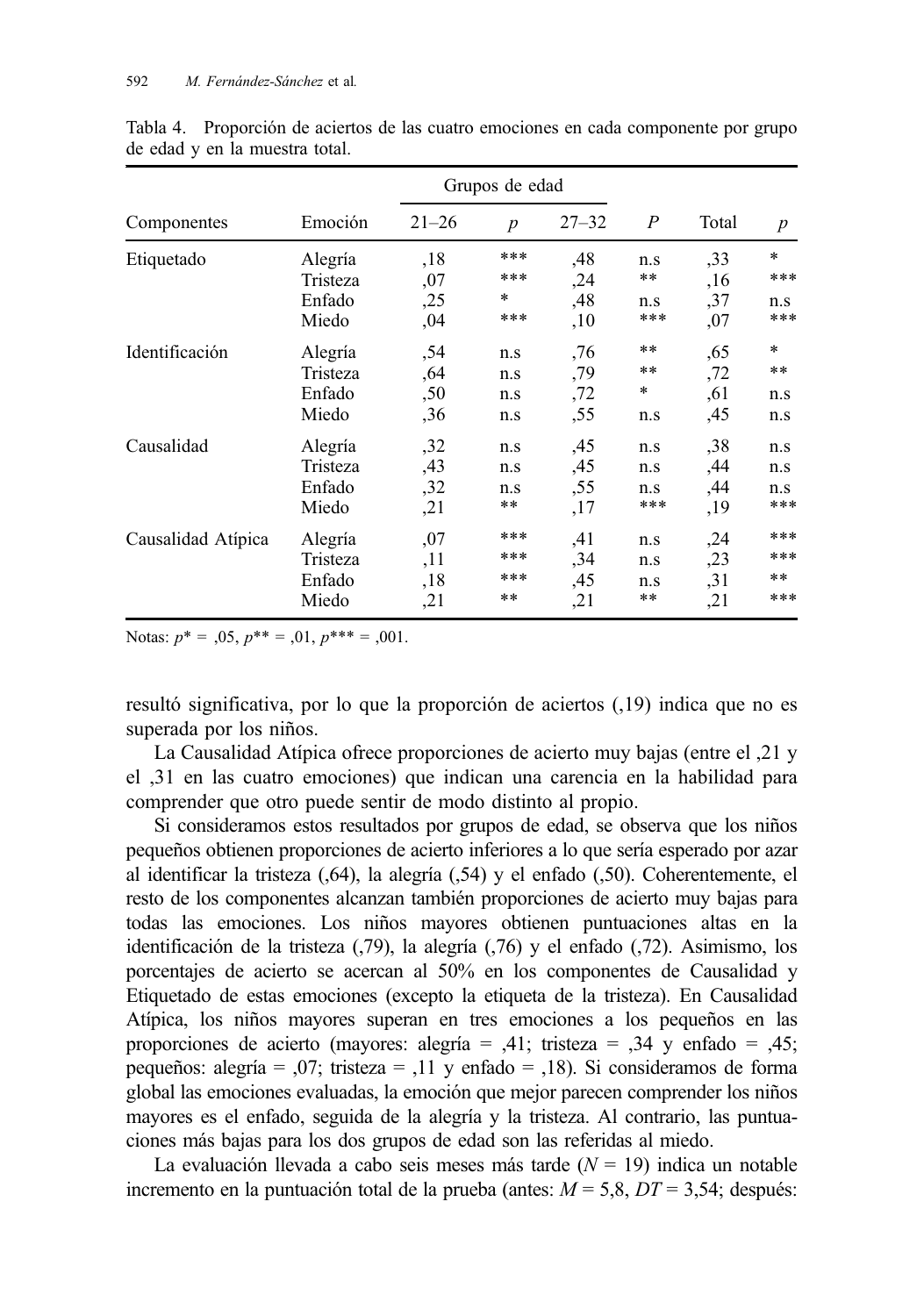|                    |          |           | Grupos de edad   |           |                  |       |                  |
|--------------------|----------|-----------|------------------|-----------|------------------|-------|------------------|
| Componentes        | Emoción  | $21 - 26$ | $\boldsymbol{p}$ | $27 - 32$ | $\boldsymbol{P}$ | Total | $\boldsymbol{p}$ |
| Etiquetado         | Alegría  | ,18       | ***              | ,48       | n.s              | , 33  | $\star$          |
|                    | Tristeza | ,07       | ***              | ,24       | $***$            | ,16   | ***              |
|                    | Enfado   | ,25       | $\ast$           | ,48       | n.s              | ,37   | n.s              |
|                    | Miedo    | .04       | ***              | ,10       | ***              | ,07   | ***              |
| Identificación     | Alegría  | .54       | n.s              | ,76       | **               | ,65   | $\star$          |
|                    | Tristeza | ,64       | n.s              | ,79       | $***$            | ,72   | $***$            |
|                    | Enfado   | ,50       | n.s              | ,72       | $\ast$           | ,61   | n.s              |
|                    | Miedo    | ,36       | n.s              | ,55       | n.s              | ,45   | n.s              |
| Causalidad         | Alegría  | ,32       | n.s              | ,45       | n.s              | 38,   | n.s              |
|                    | Tristeza | ,43       | n.s              | ,45       | n.s              | ,44   | n.s              |
|                    | Enfado   | ,32       | n.s              | ,55       | n.s              | ,44   | n.s              |
|                    | Miedo    | ,21       | **               | ,17       | ***              | ,19   | ***              |
| Causalidad Atípica | Alegría  | ,07       | ***              | ,41       | n.s              | ,24   | ***              |
|                    | Tristeza | ,11       | ***              | ,34       | n.s              | ,23   | ***              |
|                    | Enfado   | ,18       | ***              | ,45       | n.s              | ,31   | $***$            |
|                    | Miedo    | ,21       | $* *$            | ,21       | **               | ,21   | ***              |

<span id="page-24-0"></span>Tabla 4. Proporción de aciertos de las cuatro emociones en cada componente por grupo de edad y en la muestra total.

Notas:  $p^* = 0.05$ ,  $p^{**} = 0.01$ ,  $p^{***} = 0.001$ .

resultó significativa, por lo que la proporción de aciertos (,19) indica que no es superada por los niños.

La Causalidad Atípica ofrece proporciones de acierto muy bajas (entre el ,21 y el ,31 en las cuatro emociones) que indican una carencia en la habilidad para comprender que otro puede sentir de modo distinto al propio.

Si consideramos estos resultados por grupos de edad, se observa que los niños pequeños obtienen proporciones de acierto inferiores a lo que sería esperado por azar al identificar la tristeza (,64), la alegría (,54) y el enfado (,50). Coherentemente, el resto de los componentes alcanzan también proporciones de acierto muy bajas para todas las emociones. Los niños mayores obtienen puntuaciones altas en la identificación de la tristeza (,79), la alegría (,76) y el enfado (,72). Asimismo, los porcentajes de acierto se acercan al 50% en los componentes de Causalidad y Etiquetado de estas emociones (excepto la etiqueta de la tristeza). En Causalidad Atípica, los niños mayores superan en tres emociones a los pequeños en las proporciones de acierto (mayores: alegría = ,41; tristeza = ,34 y enfado = ,45; pequeños: alegría = ,07; tristeza = ,11 y enfado = ,18). Si consideramos de forma global las emociones evaluadas, la emoción que mejor parecen comprender los niños mayores es el enfado, seguida de la alegría y la tristeza. Al contrario, las puntuaciones más bajas para los dos grupos de edad son las referidas al miedo.

La evaluación llevada a cabo seis meses más tarde  $(N = 19)$  indica un notable incremento en la puntuación total de la prueba (antes:  $M = 5,8, DT = 3,54$ ; después: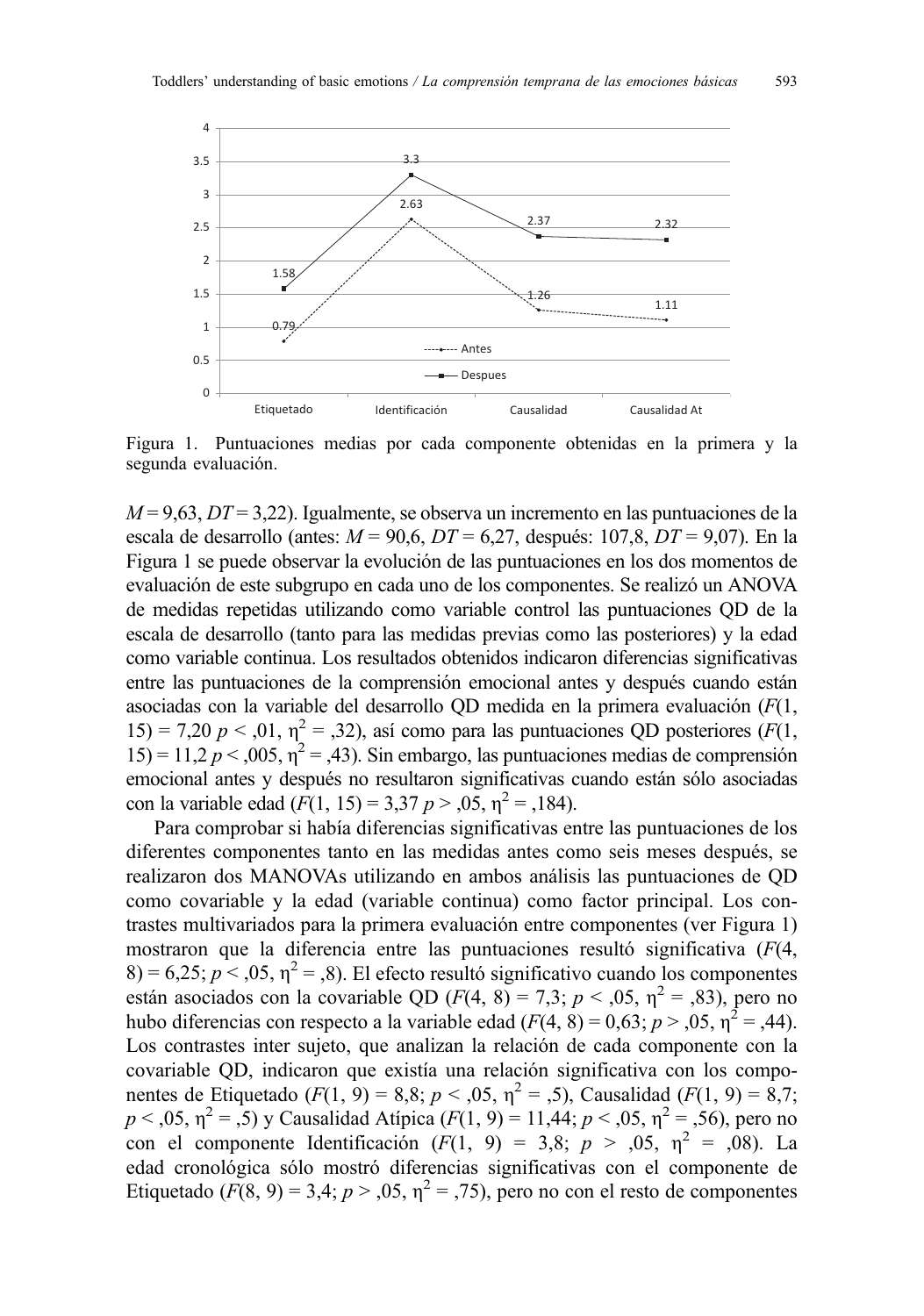

Figura 1. Puntuaciones medias por cada componente obtenidas en la primera y la segunda evaluación.

 $M = 9,63, DT = 3,22$ ). Igualmente, se observa un incremento en las puntuaciones de la escala de desarrollo (antes:  $M = 90,6, DT = 6,27,$  después: 107,8,  $DT = 9,07$ ). En la Figura 1 se puede observar la evolución de las puntuaciones en los dos momentos de evaluación de este subgrupo en cada uno de los componentes. Se realizó un ANOVA de medidas repetidas utilizando como variable control las puntuaciones QD de la escala de desarrollo (tanto para las medidas previas como las posteriores) y la edad como variable continua. Los resultados obtenidos indicaron diferencias significativas entre las puntuaciones de la comprensión emocional antes y después cuando están asociadas con la variable del desarrollo QD medida en la primera evaluación  $(F(1,$ 15) = 7,20  $p < 0.01$ ,  $\eta^2 = 0.32$ , así como para las puntuaciones QD posteriores ( $F(1, 0)$  $15$ ) = 11,2  $p < 0.005$ ,  $\eta^2 = 0.43$ ). Sin embargo, las puntuaciones medias de comprensión emocional antes y después no resultaron significativas cuando están sólo asociadas con la variable edad  $(F(1, 15) = 3,37 \, p > 0,05, \, \eta^2 = 0.184)$ .

Para comprobar si había diferencias significativas entre las puntuaciones de los diferentes componentes tanto en las medidas antes como seis meses después, se realizaron dos MANOVAs utilizando en ambos análisis las puntuaciones de QD como covariable y la edad (variable continua) como factor principal. Los contrastes multivariados para la primera evaluación entre componentes (ver Figura 1) mostraron que la diferencia entre las puntuaciones resultó significativa  $(F(4,$ 8) = 6,25;  $p < 0.05$ ,  $\eta^2 = 0.8$ ). El efecto resultó significativo cuando los componentes están asociados con la covariable QD ( $F(4, 8) = 7,3; p < 0,05, \eta^2 = 0,83$ ), pero no hubo diferencias con respecto a la variable edad  $(F(4, 8) = 0.63; p > 0.05, \eta^2 = 0.44)$ . Los contrastes inter sujeto, que analizan la relación de cada componente con la covariable QD, indicaron que existía una relación significativa con los componentes de Etiquetado ( $F(1, 9) = 8,8; p < 0.05, \eta^2 = 0.5$ ), Causalidad ( $F(1, 9) = 8,7;$  $p < 0.05$ ,  $\eta^2 = 0.5$ ) y Causalidad Atípica ( $F(1, 9) = 11,44$ ;  $p < 0.05$ ,  $\eta^2 = 0.56$ ), pero no con el componente Identificación  $(F(1, 9) = 3.8; p > 0.05, \eta^2 = 0.08)$ . La edad cronológica sólo mostró diferencias significativas con el componente de Etiquetado ( $F(8, 9) = 3.4$ ;  $p > 0.05$ ,  $p^2 = 0.75$ ), pero no con el resto de componentes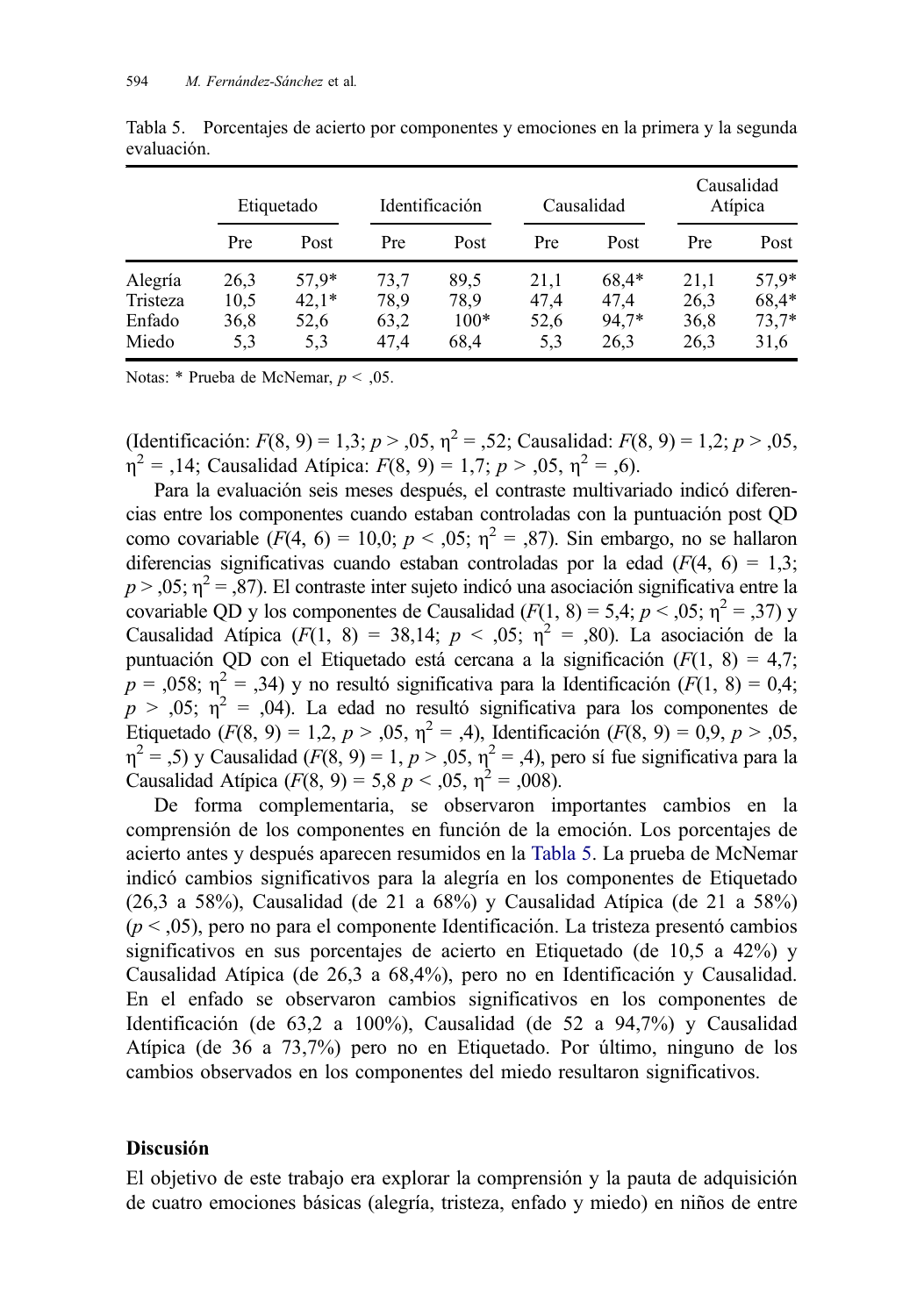|          |      | Etiquetado |      | Identificación |      | Causalidad |      | Causalidad<br>Atípica |  |
|----------|------|------------|------|----------------|------|------------|------|-----------------------|--|
|          | Pre  | Post       | Pre  | Post           | Pre  | Post       | Pre  | Post                  |  |
| Alegría  | 26,3 | $57.9*$    | 73.7 | 89.5           | 21,1 | 68.4*      | 21,1 | 57,9*                 |  |
| Tristeza | 10,5 | $42,1*$    | 78.9 | 78.9           | 47,4 | 47.4       | 26,3 | 68,4*                 |  |
| Enfado   | 36,8 | 52,6       | 63,2 | $100*$         | 52,6 | 94.7*      | 36,8 | $73,7*$               |  |
| Miedo    | 5.3  | 5.3        | 47,4 | 68,4           | 5,3  | 26,3       | 26,3 | 31,6                  |  |

Tabla 5. Porcentajes de acierto por componentes y emociones en la primera y la segunda evaluación.

Notas: \* Prueba de McNemar,  $p < 0.05$ .

(Identificación:  $F(8, 9) = 1,3; p > 0,05, \eta^2 = 0.52;$  Causalidad:  $F(8, 9) = 1,2; p > 0.05,$  $\eta^2 = 14$ ; Causalidad Atípica:  $F(8, 9) = 1.7$ ;  $p > 0.05$ ,  $\eta^2 = 0.6$ ).

Para la evaluación seis meses después, el contraste multivariado indicó diferencias entre los componentes cuando estaban controladas con la puntuación post QD como covariable ( $F(4, 6) = 10.0$ ;  $p < 0.05$ ;  $\eta^2 = 0.87$ ). Sin embargo, no se hallaron diferencias significativas cuando estaban controladas por la edad ( $F(4, 6) = 1,3$ ;  $p > 0.05$ ;  $\eta^2 = 0.87$ ). El contraste inter sujeto indicó una asociación significativa entre la covariable QD y los componentes de Causalidad ( $F(1, 8) = 5.4$ ;  $p < .05$ ;  $p^2 = .37$ ) y Causalidad Atípica  $(F(1, 8) = 38,14; p < 0.05; \eta^2 = 0.80)$ . La asociación de la puntuación OD con el Etiquetado está cercana a la significación ( $F(1, 8) = 4.7$ ;  $p = 0.058$ ;  $\eta^2 = 0.34$ ) y no resultó significativa para la Identificación ( $F(1, 8) = 0.4$ ;  $p > 0.05$ ;  $\eta^2 = 0.04$ ). La edad no resultó significativa para los componentes de Etiquetado ( $F(8, 9) = 1,2, p > 0.05, \eta^2 = 0.4$ ), Identificación ( $F(8, 9) = 0.9, p > 0.05,$  $\eta^2 = 0.5$ ) y Causalidad ( $F(8, 9) = 1$ ,  $p > 0.05$ ,  $\eta^2 = 0.4$ ), pero sí fue significativa para la Causalidad Atípica  $(F(8, 9) = 5.8 \, p < 0.05, \, \eta^2 = 0.008)$ .

De forma complementaria, se observaron importantes cambios en la comprensión de los componentes en función de la emoción. Los porcentajes de acierto antes y después aparecen resumidos en la Tabla 5. La prueba de McNemar indicó cambios significativos para la alegría en los componentes de Etiquetado (26,3 a 58%), Causalidad (de 21 a 68%) y Causalidad Atípica (de 21 a 58%)  $(p < 0.05)$ , pero no para el componente Identificación. La tristeza presentó cambios significativos en sus porcentajes de acierto en Etiquetado (de 10,5 a 42%) y Causalidad Atípica (de 26,3 a 68,4%), pero no en Identificación y Causalidad. En el enfado se observaron cambios significativos en los componentes de Identificación (de 63,2 a 100%), Causalidad (de 52 a 94,7%) y Causalidad Atípica (de 36 a 73,7%) pero no en Etiquetado. Por último, ninguno de los cambios observados en los componentes del miedo resultaron significativos.

### Discusión

El objetivo de este trabajo era explorar la comprensión y la pauta de adquisición de cuatro emociones básicas (alegría, tristeza, enfado y miedo) en niños de entre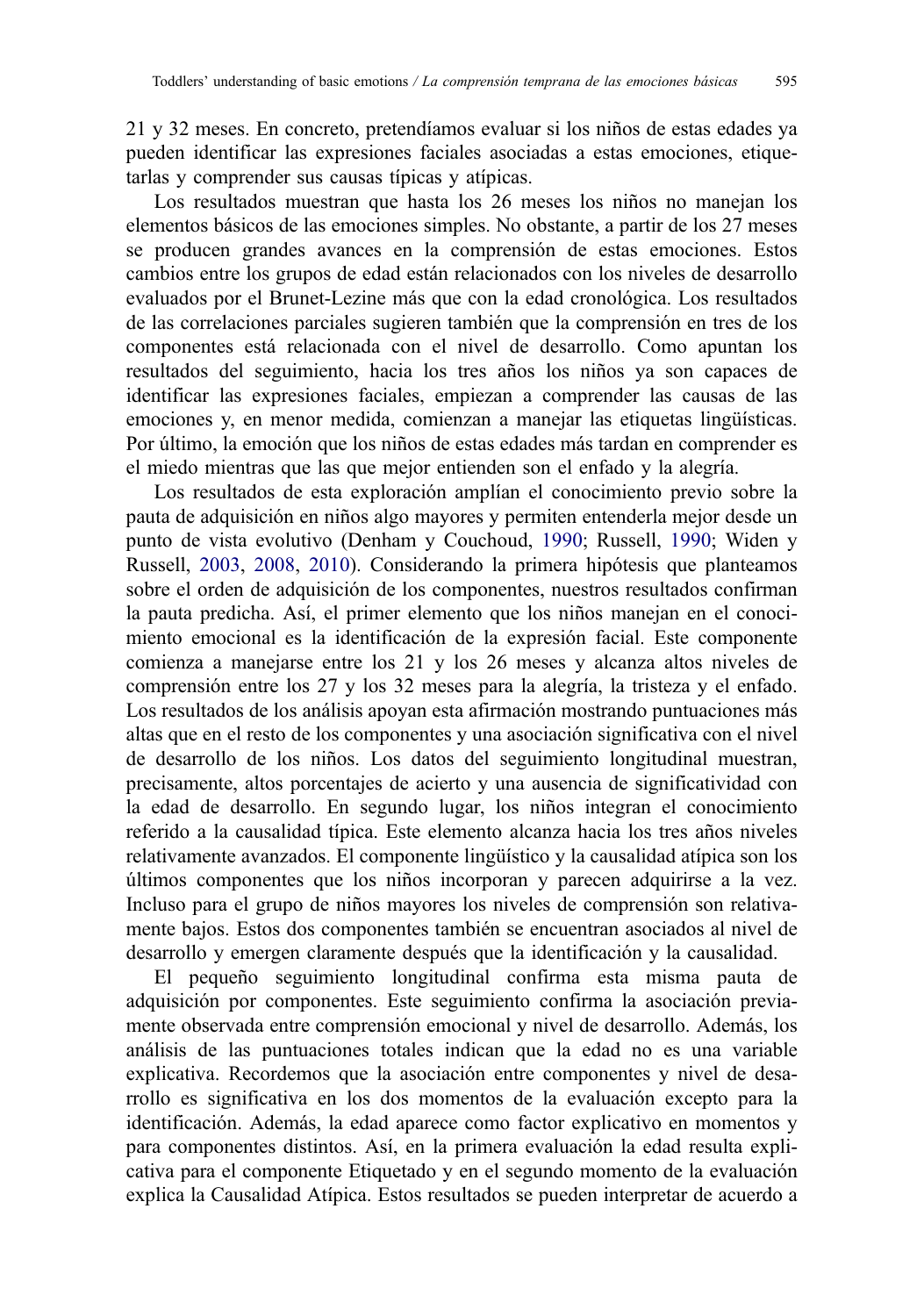21 y 32 meses. En concreto, pretendíamos evaluar si los niños de estas edades ya pueden identificar las expresiones faciales asociadas a estas emociones, etiquetarlas y comprender sus causas típicas y atípicas.

Los resultados muestran que hasta los 26 meses los niños no manejan los elementos básicos de las emociones simples. No obstante, a partir de los 27 meses se producen grandes avances en la comprensión de estas emociones. Estos cambios entre los grupos de edad están relacionados con los niveles de desarrollo evaluados por el Brunet-Lezine más que con la edad cronológica. Los resultados de las correlaciones parciales sugieren también que la comprensión en tres de los componentes está relacionada con el nivel de desarrollo. Como apuntan los resultados del seguimiento, hacia los tres años los niños ya son capaces de identificar las expresiones faciales, empiezan a comprender las causas de las emociones y, en menor medida, comienzan a manejar las etiquetas lingüísticas. Por último, la emoción que los niños de estas edades más tardan en comprender es el miedo mientras que las que mejor entienden son el enfado y la alegría.

Los resultados de esta exploración amplían el conocimiento previo sobre la pauta de adquisición en niños algo mayores y permiten entenderla mejor desde un punto de vista evolutivo (Denham y Couchoud, [1990](#page-31-0); Russell, [1990;](#page-32-0) Widen y Russell, [2003](#page-33-0), [2008,](#page-33-0) [2010\)](#page-33-0). Considerando la primera hipótesis que planteamos sobre el orden de adquisición de los componentes, nuestros resultados confirman la pauta predicha. Así, el primer elemento que los niños manejan en el conocimiento emocional es la identificación de la expresión facial. Este componente comienza a manejarse entre los 21 y los 26 meses y alcanza altos niveles de comprensión entre los 27 y los 32 meses para la alegría, la tristeza y el enfado. Los resultados de los análisis apoyan esta afirmación mostrando puntuaciones más altas que en el resto de los componentes y una asociación significativa con el nivel de desarrollo de los niños. Los datos del seguimiento longitudinal muestran, precisamente, altos porcentajes de acierto y una ausencia de significatividad con la edad de desarrollo. En segundo lugar, los niños integran el conocimiento referido a la causalidad típica. Este elemento alcanza hacia los tres años niveles relativamente avanzados. El componente lingüístico y la causalidad atípica son los últimos componentes que los niños incorporan y parecen adquirirse a la vez. Incluso para el grupo de niños mayores los niveles de comprensión son relativamente bajos. Estos dos componentes también se encuentran asociados al nivel de desarrollo y emergen claramente después que la identificación y la causalidad.

El pequeño seguimiento longitudinal confirma esta misma pauta de adquisición por componentes. Este seguimiento confirma la asociación previamente observada entre comprensión emocional y nivel de desarrollo. Además, los análisis de las puntuaciones totales indican que la edad no es una variable explicativa. Recordemos que la asociación entre componentes y nivel de desarrollo es significativa en los dos momentos de la evaluación excepto para la identificación. Además, la edad aparece como factor explicativo en momentos y para componentes distintos. Así, en la primera evaluación la edad resulta explicativa para el componente Etiquetado y en el segundo momento de la evaluación explica la Causalidad Atípica. Estos resultados se pueden interpretar de acuerdo a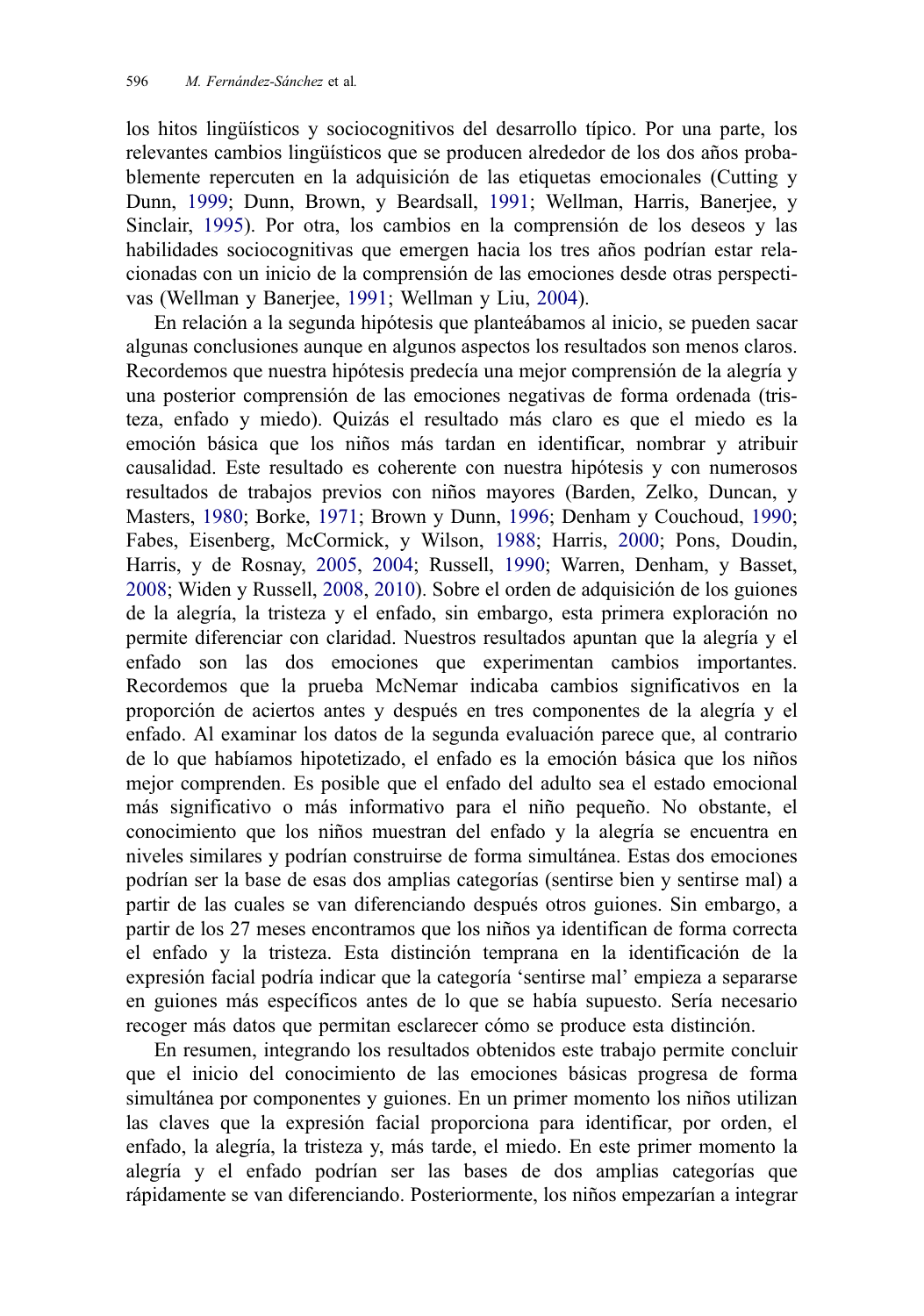los hitos lingüísticos y sociocognitivos del desarrollo típico. Por una parte, los relevantes cambios lingüísticos que se producen alrededor de los dos años probablemente repercuten en la adquisición de las etiquetas emocionales (Cutting y Dunn, [1999;](#page-30-0) Dunn, Brown, y Beardsall, [1991;](#page-31-0) Wellman, Harris, Banerjee, y Sinclair, [1995](#page-33-0)). Por otra, los cambios en la comprensión de los deseos y las habilidades sociocognitivas que emergen hacia los tres años podrían estar relacionadas con un inicio de la comprensión de las emociones desde otras perspectivas (Wellman y Banerjee, [1991](#page-33-0); Wellman y Liu, [2004\)](#page-33-0).

En relación a la segunda hipótesis que planteábamos al inicio, se pueden sacar algunas conclusiones aunque en algunos aspectos los resultados son menos claros. Recordemos que nuestra hipótesis predecía una mejor comprensión de la alegría y una posterior comprensión de las emociones negativas de forma ordenada (tristeza, enfado y miedo). Quizás el resultado más claro es que el miedo es la emoción básica que los niños más tardan en identificar, nombrar y atribuir causalidad. Este resultado es coherente con nuestra hipótesis y con numerosos resultados de trabajos previos con niños mayores (Barden, Zelko, Duncan, y Masters, [1980;](#page-30-0) Borke, [1971](#page-30-0); Brown y Dunn, [1996](#page-30-0); Denham y Couchoud, [1990;](#page-31-0) Fabes, Eisenberg, McCormick, y Wilson, [1988](#page-31-0); Harris, [2000](#page-32-0); Pons, Doudin, Harris, y de Rosnay, [2005,](#page-32-0) [2004;](#page-32-0) Russell, [1990](#page-32-0); Warren, Denham, y Basset, [2008](#page-33-0); Widen y Russell, [2008](#page-33-0), [2010\)](#page-33-0). Sobre el orden de adquisición de los guiones de la alegría, la tristeza y el enfado, sin embargo, esta primera exploración no permite diferenciar con claridad. Nuestros resultados apuntan que la alegría y el enfado son las dos emociones que experimentan cambios importantes. Recordemos que la prueba McNemar indicaba cambios significativos en la proporción de aciertos antes y después en tres componentes de la alegría y el enfado. Al examinar los datos de la segunda evaluación parece que, al contrario de lo que habíamos hipotetizado, el enfado es la emoción básica que los niños mejor comprenden. Es posible que el enfado del adulto sea el estado emocional más significativo o más informativo para el niño pequeño. No obstante, el conocimiento que los niños muestran del enfado y la alegría se encuentra en niveles similares y podrían construirse de forma simultánea. Estas dos emociones podrían ser la base de esas dos amplias categorías (sentirse bien y sentirse mal) a partir de las cuales se van diferenciando después otros guiones. Sin embargo, a partir de los 27 meses encontramos que los niños ya identifican de forma correcta el enfado y la tristeza. Esta distinción temprana en la identificación de la expresión facial podría indicar que la categoría 'sentirse mal' empieza a separarse en guiones más específicos antes de lo que se había supuesto. Sería necesario recoger más datos que permitan esclarecer cómo se produce esta distinción.

En resumen, integrando los resultados obtenidos este trabajo permite concluir que el inicio del conocimiento de las emociones básicas progresa de forma simultánea por componentes y guiones. En un primer momento los niños utilizan las claves que la expresión facial proporciona para identificar, por orden, el enfado, la alegría, la tristeza y, más tarde, el miedo. En este primer momento la alegría y el enfado podrían ser las bases de dos amplias categorías que rápidamente se van diferenciando. Posteriormente, los niños empezarían a integrar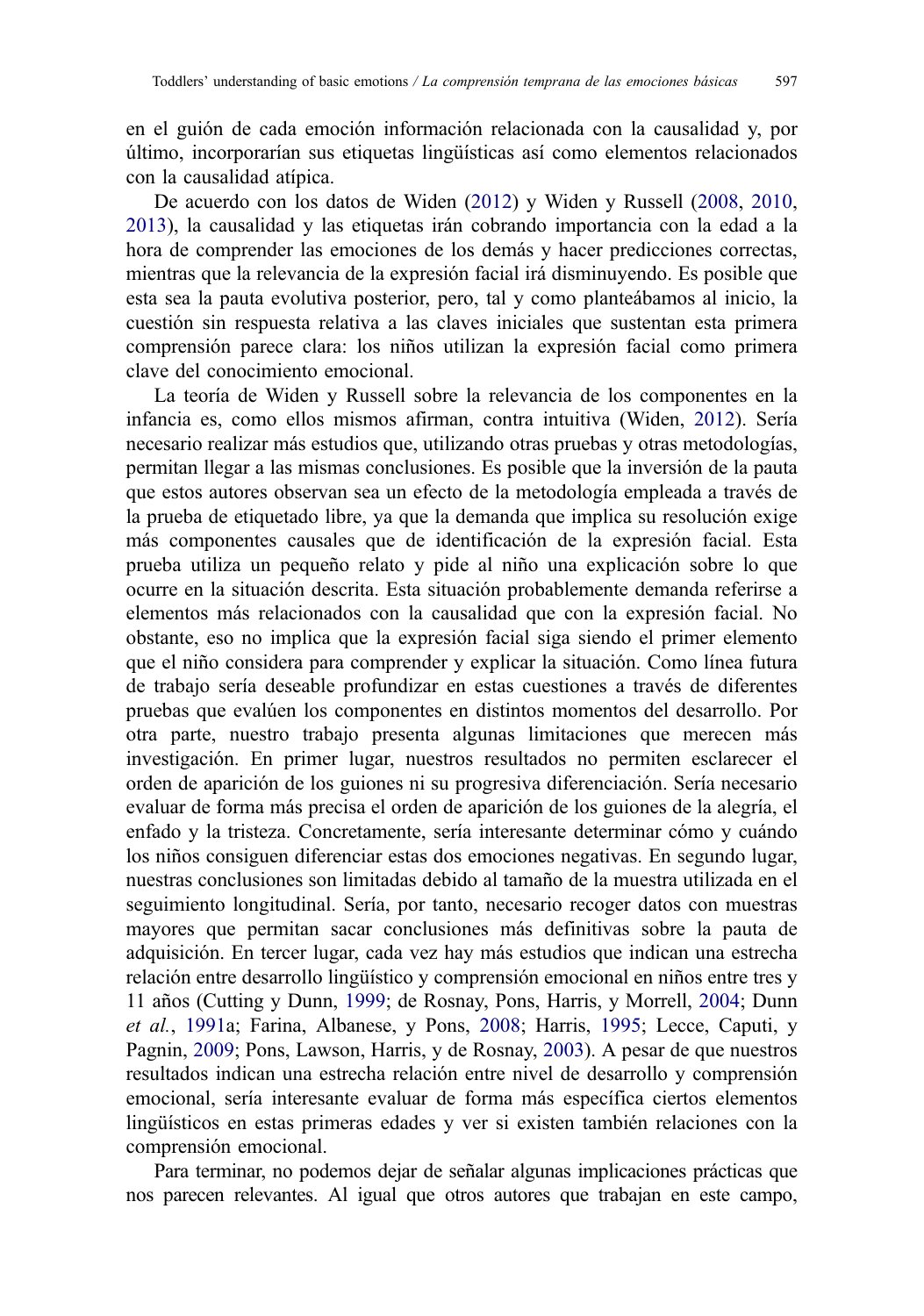en el guión de cada emoción información relacionada con la causalidad y, por último, incorporarían sus etiquetas lingüísticas así como elementos relacionados con la causalidad atípica.

De acuerdo con los datos de Widen ([2012\)](#page-33-0) y Widen y Russell ([2008](#page-33-0), [2010](#page-33-0), [2013](#page-33-0)), la causalidad y las etiquetas irán cobrando importancia con la edad a la hora de comprender las emociones de los demás y hacer predicciones correctas, mientras que la relevancia de la expresión facial irá disminuyendo. Es posible que esta sea la pauta evolutiva posterior, pero, tal y como planteábamos al inicio, la cuestión sin respuesta relativa a las claves iniciales que sustentan esta primera comprensión parece clara: los niños utilizan la expresión facial como primera clave del conocimiento emocional.

La teoría de Widen y Russell sobre la relevancia de los componentes en la infancia es, como ellos mismos afirman, contra intuitiva (Widen, [2012\)](#page-33-0). Sería necesario realizar más estudios que, utilizando otras pruebas y otras metodologías, permitan llegar a las mismas conclusiones. Es posible que la inversión de la pauta que estos autores observan sea un efecto de la metodología empleada a través de la prueba de etiquetado libre, ya que la demanda que implica su resolución exige más componentes causales que de identificación de la expresión facial. Esta prueba utiliza un pequeño relato y pide al niño una explicación sobre lo que ocurre en la situación descrita. Esta situación probablemente demanda referirse a elementos más relacionados con la causalidad que con la expresión facial. No obstante, eso no implica que la expresión facial siga siendo el primer elemento que el niño considera para comprender y explicar la situación. Como línea futura de trabajo sería deseable profundizar en estas cuestiones a través de diferentes pruebas que evalúen los componentes en distintos momentos del desarrollo. Por otra parte, nuestro trabajo presenta algunas limitaciones que merecen más investigación. En primer lugar, nuestros resultados no permiten esclarecer el orden de aparición de los guiones ni su progresiva diferenciación. Sería necesario evaluar de forma más precisa el orden de aparición de los guiones de la alegría, el enfado y la tristeza. Concretamente, sería interesante determinar cómo y cuándo los niños consiguen diferenciar estas dos emociones negativas. En segundo lugar, nuestras conclusiones son limitadas debido al tamaño de la muestra utilizada en el seguimiento longitudinal. Sería, por tanto, necesario recoger datos con muestras mayores que permitan sacar conclusiones más definitivas sobre la pauta de adquisición. En tercer lugar, cada vez hay más estudios que indican una estrecha relación entre desarrollo lingüístico y comprensión emocional en niños entre tres y 11 años (Cutting y Dunn, [1999;](#page-30-0) de Rosnay, Pons, Harris, y Morrell, [2004](#page-31-0); Dunn et al., [1991a](#page-31-0); Farina, Albanese, y Pons, [2008](#page-31-0); Harris, [1995](#page-31-0); Lecce, Caputi, y Pagnin, [2009](#page-32-0); Pons, Lawson, Harris, y de Rosnay, [2003](#page-32-0)). A pesar de que nuestros resultados indican una estrecha relación entre nivel de desarrollo y comprensión emocional, sería interesante evaluar de forma más específica ciertos elementos lingüísticos en estas primeras edades y ver si existen también relaciones con la comprensión emocional.

Para terminar, no podemos dejar de señalar algunas implicaciones prácticas que nos parecen relevantes. Al igual que otros autores que trabajan en este campo,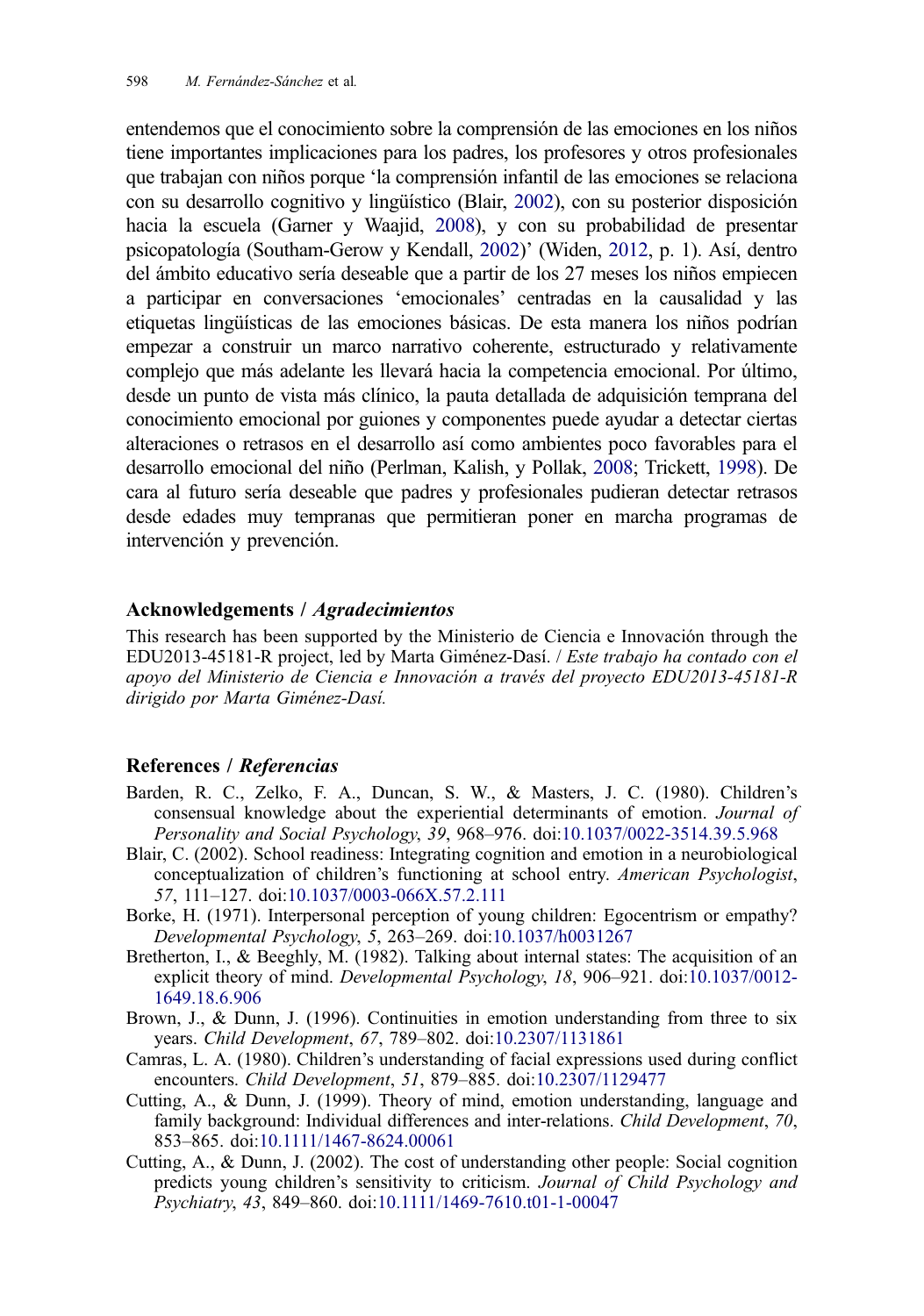<span id="page-30-0"></span>entendemos que el conocimiento sobre la comprensión de las emociones en los niños tiene importantes implicaciones para los padres, los profesores y otros profesionales que trabajan con niños porque 'la comprensión infantil de las emociones se relaciona con su desarrollo cognitivo y lingüístico (Blair, 2002), con su posterior disposición hacia la escuela (Garner y Waajid, [2008\)](#page-31-0), y con su probabilidad de presentar psicopatología (Southam-Gerow y Kendall, [2002\)](#page-32-0)' (Widen, [2012](#page-33-0), p. 1). Así, dentro del ámbito educativo sería deseable que a partir de los 27 meses los niños empiecen a participar en conversaciones 'emocionales' centradas en la causalidad y las etiquetas lingüísticas de las emociones básicas. De esta manera los niños podrían empezar a construir un marco narrativo coherente, estructurado y relativamente complejo que más adelante les llevará hacia la competencia emocional. Por último, desde un punto de vista más clínico, la pauta detallada de adquisición temprana del conocimiento emocional por guiones y componentes puede ayudar a detectar ciertas alteraciones o retrasos en el desarrollo así como ambientes poco favorables para el desarrollo emocional del niño (Perlman, Kalish, y Pollak, [2008](#page-32-0); Trickett, [1998](#page-33-0)). De cara al futuro sería deseable que padres y profesionales pudieran detectar retrasos desde edades muy tempranas que permitieran poner en marcha programas de intervención y prevención.

#### Acknowledgements / Agradecimientos

This research has been supported by the Ministerio de Ciencia e Innovación through the EDU2013-45181-R project, led by Marta Giménez-Dasí. / Este trabajo ha contado con el apoyo del Ministerio de Ciencia e Innovación a través del proyecto EDU2013-45181-R dirigido por Marta Giménez-Dasí.

### References / Referencias

- Barden, R. C., Zelko, F. A., Duncan, S. W., & Masters, J. C. (1980). Children's consensual knowledge about the experiential determinants of emotion. Journal of Personality and Social Psychology, 39, 968–976. doi[:10.1037/0022-3514.39.5.968](http://dx.doi.org/10.1037/0022-3514.39.5.968)
- Blair, C. (2002). School readiness: Integrating cognition and emotion in a neurobiological conceptualization of children's functioning at school entry. American Psychologist, 57, 111–127. doi[:10.1037/0003-066X.57.2.111](http://dx.doi.org/10.1037/0003-066X.57.2.111)
- Borke, H. (1971). Interpersonal perception of young children: Egocentrism or empathy? Developmental Psychology, 5, 263–269. doi[:10.1037/h0031267](http://dx.doi.org/10.1037/h0031267)
- Bretherton, I., & Beeghly, M. (1982). Talking about internal states: The acquisition of an explicit theory of mind. Developmental Psychology, 18, 906–921. doi:[10.1037/0012-](http://dx.doi.org/10.1037/0012-1649.18.6.906) [1649.18.6.906](http://dx.doi.org/10.1037/0012-1649.18.6.906)
- Brown, J., & Dunn, J. (1996). Continuities in emotion understanding from three to six years. Child Development, 67, 789–802. doi:[10.2307/1131861](http://dx.doi.org/10.2307/1131861)
- Camras, L. A. (1980). Children's understanding of facial expressions used during conflict encounters. Child Development, 51, 879–885. doi[:10.2307/1129477](http://dx.doi.org/10.2307/1129477)
- Cutting, A., & Dunn, J. (1999). Theory of mind, emotion understanding, language and family background: Individual differences and inter-relations. Child Development, 70, 853–865. doi[:10.1111/1467-8624.00061](http://dx.doi.org/10.1111/1467-8624.00061)
- Cutting, A., & Dunn, J. (2002). The cost of understanding other people: Social cognition predicts young children's sensitivity to criticism. Journal of Child Psychology and Psychiatry, 43, 849–860. doi[:10.1111/1469-7610.t01-1-00047](http://dx.doi.org/10.1111/1469-7610.t01-1-00047)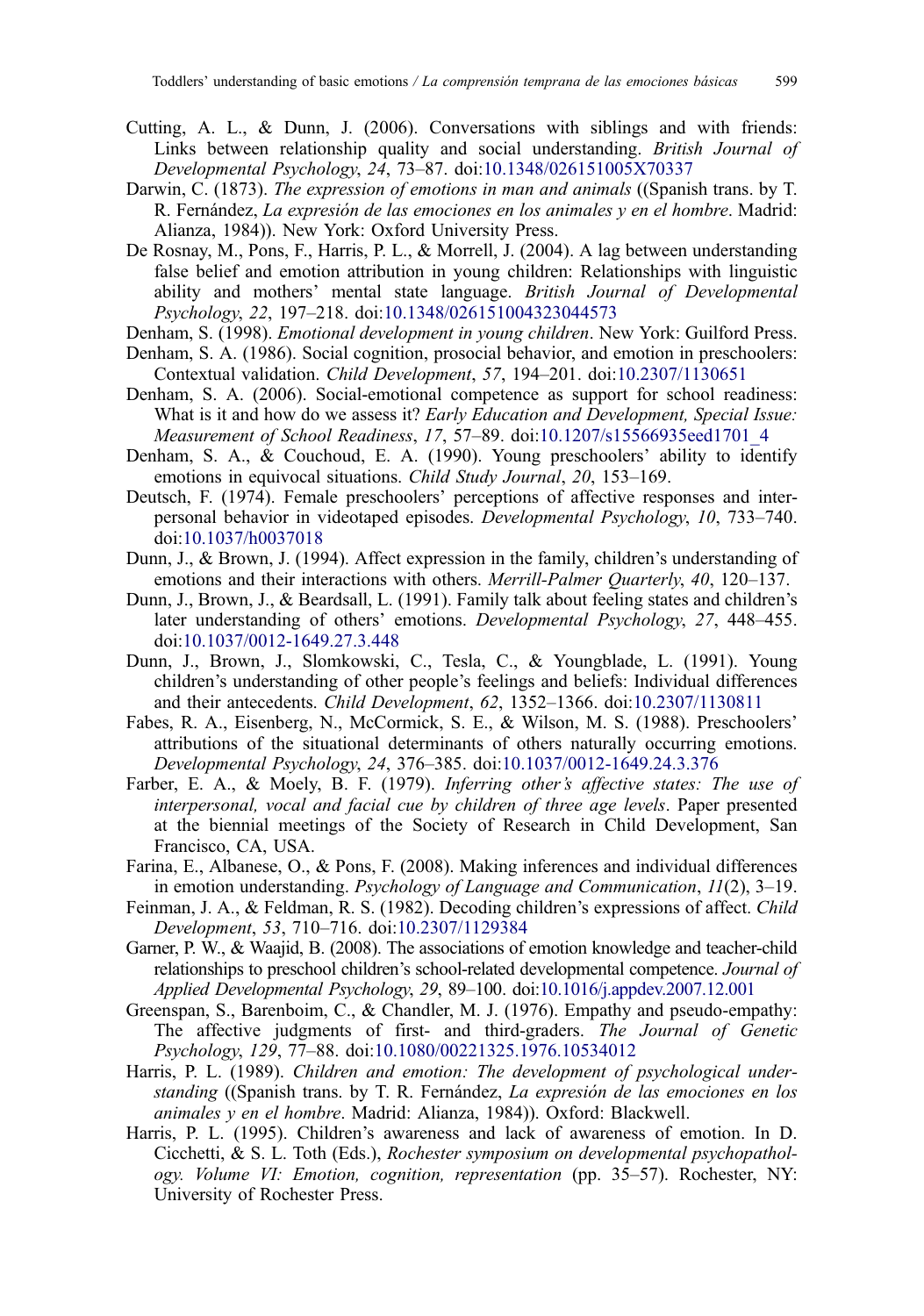- <span id="page-31-0"></span>Cutting, A. L., & Dunn, J. (2006). Conversations with siblings and with friends: Links between relationship quality and social understanding. British Journal of Developmental Psychology, 24, 73–87. doi[:10.1348/026151005X70337](http://dx.doi.org/10.1348/026151005X70337)
- Darwin, C. (1873). The expression of emotions in man and animals ((Spanish trans. by T. R. Fernández, La expresión de las emociones en los animales y en el hombre. Madrid: Alianza, 1984)). New York: Oxford University Press.
- De Rosnay, M., Pons, F., Harris, P. L., & Morrell, J. (2004). A lag between understanding false belief and emotion attribution in young children: Relationships with linguistic ability and mothers' mental state language. British Journal of Developmental Psychology, 22, 197–218. doi:[10.1348/026151004323044573](http://dx.doi.org/10.1348/026151004323044573)
- Denham, S. (1998). Emotional development in young children. New York: Guilford Press.
- Denham, S. A. (1986). Social cognition, prosocial behavior, and emotion in preschoolers: Contextual validation. Child Development, 57, 194–201. doi[:10.2307/1130651](http://dx.doi.org/10.2307/1130651)
- Denham, S. A. (2006). Social-emotional competence as support for school readiness: What is it and how do we assess it? Early Education and Development, Special Issue: Measurement of School Readiness, 17, 57–89. doi[:10.1207/s15566935eed1701\\_4](http://dx.doi.org/10.1207/s15566935eed1701%5F4)
- Denham, S. A., & Couchoud, E. A. (1990). Young preschoolers' ability to identify emotions in equivocal situations. Child Study Journal, 20, 153–169.
- Deutsch, F. (1974). Female preschoolers' perceptions of affective responses and interpersonal behavior in videotaped episodes. Developmental Psychology, 10, 733–740. doi:[10.1037/h0037018](http://dx.doi.org/10.1037/h0037018)
- Dunn, J., & Brown, J. (1994). Affect expression in the family, children's understanding of emotions and their interactions with others. *Merrill-Palmer Quarterly*, 40, 120–137.
- Dunn, J., Brown, J., & Beardsall, L. (1991). Family talk about feeling states and children's later understanding of others' emotions. Developmental Psychology, 27, 448-455. doi:[10.1037/0012-1649.27.3.448](http://dx.doi.org/10.1037/0012-1649.27.3.448)
- Dunn, J., Brown, J., Slomkowski, C., Tesla, C., & Youngblade, L. (1991). Young children's understanding of other people's feelings and beliefs: Individual differences and their antecedents. Child Development, 62, 1352–1366. doi[:10.2307/1130811](http://dx.doi.org/10.2307/1130811)
- Fabes, R. A., Eisenberg, N., McCormick, S. E., & Wilson, M. S. (1988). Preschoolers' attributions of the situational determinants of others naturally occurring emotions. Developmental Psychology, 24, 376–385. doi[:10.1037/0012-1649.24.3.376](http://dx.doi.org/10.1037/0012-1649.24.3.376)
- Farber, E. A., & Moely, B. F. (1979). Inferring other's affective states: The use of interpersonal, vocal and facial cue by children of three age levels. Paper presented at the biennial meetings of the Society of Research in Child Development, San Francisco, CA, USA.
- Farina, E., Albanese, O., & Pons, F. (2008). Making inferences and individual differences in emotion understanding. Psychology of Language and Communication, 11(2), 3–19.
- Feinman, J. A., & Feldman, R. S. (1982). Decoding children's expressions of affect. Child Development, 53, 710–716. doi[:10.2307/1129384](http://dx.doi.org/10.2307/1129384)
- Garner, P. W., & Waajid, B. (2008). The associations of emotion knowledge and teacher-child relationships to preschool children's school-related developmental competence. Journal of Applied Developmental Psychology, 29, 89–100. doi[:10.1016/j.appdev.2007.12.001](http://dx.doi.org/10.1016/j.appdev.2007.12.001)
- Greenspan, S., Barenboim, C., & Chandler, M. J. (1976). Empathy and pseudo-empathy: The affective judgments of first- and third-graders. The Journal of Genetic Psychology, 129, 77–88. doi:[10.1080/00221325.1976.10534012](http://dx.doi.org/10.1080/00221325.1976.10534012)
- Harris, P. L. (1989). Children and emotion: The development of psychological understanding ((Spanish trans. by T. R. Fernández, La expresión de las emociones en los animales y en el hombre. Madrid: Alianza, 1984)). Oxford: Blackwell.
- Harris, P. L. (1995). Children's awareness and lack of awareness of emotion. In D. Cicchetti, & S. L. Toth (Eds.), Rochester symposium on developmental psychopathology. Volume VI: Emotion, cognition, representation (pp. 35–57). Rochester, NY: University of Rochester Press.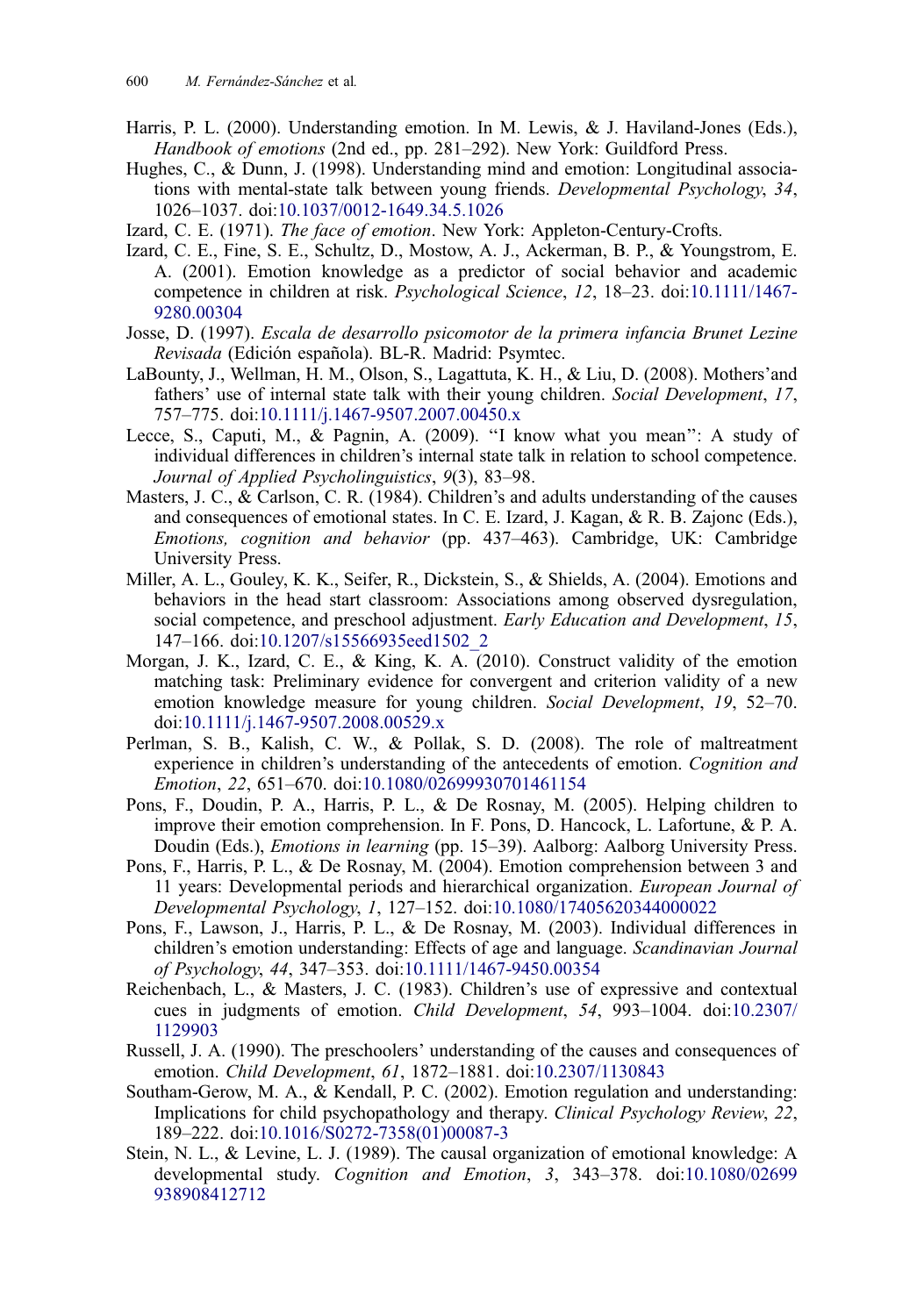- <span id="page-32-0"></span>Harris, P. L. (2000). Understanding emotion. In M. Lewis, & J. Haviland-Jones (Eds.), Handbook of emotions (2nd ed., pp. 281–292). New York: Guildford Press.
- Hughes, C., & Dunn, J. (1998). Understanding mind and emotion: Longitudinal associations with mental-state talk between young friends. Developmental Psychology, 34, 1026–1037. doi[:10.1037/0012-1649.34.5.1026](http://dx.doi.org/10.1037/0012-1649.34.5.1026)
- Izard, C. E. (1971). The face of emotion. New York: Appleton-Century-Crofts.
- Izard, C. E., Fine, S. E., Schultz, D., Mostow, A. J., Ackerman, B. P., & Youngstrom, E. A. (2001). Emotion knowledge as a predictor of social behavior and academic competence in children at risk. Psychological Science, 12, 18–23. doi:[10.1111/1467-](http://dx.doi.org/10.1111/1467-9280.00304) [9280.00304](http://dx.doi.org/10.1111/1467-9280.00304)
- Josse, D. (1997). Escala de desarrollo psicomotor de la primera infancia Brunet Lezine Revisada (Edición española). BL-R. Madrid: Psymtec.
- LaBounty, J., Wellman, H. M., Olson, S., Lagattuta, K. H., & Liu, D. (2008). Mothers'and fathers' use of internal state talk with their young children. Social Development, 17, 757–775. doi[:10.1111/j.1467-9507.2007.00450.x](http://dx.doi.org/10.1111/j.1467-9507.2007.00450.x)
- Lecce, S., Caputi, M., & Pagnin, A. (2009). ''I know what you mean'': A study of individual differences in children's internal state talk in relation to school competence. Journal of Applied Psycholinguistics, 9(3), 83–98.
- Masters, J. C., & Carlson, C. R. (1984). Children's and adults understanding of the causes and consequences of emotional states. In C. E. Izard, J. Kagan, & R. B. Zajonc (Eds.), Emotions, cognition and behavior (pp. 437–463). Cambridge, UK: Cambridge University Press.
- Miller, A. L., Gouley, K. K., Seifer, R., Dickstein, S., & Shields, A. (2004). Emotions and behaviors in the head start classroom: Associations among observed dysregulation, social competence, and preschool adjustment. Early Education and Development, 15, 147–166. doi[:10.1207/s15566935eed1502\\_2](http://dx.doi.org/10.1207/s15566935eed1502%5F2)
- Morgan, J. K., Izard, C. E., & King, K. A. (2010). Construct validity of the emotion matching task: Preliminary evidence for convergent and criterion validity of a new emotion knowledge measure for young children. Social Development, 19, 52-70. doi:[10.1111/j.1467-9507.2008.00529.x](http://dx.doi.org/10.1111/j.1467-9507.2008.00529.x)
- Perlman, S. B., Kalish, C. W., & Pollak, S. D. (2008). The role of maltreatment experience in children's understanding of the antecedents of emotion. Cognition and Emotion, 22, 651–670. doi[:10.1080/02699930701461154](http://dx.doi.org/10.1080/02699930701461154)
- Pons, F., Doudin, P. A., Harris, P. L., & De Rosnay, M. (2005). Helping children to improve their emotion comprehension. In F. Pons, D. Hancock, L. Lafortune, & P. A. Doudin (Eds.), *Emotions in learning* (pp. 15–39). Aalborg: Aalborg University Press.
- Pons, F., Harris, P. L., & De Rosnay, M. (2004). Emotion comprehension between 3 and 11 years: Developmental periods and hierarchical organization. European Journal of Developmental Psychology, 1, 127–152. doi[:10.1080/17405620344000022](http://dx.doi.org/10.1080/17405620344000022)
- Pons, F., Lawson, J., Harris, P. L., & De Rosnay, M. (2003). Individual differences in children's emotion understanding: Effects of age and language. Scandinavian Journal of Psychology, 44, 347–353. doi:[10.1111/1467-9450.00354](http://dx.doi.org/10.1111/1467-9450.00354)
- Reichenbach, L., & Masters, J. C. (1983). Children's use of expressive and contextual cues in judgments of emotion. Child Development, 54, 993–1004. doi:[10.2307/](http://dx.doi.org/10.2307/1129903) [1129903](http://dx.doi.org/10.2307/1129903)
- Russell, J. A. (1990). The preschoolers' understanding of the causes and consequences of emotion. Child Development, 61, 1872–1881. doi:[10.2307/1130843](http://dx.doi.org/10.2307/1130843)
- Southam-Gerow, M. A., & Kendall, P. C. (2002). Emotion regulation and understanding: Implications for child psychopathology and therapy. Clinical Psychology Review, 22, 189–222. doi[:10.1016/S0272-7358\(01\)00087-3](http://dx.doi.org/10.1016/S0272-7358(01)00087-3)
- Stein, N. L., & Levine, L. J. (1989). The causal organization of emotional knowledge: A developmental study. Cognition and Emotion, 3, 343-378. doi:[10.1080/02699](http://dx.doi.org/10.1080/02699938908412712) [938908412712](http://dx.doi.org/10.1080/02699938908412712)